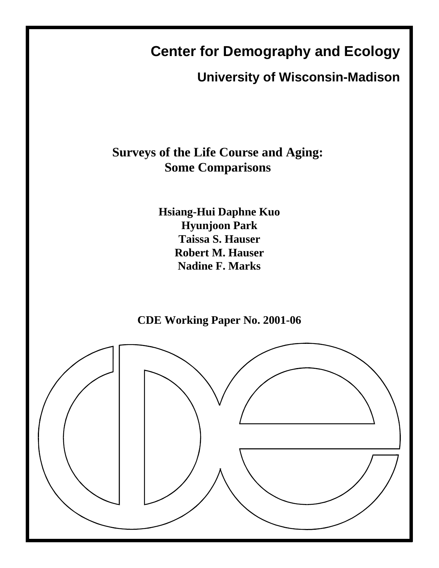# **Center for Demography and Ecology**

**University of Wisconsin-Madison**

## **Surveys of the Life Course and Aging: Some Comparisons**

**Hsiang-Hui Daphne Kuo Hyunjoon Park Taissa S. Hauser Robert M. Hauser Nadine F. Marks**

**CDE Working Paper No. 2001-06**

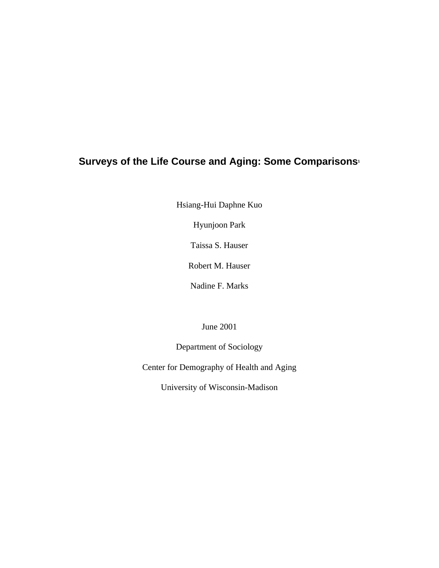### **Surveys of the Life Course and Aging: Some Comparisons<sup>1</sup>**

Hsiang-Hui Daphne Kuo

Hyunjoon Park

Taissa S. Hauser

Robert M. Hauser

Nadine F. Marks

June 2001

Department of Sociology

Center for Demography of Health and Aging

University of Wisconsin-Madison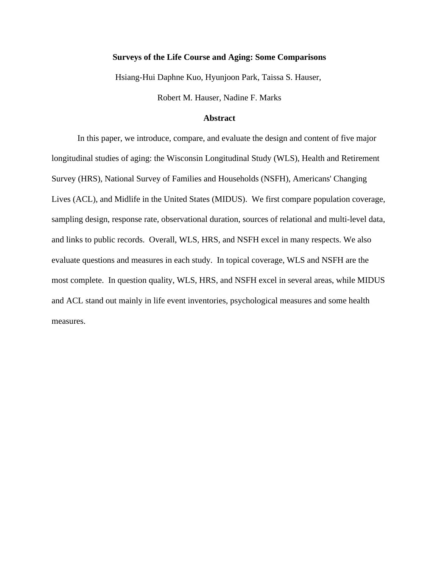#### **Surveys of the Life Course and Aging: Some Comparisons**

Hsiang-Hui Daphne Kuo, Hyunjoon Park, Taissa S. Hauser,

Robert M. Hauser, Nadine F. Marks

#### **Abstract**

In this paper, we introduce, compare, and evaluate the design and content of five major longitudinal studies of aging: the Wisconsin Longitudinal Study (WLS), Health and Retirement Survey (HRS), National Survey of Families and Households (NSFH), Americans' Changing Lives (ACL), and Midlife in the United States (MIDUS). We first compare population coverage, sampling design, response rate, observational duration, sources of relational and multi-level data, and links to public records. Overall, WLS, HRS, and NSFH excel in many respects. We also evaluate questions and measures in each study. In topical coverage, WLS and NSFH are the most complete. In question quality, WLS, HRS, and NSFH excel in several areas, while MIDUS and ACL stand out mainly in life event inventories, psychological measures and some health measures.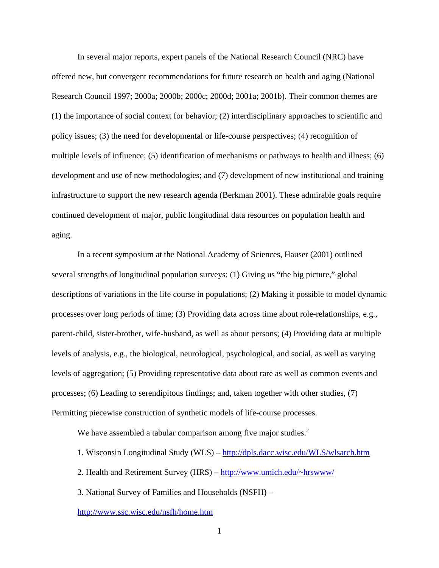In several major reports, expert panels of the National Research Council (NRC) have offered new, but convergent recommendations for future research on health and aging (National Research Council 1997; 2000a; 2000b; 2000c; 2000d; 2001a; 2001b). Their common themes are (1) the importance of social context for behavior; (2) interdisciplinary approaches to scientific and policy issues; (3) the need for developmental or life-course perspectives; (4) recognition of multiple levels of influence; (5) identification of mechanisms or pathways to health and illness; (6) development and use of new methodologies; and (7) development of new institutional and training infrastructure to support the new research agenda (Berkman 2001). These admirable goals require continued development of major, public longitudinal data resources on population health and aging.

In a recent symposium at the National Academy of Sciences, Hauser (2001) outlined several strengths of longitudinal population surveys: (1) Giving us "the big picture," global descriptions of variations in the life course in populations; (2) Making it possible to model dynamic processes over long periods of time; (3) Providing data across time about role-relationships, e.g., parent-child, sister-brother, wife-husband, as well as about persons; (4) Providing data at multiple levels of analysis, e.g., the biological, neurological, psychological, and social, as well as varying levels of aggregation; (5) Providing representative data about rare as well as common events and processes; (6) Leading to serendipitous findings; and, taken together with other studies, (7) Permitting piecewise construction of synthetic models of life-course processes.

We have assembled a tabular comparison among five major studies.<sup>2</sup>

- 1. Wisconsin Longitudinal Study (WLS) http://dpls.dacc.wisc.edu/WLS/wlsarch.htm
- 2. Health and Retirement Survey (HRS) http://www.umich.edu/~hrswww/
- 3. National Survey of Families and Households (NSFH) –

http://www.ssc.wisc.edu/nsfh/home.htm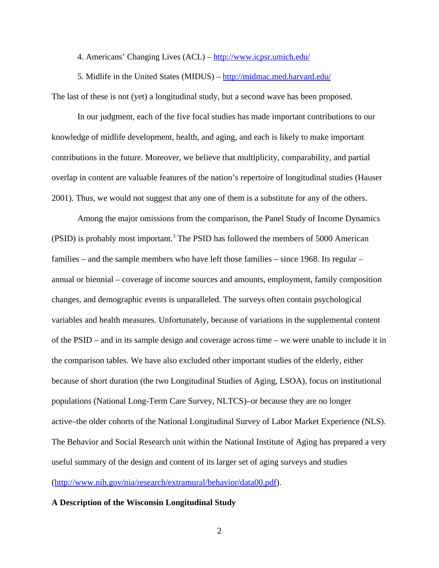4. Americans' Changing Lives (ACL) – http://www.icpsr.umich.edu/

5. Midlife in the United States (MIDUS) – http://midmac.med.harvard.edu/ The last of these is not (yet) a longitudinal study, but a second wave has been proposed.

In our judgment, each of the five focal studies has made important contributions to our knowledge of midlife development, health, and aging, and each is likely to make important contributions in the future. Moreover, we believe that multiplicity, comparability, and partial overlap in content are valuable features of the nation's repertoire of longitudinal studies (Hauser 2001). Thus, we would not suggest that any one of them is a substitute for any of the others.

Among the major omissions from the comparison, the Panel Study of Income Dynamics (PSID) is probably most important.<sup>3</sup> The PSID has followed the members of 5000 American families – and the sample members who have left those families – since 1968. Its regular – annual or biennial – coverage of income sources and amounts, employment, family composition changes, and demographic events is unparalleled. The surveys often contain psychological variables and health measures. Unfortunately, because of variations in the supplemental content of the PSID – and in its sample design and coverage across time – we were unable to include it in the comparison tables. We have also excluded other important studies of the elderly, either because of short duration (the two Longitudinal Studies of Aging, LSOA), focus on institutional populations (National Long-Term Care Survey, NLTCS)–or because they are no longer active–the older cohorts of the National Longitudinal Survey of Labor Market Experience (NLS). The Behavior and Social Research unit within the National Institute of Aging has prepared a very useful summary of the design and content of its larger set of aging surveys and studies (http://www.nih.gov/nia/research/extramural/behavior/data00.pdf).

#### **A Description of the Wisconsin Longitudinal Study**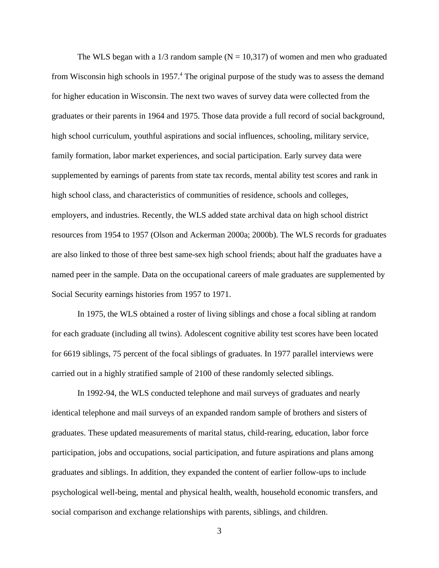The WLS began with a 1/3 random sample ( $N = 10,317$ ) of women and men who graduated from Wisconsin high schools in 1957.<sup>4</sup> The original purpose of the study was to assess the demand for higher education in Wisconsin. The next two waves of survey data were collected from the graduates or their parents in 1964 and 1975. Those data provide a full record of social background, high school curriculum, youthful aspirations and social influences, schooling, military service, family formation, labor market experiences, and social participation. Early survey data were supplemented by earnings of parents from state tax records, mental ability test scores and rank in high school class, and characteristics of communities of residence, schools and colleges, employers, and industries. Recently, the WLS added state archival data on high school district resources from 1954 to 1957 (Olson and Ackerman 2000a; 2000b). The WLS records for graduates are also linked to those of three best same-sex high school friends; about half the graduates have a named peer in the sample. Data on the occupational careers of male graduates are supplemented by Social Security earnings histories from 1957 to 1971.

In 1975, the WLS obtained a roster of living siblings and chose a focal sibling at random for each graduate (including all twins). Adolescent cognitive ability test scores have been located for 6619 siblings, 75 percent of the focal siblings of graduates. In 1977 parallel interviews were carried out in a highly stratified sample of 2100 of these randomly selected siblings.

In 1992-94, the WLS conducted telephone and mail surveys of graduates and nearly identical telephone and mail surveys of an expanded random sample of brothers and sisters of graduates. These updated measurements of marital status, child-rearing, education, labor force participation, jobs and occupations, social participation, and future aspirations and plans among graduates and siblings. In addition, they expanded the content of earlier follow-ups to include psychological well-being, mental and physical health, wealth, household economic transfers, and social comparison and exchange relationships with parents, siblings, and children.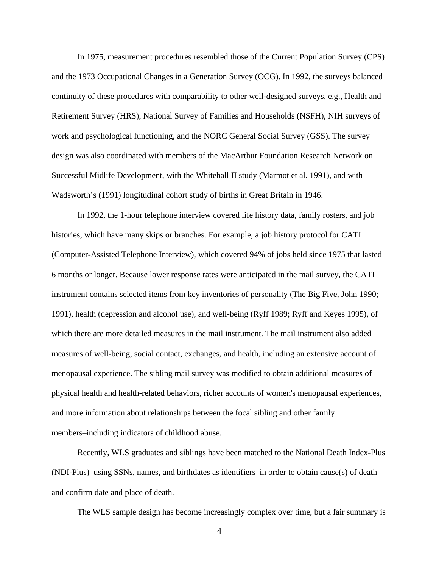In 1975, measurement procedures resembled those of the Current Population Survey (CPS) and the 1973 Occupational Changes in a Generation Survey (OCG). In 1992, the surveys balanced continuity of these procedures with comparability to other well-designed surveys, e.g., Health and Retirement Survey (HRS), National Survey of Families and Households (NSFH), NIH surveys of work and psychological functioning, and the NORC General Social Survey (GSS). The survey design was also coordinated with members of the MacArthur Foundation Research Network on Successful Midlife Development, with the Whitehall II study (Marmot et al. 1991), and with Wadsworth's (1991) longitudinal cohort study of births in Great Britain in 1946.

In 1992, the 1-hour telephone interview covered life history data, family rosters, and job histories, which have many skips or branches. For example, a job history protocol for CATI (Computer-Assisted Telephone Interview), which covered 94% of jobs held since 1975 that lasted 6 months or longer. Because lower response rates were anticipated in the mail survey, the CATI instrument contains selected items from key inventories of personality (The Big Five, John 1990; 1991), health (depression and alcohol use), and well-being (Ryff 1989; Ryff and Keyes 1995), of which there are more detailed measures in the mail instrument. The mail instrument also added measures of well-being, social contact, exchanges, and health, including an extensive account of menopausal experience. The sibling mail survey was modified to obtain additional measures of physical health and health-related behaviors, richer accounts of women's menopausal experiences, and more information about relationships between the focal sibling and other family members–including indicators of childhood abuse.

Recently, WLS graduates and siblings have been matched to the National Death Index-Plus (NDI-Plus)–using SSNs, names, and birthdates as identifiers–in order to obtain cause(s) of death and confirm date and place of death.

The WLS sample design has become increasingly complex over time, but a fair summary is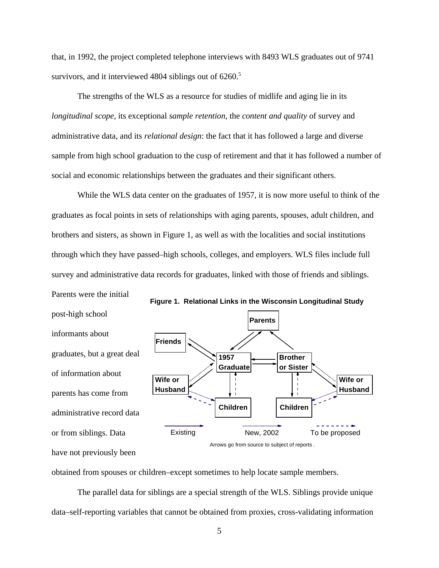that, in 1992, the project completed telephone interviews with 8493 WLS graduates out of 9741 survivors, and it interviewed 4804 siblings out of  $6260$ .<sup>5</sup>

The strengths of the WLS as a resource for studies of midlife and aging lie in its *longitudinal scope*, its exceptional *sample retention*, the *content and quality* of survey and administrative data, and its *relational design*: the fact that it has followed a large and diverse sample from high school graduation to the cusp of retirement and that it has followed a number of social and economic relationships between the graduates and their significant others.

While the WLS data center on the graduates of 1957, it is now more useful to think of the graduates as focal points in sets of relationships with aging parents, spouses, adult children, and brothers and sisters, as shown in Figure 1, as well as with the localities and social institutions through which they have passed–high schools, colleges, and employers. WLS files include full survey and administrative data records for graduates, linked with those of friends and siblings.

**Friends Wife or Husband** post-high school informants about graduates, but a great deal of information about parents has come from administrative record data or from siblings. Data have not previously been

Parents were the initial



**Figure 1. Relational Links in the Wisconsin Longitudinal Study**

obtained from spouses or children–except sometimes to help locate sample members.

The parallel data for siblings are a special strength of the WLS. Siblings provide unique data–self-reporting variables that cannot be obtained from proxies, cross-validating information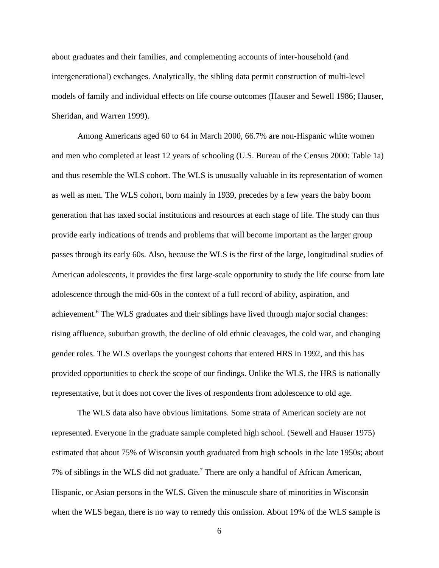about graduates and their families, and complementing accounts of inter-household (and intergenerational) exchanges. Analytically, the sibling data permit construction of multi-level models of family and individual effects on life course outcomes (Hauser and Sewell 1986; Hauser, Sheridan, and Warren 1999).

Among Americans aged 60 to 64 in March 2000, 66.7% are non-Hispanic white women and men who completed at least 12 years of schooling (U.S. Bureau of the Census 2000: Table 1a) and thus resemble the WLS cohort. The WLS is unusually valuable in its representation of women as well as men. The WLS cohort, born mainly in 1939, precedes by a few years the baby boom generation that has taxed social institutions and resources at each stage of life. The study can thus provide early indications of trends and problems that will become important as the larger group passes through its early 60s. Also, because the WLS is the first of the large, longitudinal studies of American adolescents, it provides the first large-scale opportunity to study the life course from late adolescence through the mid-60s in the context of a full record of ability, aspiration, and achievement.<sup>6</sup> The WLS graduates and their siblings have lived through major social changes: rising affluence, suburban growth, the decline of old ethnic cleavages, the cold war, and changing gender roles. The WLS overlaps the youngest cohorts that entered HRS in 1992, and this has provided opportunities to check the scope of our findings. Unlike the WLS, the HRS is nationally representative, but it does not cover the lives of respondents from adolescence to old age.

The WLS data also have obvious limitations. Some strata of American society are not represented. Everyone in the graduate sample completed high school. (Sewell and Hauser 1975) estimated that about 75% of Wisconsin youth graduated from high schools in the late 1950s; about 7% of siblings in the WLS did not graduate.<sup>7</sup> There are only a handful of African American, Hispanic, or Asian persons in the WLS. Given the minuscule share of minorities in Wisconsin when the WLS began, there is no way to remedy this omission. About 19% of the WLS sample is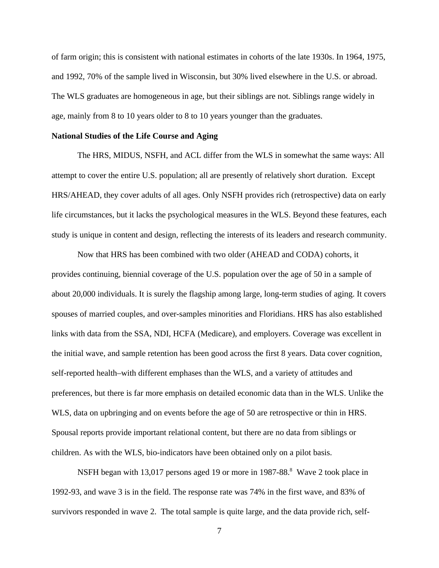of farm origin; this is consistent with national estimates in cohorts of the late 1930s. In 1964, 1975, and 1992, 70% of the sample lived in Wisconsin, but 30% lived elsewhere in the U.S. or abroad. The WLS graduates are homogeneous in age, but their siblings are not. Siblings range widely in age, mainly from 8 to 10 years older to 8 to 10 years younger than the graduates.

#### **National Studies of the Life Course and Aging**

The HRS, MIDUS, NSFH, and ACL differ from the WLS in somewhat the same ways: All attempt to cover the entire U.S. population; all are presently of relatively short duration. Except HRS/AHEAD, they cover adults of all ages. Only NSFH provides rich (retrospective) data on early life circumstances, but it lacks the psychological measures in the WLS. Beyond these features, each study is unique in content and design, reflecting the interests of its leaders and research community.

Now that HRS has been combined with two older (AHEAD and CODA) cohorts, it provides continuing, biennial coverage of the U.S. population over the age of 50 in a sample of about 20,000 individuals. It is surely the flagship among large, long-term studies of aging. It covers spouses of married couples, and over-samples minorities and Floridians. HRS has also established links with data from the SSA, NDI, HCFA (Medicare), and employers. Coverage was excellent in the initial wave, and sample retention has been good across the first 8 years. Data cover cognition, self-reported health–with different emphases than the WLS, and a variety of attitudes and preferences, but there is far more emphasis on detailed economic data than in the WLS. Unlike the WLS, data on upbringing and on events before the age of 50 are retrospective or thin in HRS. Spousal reports provide important relational content, but there are no data from siblings or children. As with the WLS, bio-indicators have been obtained only on a pilot basis.

NSFH began with 13,017 persons aged 19 or more in 1987-88.<sup>8</sup> Wave 2 took place in 1992-93, and wave 3 is in the field. The response rate was 74% in the first wave, and 83% of survivors responded in wave 2. The total sample is quite large, and the data provide rich, self-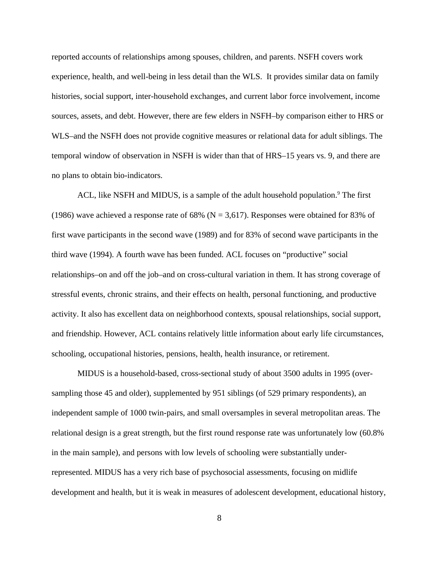reported accounts of relationships among spouses, children, and parents. NSFH covers work experience, health, and well-being in less detail than the WLS. It provides similar data on family histories, social support, inter-household exchanges, and current labor force involvement, income sources, assets, and debt. However, there are few elders in NSFH–by comparison either to HRS or WLS–and the NSFH does not provide cognitive measures or relational data for adult siblings. The temporal window of observation in NSFH is wider than that of HRS–15 years vs. 9, and there are no plans to obtain bio-indicators.

ACL, like NSFH and MIDUS, is a sample of the adult household population.<sup>9</sup> The first (1986) wave achieved a response rate of 68% ( $N = 3,617$ ). Responses were obtained for 83% of first wave participants in the second wave (1989) and for 83% of second wave participants in the third wave (1994). A fourth wave has been funded. ACL focuses on "productive" social relationships–on and off the job–and on cross-cultural variation in them. It has strong coverage of stressful events, chronic strains, and their effects on health, personal functioning, and productive activity. It also has excellent data on neighborhood contexts, spousal relationships, social support, and friendship. However, ACL contains relatively little information about early life circumstances, schooling, occupational histories, pensions, health, health insurance, or retirement.

MIDUS is a household-based, cross-sectional study of about 3500 adults in 1995 (oversampling those 45 and older), supplemented by 951 siblings (of 529 primary respondents), an independent sample of 1000 twin-pairs, and small oversamples in several metropolitan areas. The relational design is a great strength, but the first round response rate was unfortunately low (60.8% in the main sample), and persons with low levels of schooling were substantially underrepresented. MIDUS has a very rich base of psychosocial assessments, focusing on midlife development and health, but it is weak in measures of adolescent development, educational history,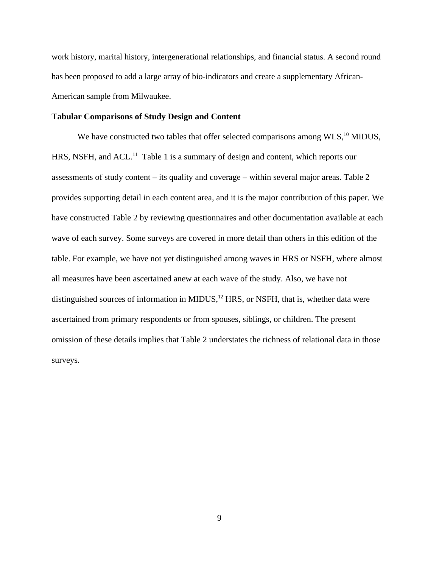work history, marital history, intergenerational relationships, and financial status. A second round has been proposed to add a large array of bio-indicators and create a supplementary African-American sample from Milwaukee.

#### **Tabular Comparisons of Study Design and Content**

We have constructed two tables that offer selected comparisons among  $WLS$ ,<sup>10</sup> MIDUS, HRS, NSFH, and ACL.<sup>11</sup> Table 1 is a summary of design and content, which reports our assessments of study content – its quality and coverage – within several major areas. Table 2 provides supporting detail in each content area, and it is the major contribution of this paper. We have constructed Table 2 by reviewing questionnaires and other documentation available at each wave of each survey. Some surveys are covered in more detail than others in this edition of the table. For example, we have not yet distinguished among waves in HRS or NSFH, where almost all measures have been ascertained anew at each wave of the study. Also, we have not distinguished sources of information in MIDUS, $^{12}$  HRS, or NSFH, that is, whether data were ascertained from primary respondents or from spouses, siblings, or children. The present omission of these details implies that Table 2 understates the richness of relational data in those surveys.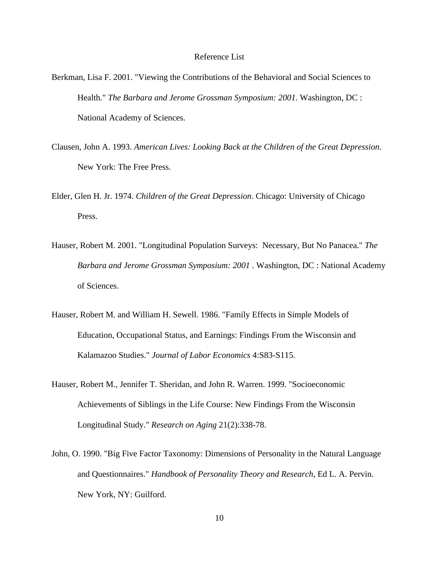#### Reference List

- Berkman, Lisa F. 2001. "Viewing the Contributions of the Behavioral and Social Sciences to Health." *The Barbara and Jerome Grossman Symposium: 2001*. Washington, DC : National Academy of Sciences.
- Clausen, John A. 1993. *American Lives: Looking Back at the Children of the Great Depression*. New York: The Free Press.
- Elder, Glen H. Jr. 1974. *Children of the Great Depression*. Chicago: University of Chicago Press.
- Hauser, Robert M. 2001. "Longitudinal Population Surveys: Necessary, But No Panacea." *The Barbara and Jerome Grossman Symposium: 2001* . Washington, DC : National Academy of Sciences.
- Hauser, Robert M. and William H. Sewell. 1986. "Family Effects in Simple Models of Education, Occupational Status, and Earnings: Findings From the Wisconsin and Kalamazoo Studies." *Journal of Labor Economics* 4:S83-S115.
- Hauser, Robert M., Jennifer T. Sheridan, and John R. Warren. 1999. "Socioeconomic Achievements of Siblings in the Life Course: New Findings From the Wisconsin Longitudinal Study." *Research on Aging* 21(2):338-78.
- John, O. 1990. "Big Five Factor Taxonomy: Dimensions of Personality in the Natural Language and Questionnaires." *Handbook of Personality Theory and Research*, Ed L. A. Pervin. New York, NY: Guilford.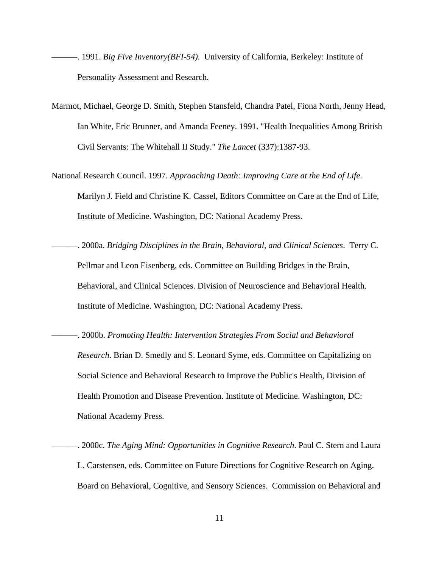- ———. 1991. *Big Five Inventory(BFI-54)*. University of California, Berkeley: Institute of Personality Assessment and Research.
- Marmot, Michael, George D. Smith, Stephen Stansfeld, Chandra Patel, Fiona North, Jenny Head, Ian White, Eric Brunner, and Amanda Feeney. 1991. "Health Inequalities Among British Civil Servants: The Whitehall II Study." *The Lancet* (337):1387-93.
- National Research Council. 1997. *Approaching Death: Improving Care at the End of Life*. Marilyn J. Field and Christine K. Cassel, Editors Committee on Care at the End of Life, Institute of Medicine. Washington, DC: National Academy Press.
- ———. 2000a. *Bridging Disciplines in the Brain, Behavioral, and Clinical Sciences*. Terry C. Pellmar and Leon Eisenberg, eds. Committee on Building Bridges in the Brain, Behavioral, and Clinical Sciences. Division of Neuroscience and Behavioral Health. Institute of Medicine. Washington, DC: National Academy Press.
	- ———. 2000b. *Promoting Health: Intervention Strategies From Social and Behavioral Research*. Brian D. Smedly and S. Leonard Syme, eds. Committee on Capitalizing on Social Science and Behavioral Research to Improve the Public's Health, Division of Health Promotion and Disease Prevention. Institute of Medicine. Washington, DC: National Academy Press.
	- ———. 2000c. *The Aging Mind: Opportunities in Cognitive Research*. Paul C. Stern and Laura L. Carstensen, eds. Committee on Future Directions for Cognitive Research on Aging. Board on Behavioral, Cognitive, and Sensory Sciences. Commission on Behavioral and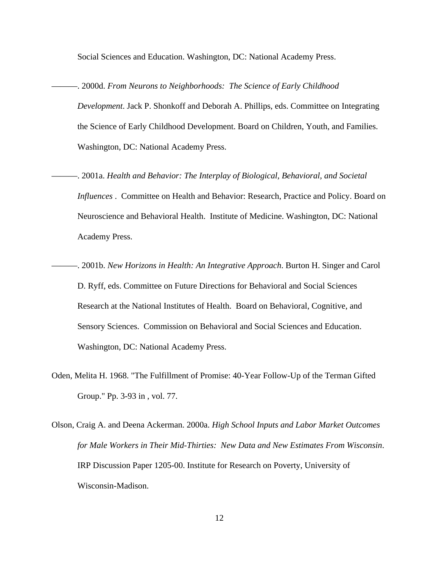Social Sciences and Education. Washington, DC: National Academy Press.

- ———. 2000d. *From Neurons to Neighborhoods: The Science of Early Childhood Development*. Jack P. Shonkoff and Deborah A. Phillips, eds. Committee on Integrating the Science of Early Childhood Development. Board on Children, Youth, and Families. Washington, DC: National Academy Press.
- ———. 2001a. *Health and Behavior: The Interplay of Biological, Behavioral, and Societal Influences* . Committee on Health and Behavior: Research, Practice and Policy. Board on Neuroscience and Behavioral Health. Institute of Medicine. Washington, DC: National Academy Press.
- ———. 2001b. *New Horizons in Health: An Integrative Approach*. Burton H. Singer and Carol D. Ryff, eds. Committee on Future Directions for Behavioral and Social Sciences Research at the National Institutes of Health. Board on Behavioral, Cognitive, and Sensory Sciences. Commission on Behavioral and Social Sciences and Education. Washington, DC: National Academy Press.
- Oden, Melita H. 1968. "The Fulfillment of Promise: 40-Year Follow-Up of the Terman Gifted Group." Pp. 3-93 in , vol. 77.
- Olson, Craig A. and Deena Ackerman. 2000a. *High School Inputs and Labor Market Outcomes for Male Workers in Their Mid-Thirties: New Data and New Estimates From Wisconsin*. IRP Discussion Paper 1205-00. Institute for Research on Poverty, University of Wisconsin-Madison.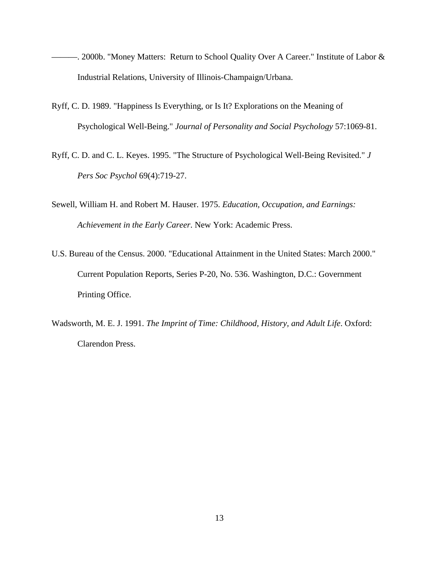- ———. 2000b. "Money Matters: Return to School Quality Over A Career." Institute of Labor & Industrial Relations, University of Illinois-Champaign/Urbana.
- Ryff, C. D. 1989. "Happiness Is Everything, or Is It? Explorations on the Meaning of Psychological Well-Being." *Journal of Personality and Social Psychology* 57:1069-81.
- Ryff, C. D. and C. L. Keyes. 1995. "The Structure of Psychological Well-Being Revisited." *J Pers Soc Psychol* 69(4):719-27.
- Sewell, William H. and Robert M. Hauser. 1975. *Education, Occupation, and Earnings: Achievement in the Early Career*. New York: Academic Press.
- U.S. Bureau of the Census. 2000. "Educational Attainment in the United States: March 2000." Current Population Reports, Series P-20, No. 536. Washington, D.C.: Government Printing Office.
- Wadsworth, M. E. J. 1991. *The Imprint of Time: Childhood, History, and Adult Life*. Oxford: Clarendon Press.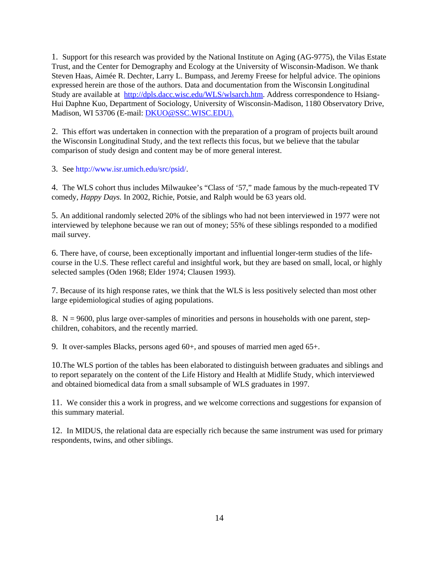1. Support for this research was provided by the National Institute on Aging (AG-9775), the Vilas Estate Trust, and the Center for Demography and Ecology at the University of Wisconsin-Madison. We thank Steven Haas, Aimée R. Dechter, Larry L. Bumpass, and Jeremy Freese for helpful advice. The opinions expressed herein are those of the authors. Data and documentation from the Wisconsin Longitudinal Study are available at http://dpls.dacc.wisc.edu/WLS/wlsarch.htm. Address correspondence to Hsiang-Hui Daphne Kuo, Department of Sociology, University of Wisconsin-Madison, 1180 Observatory Drive, Madison, WI 53706 (E-mail: DKUO@SSC.WISC.EDU).

2. This effort was undertaken in connection with the preparation of a program of projects built around the Wisconsin Longitudinal Study, and the text reflects this focus, but we believe that the tabular comparison of study design and content may be of more general interest.

3. See http://www.isr.umich.edu/src/psid/.

4. The WLS cohort thus includes Milwaukee's "Class of '57," made famous by the much-repeated TV comedy, *Happy Days.* In 2002, Richie, Potsie, and Ralph would be 63 years old.

5. An additional randomly selected 20% of the siblings who had not been interviewed in 1977 were not interviewed by telephone because we ran out of money; 55% of these siblings responded to a modified mail survey.

6. There have, of course, been exceptionally important and influential longer-term studies of the lifecourse in the U.S. These reflect careful and insightful work, but they are based on small, local, or highly selected samples (Oden 1968; Elder 1974; Clausen 1993).

7. Because of its high response rates, we think that the WLS is less positively selected than most other large epidemiological studies of aging populations.

8.  $N = 9600$ , plus large over-samples of minorities and persons in households with one parent, stepchildren, cohabitors, and the recently married.

9. It over-samples Blacks, persons aged 60+, and spouses of married men aged 65+.

10.The WLS portion of the tables has been elaborated to distinguish between graduates and siblings and to report separately on the content of the Life History and Health at Midlife Study, which interviewed and obtained biomedical data from a small subsample of WLS graduates in 1997.

11. We consider this a work in progress, and we welcome corrections and suggestions for expansion of this summary material.

12. In MIDUS, the relational data are especially rich because the same instrument was used for primary respondents, twins, and other siblings.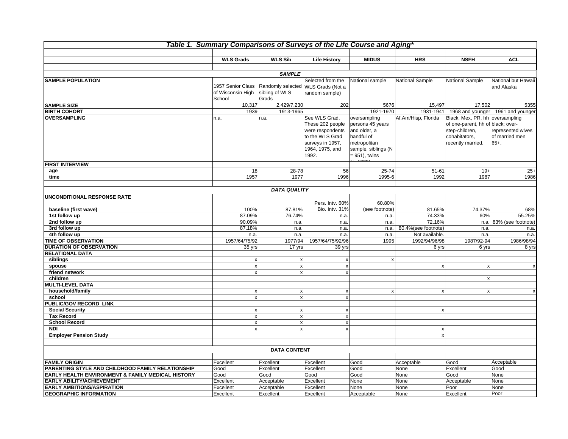|                                                          | Table 1. Summary Comparisons of Surveys of the Life Course and Aging' |                                    |                                              |                                         |                     |                                   |                           |
|----------------------------------------------------------|-----------------------------------------------------------------------|------------------------------------|----------------------------------------------|-----------------------------------------|---------------------|-----------------------------------|---------------------------|
|                                                          |                                                                       |                                    |                                              |                                         |                     |                                   |                           |
|                                                          | <b>WLS Grads</b>                                                      | <b>WLS Sib</b>                     | <b>Life History</b>                          | <b>MIDUS</b>                            | <b>HRS</b>          | <b>NSFH</b>                       | <b>ACL</b>                |
|                                                          |                                                                       |                                    |                                              |                                         |                     |                                   |                           |
|                                                          |                                                                       | <b>SAMPLE</b>                      |                                              |                                         |                     |                                   |                           |
| <b>SAMPLE POPULATION</b>                                 | 1957 Senior Class                                                     | Randomly selected                  | Selected from the<br><b>WLS Grads (Not a</b> | National sample                         | National Sample     | National Sample                   | National but Hawaii       |
|                                                          | of Wisconsin High                                                     | sibling of WLS                     | random sample)                               |                                         |                     |                                   | and Alaska                |
|                                                          | School                                                                | Grads                              |                                              |                                         |                     |                                   |                           |
| <b>SAMPLE SIZE</b>                                       | 10,317                                                                | 2,429/7,230                        | 202                                          | 5676                                    | 15,497              | 17,502                            | 5355                      |
| <b>BIRTH COHORT</b>                                      | 1939                                                                  | 1913-1965                          |                                              | 1921-1970                               | 1931-1941           | 1968 and younger                  | 1961 and younger          |
| <b>OVERSAMPLING</b>                                      | n.a.                                                                  | n.a.                               | See WLS Grad.                                | oversampling                            | Af.Am/Hisp, Florida | Black, Mex, PR, hh oversampling   |                           |
|                                                          |                                                                       |                                    | These 202 people                             | persons 45 years                        |                     | of one-parent, hh of black; over- |                           |
|                                                          |                                                                       |                                    | were respondents                             | and older, a                            |                     | step-children,                    | represented wives         |
|                                                          |                                                                       |                                    | to the WLS Grad                              | handful of                              |                     | cohabitators.                     | of married men            |
|                                                          |                                                                       |                                    | surveys in 1957,                             | metropolitan                            |                     | recently married.                 | $65+$ .                   |
|                                                          |                                                                       |                                    | 1964, 1975, and<br>1992.                     | sample, siblings (N<br>$= 951$ ), twins |                     |                                   |                           |
|                                                          |                                                                       |                                    |                                              | 400F                                    |                     |                                   |                           |
| <b>FIRST INTERVIEW</b>                                   |                                                                       |                                    |                                              |                                         |                     |                                   |                           |
| age                                                      | 18                                                                    | 28-78                              | 56                                           | 25-74                                   | $51 - 61$           | $19+$                             | $25+$                     |
| time                                                     | 1957                                                                  | 1977                               | 1996                                         | 1995-6                                  | 1992                | 1987                              | 1986                      |
|                                                          |                                                                       | <b>DATA QUALITY</b>                |                                              |                                         |                     |                                   |                           |
| <b>UNCONDITIONAL RESPONSE RATE</b>                       |                                                                       |                                    |                                              |                                         |                     |                                   |                           |
|                                                          |                                                                       |                                    | Pers. Intv. 60%                              | 60.80%                                  |                     |                                   |                           |
| baseline (first wave)                                    | 100%                                                                  | 87.81%                             | Bio. Intv. 31%                               | (see footnote)                          | 81.65%              | 74.37%                            | 68%                       |
| 1st follow up                                            | 87.09%                                                                | 76.74%                             | n.a.                                         | n.a                                     | 74.33%              | 60%                               | 55.25%                    |
| 2nd follow up                                            | 90.09%                                                                | n.a.                               | n.a.                                         | n.a.                                    | 72.16%              |                                   | n.a. 83% (see footnote)   |
| 3rd follow up                                            | 87.18%                                                                | n.a.                               | n.a.                                         | n.a.                                    | 80.4%(see footnote) | n.a                               | n.a.                      |
| 4th follow up                                            | n.a                                                                   | n.a.                               | n.a.                                         | n.a.                                    | Not available.      | n.a                               | n.a.                      |
| <b>TIME OF OBSERVATION</b>                               | 1957/64/75/92                                                         | 1977/94                            | 1957/64/75/92/96                             | 1995                                    | 1992/94/96/98       | 1987/92-94                        | 1986/98/94                |
| <b>DURATION OF OBSERVATION</b><br><b>RELATIONAL DATA</b> | 35 yrs                                                                | 17 yrs                             | 39 yrs                                       |                                         | 6 yrs               | 6 yrs                             | 8 yrs                     |
| siblings                                                 | X                                                                     | X                                  | X                                            | $\boldsymbol{\mathsf{x}}$               |                     |                                   |                           |
| spouse                                                   | $\pmb{\mathsf{x}}$                                                    | $\pmb{\mathsf{x}}$                 | $\boldsymbol{\mathsf{x}}$                    |                                         | $\pmb{\times}$      | $\boldsymbol{\mathsf{x}}$         | $\boldsymbol{\mathsf{x}}$ |
| friend network                                           | $\pmb{\times}$                                                        | $\mathbf{x}$                       | $\boldsymbol{x}$                             |                                         |                     |                                   |                           |
| children                                                 |                                                                       |                                    |                                              |                                         |                     | $\pmb{\times}$                    |                           |
| <b>MULTI-LEVEL DATA</b>                                  |                                                                       |                                    |                                              |                                         |                     |                                   |                           |
| household/family                                         | $\pmb{\times}$                                                        | $\pmb{\times}$                     | $\boldsymbol{x}$                             | $\boldsymbol{\mathsf{x}}$               | $\mathsf{x}$        | $\boldsymbol{\mathsf{x}}$         | $\boldsymbol{\mathsf{x}}$ |
| school                                                   | $\pmb{\mathsf{x}}$                                                    | $\mathbf{x}$                       |                                              | x                                       |                     |                                   |                           |
| PUBLIC/GOV RECORD LINK                                   |                                                                       |                                    |                                              |                                         |                     |                                   |                           |
| <b>Social Security</b><br><b>Tax Record</b>              | $\pmb{\times}$                                                        | X                                  | X                                            |                                         | $\pmb{\times}$      |                                   |                           |
| <b>School Record</b>                                     | $\pmb{\mathsf{x}}$<br>$\pmb{\mathsf{x}}$                              | $\pmb{\mathsf{x}}$<br>$\mathsf{x}$ | $\pmb{\times}$<br>$\pmb{\mathsf{x}}$         |                                         |                     |                                   |                           |
| <b>NDI</b>                                               | $\mathsf{x}$                                                          | $\mathbf{x}$                       |                                              | x <sub>l</sub>                          | $\pmb{\times}$      |                                   |                           |
| <b>Employer Pension Study</b>                            |                                                                       |                                    |                                              |                                         | $\pmb{\times}$      |                                   |                           |
|                                                          |                                                                       |                                    |                                              |                                         |                     |                                   |                           |
|                                                          |                                                                       | <b>DATA CONTENT</b>                |                                              |                                         |                     |                                   |                           |
|                                                          |                                                                       |                                    |                                              |                                         |                     |                                   |                           |
| <b>FAMILY ORIGIN</b>                                     | Excellent                                                             | Excellent                          | Excellent                                    | Good                                    | Acceptable          | Good                              | Acceptable                |
| PARENTING STYLE AND CHILDHOOD FAMILY RELATIONSHIP        | Good                                                                  | Excellent                          | Excellent                                    | Good                                    | None                | Excellent                         | Good                      |
| EARLY HEALTH ENVIRONMENT & FAMILY MEDICAL HISTORY        | Good                                                                  | Good                               | Good                                         | Good                                    | None                | Good                              | None                      |
| <b>EARLY ABILITY/ACHIEVEMENT</b>                         | Excellent                                                             | Acceptable                         | Excellent                                    | None                                    | None                | Acceptable                        | None                      |
| <b>EARLY AMBITIONS/ASPIRATION</b>                        | Excellent                                                             | Acceptable                         | Excellent                                    | None                                    | None                | Poor                              | None                      |
| <b>GEOGRAPHIC INFORMATION</b>                            | Excellent                                                             | Excellent                          | Excellent                                    | Acceptable                              | None                | Excellent                         | Poor                      |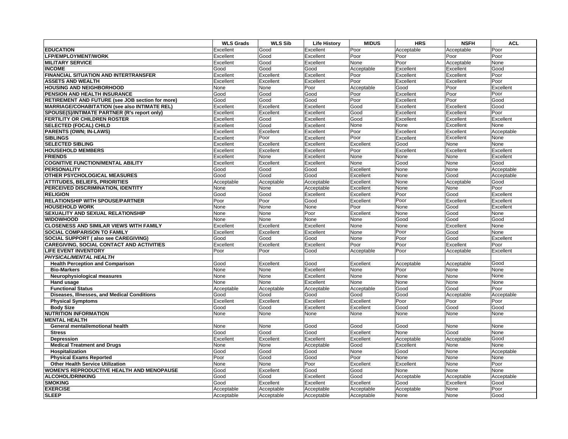|                                                                                          | <b>WLS Grads</b>       | <b>WLS Sib</b>         | <b>Life History</b>    | <b>MIDUS</b> | <b>HRS</b>   | <b>NSFH</b>       | <b>ACL</b>        |
|------------------------------------------------------------------------------------------|------------------------|------------------------|------------------------|--------------|--------------|-------------------|-------------------|
| <b>EDUCATION</b>                                                                         | Excellent              | Good                   | Excellent              | Poor         | Acceptable   | Acceptable        | Poor              |
| LFP/EMPLOYMENT/WORK                                                                      | Excellent              | Good                   | Excellent              | Poor         | Poor         | Poor              | Poor              |
| <b>MILITARY SERVICE</b>                                                                  | Excellent              | Good                   | Excellent              | None         | Poor         | Acceptable        | None              |
| <b>INCOME</b>                                                                            | Good                   | Good                   | Good                   | Acceptable   | Excellent    | Excellent         | Good              |
| <b>FINANCIAL SITUATION AND INTERTRANSFER</b>                                             | Excellent              | Excellent              | Excellent              | Poor         | Excellent    | Excellent         | Poor              |
| <b>ASSETS AND WEALTH</b>                                                                 | Excellent              | Excellent              | Excellent              | Poor         | Excellent    | Excellent         | Poor              |
| <b>HOUSING AND NEIGHBORHOOD</b>                                                          | None                   | None                   | Poor                   | Acceptable   | Good         | Poor              | Excellent         |
| PENSION AND HEALTH INSURANCE                                                             | Good                   | Good                   | Good                   | Poor         | Excellent    | Poor              | Poor              |
| RETIREMENT AND FUTURE (see JOB section for more)                                         | Good                   | Good                   | Good                   | Poor         | Excellent    | Poor              | Good              |
| <b>MARRIAGE/COHABITATION (see also INTIMATE REL)</b>                                     | Excellent              | Excellent              | Excellent              | Good         | Excellent    | Excellent         | Good              |
| SPOUSE(S)/INTIMATE PARTNER (R's report only)                                             | Excellent              | Excellent              | Excellent              | Good         | Excellent    | Excellent         | Poor              |
| FERTILITY OR CHILDREN ROSTER                                                             | Excellent              | Good                   | Excellent              | Good         | Excellent    | Excellent         | Excellent         |
| <b>SELECTED (FOCAL) CHILD</b>                                                            | Excellent              | Good                   | Excellent              | None         | None         | Excellent         | None              |
| <b>PARENTS (OWN; IN-LAWS)</b>                                                            | Excellent              | Excellent              | Excellent              | Poor         | Excellent    | Excellent         | Acceptable        |
| <b>SIBLINGS</b>                                                                          | Excellent              | Poor                   | Excellent              | Poor         | Excellent    | Excellent         | None              |
| <b>SELECTED SIBLING</b>                                                                  | Excellent              | Excellent              | Excellent              | Excellent    | Good         | None              | None              |
| <b>HOUSEHOLD MEMBERS</b>                                                                 | Excellent              | Excellent              | Excellent              | Poor         | Excellent    | Excellent         | Excellent         |
| <b>FRIENDS</b>                                                                           | Excellent              | None                   | Excellent              | None         | None         | None              | Excellent         |
| <b>COGNITIVE FUNCTION/MENTAL ABILITY</b>                                                 | Excellent              | Excellent              | Excellent              | None         | Good         | None              | Good              |
| <b>PERSONALITY</b>                                                                       | Good                   | Good                   | Good                   | Excellent    | None         | None              | Acceptable        |
| OTHER PSYCHOLOGICAL MEASURES                                                             | Good                   | Good                   | Good                   | Excellent    | None         | Good              | Acceptable        |
| <b>ATTITUDES, BELIEFS, PRIORITIES</b>                                                    | Acceptable             | Acceptable             | Acceptable             | Excellent    | None         | Acceptable        | Good              |
| PERCEIVED DISCRIMINATION, IDENTITY                                                       | None                   | None                   | Acceptable             | Excellent    | None         | None              | Poor              |
| <b>RELIGION</b>                                                                          | Good                   | Good                   | Excellent              | Excellent    | Poor         | Good              | Excellent         |
| <b>RELATIONSHIP WITH SPOUSE/PARTNER</b>                                                  | Poor                   | Poor                   | Good                   | Excellent    | Poor         | Excellent         | Excellent         |
| <b>HOUSEHOLD WORK</b>                                                                    | None                   | None                   | None                   | Poor         | None         | Good              | Excellent         |
| <b>SEXUALITY AND SEXUAL RELATIONSHIP</b>                                                 | None                   | None                   | Poor                   | Excellent    | None         | Good              | None              |
| <b>WIDOWHOOD</b>                                                                         | None                   | None                   | None                   | None         | Good         | Good              | Good              |
| <b>CLOSENESS AND SIMILAR VIEWS WITH FAMILY</b><br><b>SOCIAL COMPARISON TO FAMILY</b>     | Excellent<br>Excellent | Excellent<br>Excellent | Excellent<br>Excellent | None<br>None | None<br>Poor | Excellent<br>Good | None<br>None      |
|                                                                                          |                        | Good                   |                        |              | Poor         |                   |                   |
| SOCIAL SUPPORT (also see CAREGIVING)<br><b>CAREGIVING, SOCIAL CONTACT AND ACTIVITIES</b> | Good<br>Excellent      | Excellent              | Good<br>Excellent      | None<br>Poor | Poor         | Good<br>Excellent | Excellent<br>Poor |
| <b>LIFE EVENT INVENTORY</b>                                                              | Poor                   | Poor                   | Good                   | Acceptable   | Poor         | Acceptable        | Excellent         |
| PHYSICAL/MENTAL HEALTH                                                                   |                        |                        |                        |              |              |                   |                   |
| <b>Health Perception and Comparison</b>                                                  | Good                   | Excellent              | Good                   | Excellent    | Acceptable   | Acceptable        | Good              |
| <b>Bio-Markers</b>                                                                       | None                   | None                   | Excellent              | None         | Poor         | None              | None              |
| Neurophysiological measures                                                              | None                   | None                   | Excellent              | None         | None         | None              | None              |
| <b>Hand usage</b>                                                                        | None                   | None                   | Excellent              | None         | None         | None              | None              |
| <b>Functional Status</b>                                                                 | Acceptable             | Acceptable             | Acceptable             | Acceptable   | Good         | Good              | Poor              |
| <b>Diseases, Illnesses, and Medical Conditions</b>                                       | Good                   | Good                   | Good                   | Good         | Good         | Acceptable        | Acceptable        |
| <b>Physical Symptoms</b>                                                                 | Excellent              | Excellent              | Excellent              | Excellent    | Poor         | Poor              | Poor              |
| <b>Body Size</b>                                                                         | Good                   | Good                   | Excellent              | Excellent    | Good         | Good              | Good              |
| <b>NUTRITION INFORMATION</b>                                                             | None                   | None                   | None                   | None         | None         | None              | None              |
| <b>MENTAL HEALTH</b>                                                                     |                        |                        |                        |              |              |                   |                   |
| General mental/emotional health                                                          | None                   | None                   | Good                   | Good         | Good         | None              | None              |
| <b>Stress</b>                                                                            | Good                   | Good                   | Good                   | Excellent    | None         | Good              | None              |
| Depression                                                                               | Excellent              | Excellent              | Excellent              | Excellent    | Acceptable   | Acceptable        | Good              |
| <b>Medical Treatment and Drugs</b>                                                       | None                   | None                   | Acceptable             | Good         | Excellent    | None              | None              |
| Hospitalization                                                                          | Good                   | Good                   | Good                   | None         | Good         | None              | Acceptable        |
| <b>Physical Exams Reported</b>                                                           | Poor                   | Good                   | Good                   | Poor         | None         | None              | None              |
| <b>Other Health Service Utilization</b>                                                  | None                   | None                   | Poor                   | Excellent    | Excellent    | None              | Poor              |
| WOMEN'S REPRODUCTIVE HEALTH AND MENOPAUSE                                                | Good                   | Excellent              | Good                   | Good         | None         | None              | None              |
| <b>ALCOHOL/DRINKING</b>                                                                  | Good                   | Good                   | Excellent              | Good         | Acceptable   | Acceptable        | Acceptable        |
| <b>SMOKING</b>                                                                           | Good                   | Excellent              | Excellent              | Excellent    | Good         | Excellent         | Good              |
| <b>EXERCISE</b>                                                                          | Acceptable             | Acceptable             | Acceptable             | Acceptable   | Acceptable   | None              | Poor              |
| <b>SLEEP</b>                                                                             | Acceptable             | Acceptable             | Acceptable             | Acceptable   | None         | None              | Good              |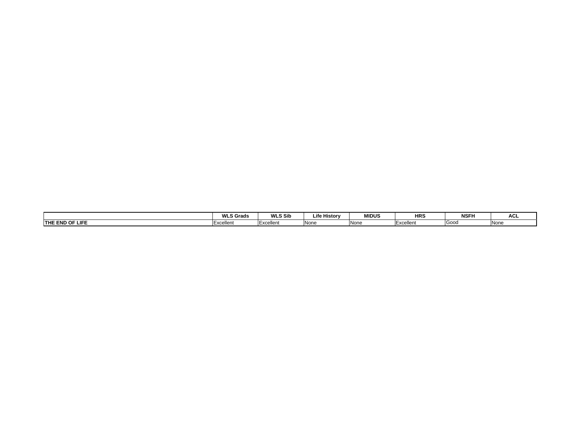|                        | <br>Grads<br>VV L | <b>WLS Sib</b> | Life<br><b>History</b> | <b>MIDUS</b> | <b>HRS</b> | NSF' | AG.  |
|------------------------|-------------------|----------------|------------------------|--------------|------------|------|------|
| <b>THE END OF LIFE</b> | Excellent         | Excellent      | <b>None</b>            | None         | Excellent  | Good | None |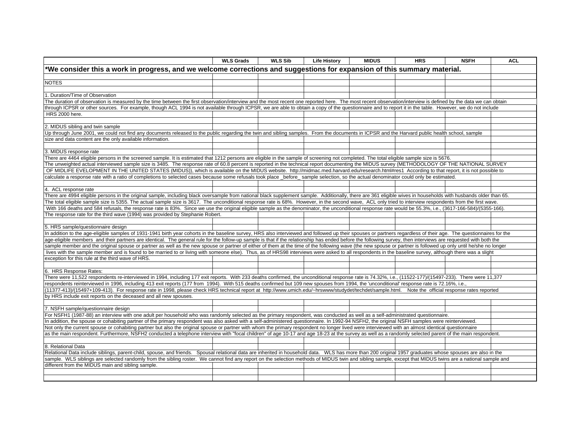| We consider this a work in progress, and we welcome corrections and suggestions for expansion of this summary material.                                                                                                                                                                                                                                                                                       | <b>WLS Grads</b> | <b>WLS Sib</b> | <b>Life History</b> | <b>MIDUS</b> | <b>HRS</b> | <b>NSFH</b> | <b>ACL</b> |
|---------------------------------------------------------------------------------------------------------------------------------------------------------------------------------------------------------------------------------------------------------------------------------------------------------------------------------------------------------------------------------------------------------------|------------------|----------------|---------------------|--------------|------------|-------------|------------|
|                                                                                                                                                                                                                                                                                                                                                                                                               |                  |                |                     |              |            |             |            |
|                                                                                                                                                                                                                                                                                                                                                                                                               |                  |                |                     |              |            |             |            |
| <b>NOTES</b>                                                                                                                                                                                                                                                                                                                                                                                                  |                  |                |                     |              |            |             |            |
|                                                                                                                                                                                                                                                                                                                                                                                                               |                  |                |                     |              |            |             |            |
| 1. Duration/Time of Observation                                                                                                                                                                                                                                                                                                                                                                               |                  |                |                     |              |            |             |            |
| The duration of observation is measured by the time between the first observation/interview and the most recent one reported here. The most recent observation/interview is defined by the data we can obtain                                                                                                                                                                                                 |                  |                |                     |              |            |             |            |
| through ICPSR or other sources. For example, though ACL 1994 is not available through ICPSR, we are able to obtain a copy of the questionnaire and to report it in the table. However, we do not include<br><b>HRS 2000 here.</b>                                                                                                                                                                             |                  |                |                     |              |            |             |            |
|                                                                                                                                                                                                                                                                                                                                                                                                               |                  |                |                     |              |            |             |            |
| 2. MIDUS sibling and twin sample                                                                                                                                                                                                                                                                                                                                                                              |                  |                |                     |              |            |             |            |
| Up through June 2001, we could not find any documents released to the public regarding the twin and sibling samples. From the documents in ICPSR and the Harvard public health school, sample                                                                                                                                                                                                                 |                  |                |                     |              |            |             |            |
| size and data content are the only available information.                                                                                                                                                                                                                                                                                                                                                     |                  |                |                     |              |            |             |            |
|                                                                                                                                                                                                                                                                                                                                                                                                               |                  |                |                     |              |            |             |            |
| 3. MIDUS response rate                                                                                                                                                                                                                                                                                                                                                                                        |                  |                |                     |              |            |             |            |
| There are 4464 eligible persons in the screened sample. It is estimated that 1212 persons are eligible in the sample of screening not completed. The total eligible sample size is 5676.                                                                                                                                                                                                                      |                  |                |                     |              |            |             |            |
| The unweighted actual interviewed sample size is 3485. The response rate of 60.8 percent is reported in the technical report documenting the MIDUS survey (METHODOLOGY OF THE NATIONAL SURVEY                                                                                                                                                                                                                 |                  |                |                     |              |            |             |            |
| OF MIDLIFE EVELOPMENT IN THE UNITED STATES (MIDUS)), which is available on the MIDUS website. http://midmac.med.harvard.edu/research.html#res1 According to that report, it is not possible to                                                                                                                                                                                                                |                  |                |                     |              |            |             |            |
| calculate a response rate with a ratio of completions to selected cases because some refusals took place _before_sample selection, so the actual denominator could only be estimated.                                                                                                                                                                                                                         |                  |                |                     |              |            |             |            |
|                                                                                                                                                                                                                                                                                                                                                                                                               |                  |                |                     |              |            |             |            |
| 4. ACL response rate                                                                                                                                                                                                                                                                                                                                                                                          |                  |                |                     |              |            |             |            |
| There are 4994 eligible persons in the original sample, including black oversample from national black supplement sample. Additionally, there are 361 eligible wives in households with husbands older than 65.                                                                                                                                                                                               |                  |                |                     |              |            |             |            |
| The total eligible sample size is 5355. The actual sample size is 3617. The unconditional response rate is 68%. However, in the second wave, ACL only tried to interview respondents from the first wave.                                                                                                                                                                                                     |                  |                |                     |              |            |             |            |
| With 166 deaths and 584 refusals, the response rate is 83%. Since we use the original eligible sample as the denominator, the unconditional response rate would be 55.3%, i.e., (3617-166-584)/(5355-166).                                                                                                                                                                                                    |                  |                |                     |              |            |             |            |
| The response rate for the third wave (1994) was provided by Stephanie Robert.                                                                                                                                                                                                                                                                                                                                 |                  |                |                     |              |            |             |            |
|                                                                                                                                                                                                                                                                                                                                                                                                               |                  |                |                     |              |            |             |            |
| 5. HRS sample/questionnaire design                                                                                                                                                                                                                                                                                                                                                                            |                  |                |                     |              |            |             |            |
| In addition to the age-eligible samples of 1931-1941 birth year cohorts in the baseline survey, HRS also interviewed and followed up their spouses or partners regardless of their age. The questionnaires for the                                                                                                                                                                                            |                  |                |                     |              |            |             |            |
| age-eligible members and their partners are identical. The general rule for the follow-up sample is that if the relationship has ended before the following survey, then interviews are requested with both the                                                                                                                                                                                               |                  |                |                     |              |            |             |            |
| sample member and the original spouse or partner as well as the new spouse or partner of either of them at the time of the following wave (the new spouse or partner is followed up only until he/she no longer                                                                                                                                                                                               |                  |                |                     |              |            |             |            |
| lives with the sample member and is found to be married to or living with someone else). Thus, as of HRS98 interviews were asked to all respondents in the baseline survey, although there was a slight                                                                                                                                                                                                       |                  |                |                     |              |            |             |            |
| exception for this rule at the third wave of HRS.                                                                                                                                                                                                                                                                                                                                                             |                  |                |                     |              |            |             |            |
|                                                                                                                                                                                                                                                                                                                                                                                                               |                  |                |                     |              |            |             |            |
|                                                                                                                                                                                                                                                                                                                                                                                                               |                  |                |                     |              |            |             |            |
| 6. HRS Response Rates:                                                                                                                                                                                                                                                                                                                                                                                        |                  |                |                     |              |            |             |            |
|                                                                                                                                                                                                                                                                                                                                                                                                               |                  |                |                     |              |            |             |            |
| There were 11,522 respondents re-interviewed in 1994, including 177 exit reports. With 233 deaths confirmed, the unconditional response rate is 74.32%, i.e., (11522-177)/(15497-233). There were 11,377<br>respondents reinterviewed in 1996, including 413 exit reports (177 from 1994). With 515 deaths confirmed but 109 new spouses from 1994, the 'unconditional' response rate is 72.16%, i.e.,        |                  |                |                     |              |            |             |            |
|                                                                                                                                                                                                                                                                                                                                                                                                               |                  |                |                     |              |            |             |            |
|                                                                                                                                                                                                                                                                                                                                                                                                               |                  |                |                     |              |            |             |            |
| (11377-413)/(15497+109-413). For response rate in 1998, please check HRS technical report at http://www.umich.edu/~hrswww/studydet/techdet/sample.html. Note the official response rates reported<br>by HRS include exit reports on the deceased and all new spouses.                                                                                                                                         |                  |                |                     |              |            |             |            |
|                                                                                                                                                                                                                                                                                                                                                                                                               |                  |                |                     |              |            |             |            |
| 7. NSFH sample/questionnaire design<br>For NSFH1 (1987-88) an interview with one adult per household who was randomly selected as the primary respondent, was conducted as well as a self-administrated questionnaire.                                                                                                                                                                                        |                  |                |                     |              |            |             |            |
| In addition, the spouse or cohabiting partner of the primary respondent was also asked with a self-administered questionnaire. In 1992-94 NSFH2, the original NSFH samples were reinterviewed.                                                                                                                                                                                                                |                  |                |                     |              |            |             |            |
|                                                                                                                                                                                                                                                                                                                                                                                                               |                  |                |                     |              |            |             |            |
|                                                                                                                                                                                                                                                                                                                                                                                                               |                  |                |                     |              |            |             |            |
| Not only the current spouse or cohabiting partner but also the original spouse or partner with whom the primary respondent no longer lived were interviewed with an almost identical questionnaire<br>as the main respondent. Furthermore, NSFH2 conducted a telephone interview with "focal children" of age 10-17 and age 18-23 at the survey as well as a randomly selected parent of the main respondent. |                  |                |                     |              |            |             |            |
| 8. Relational Data                                                                                                                                                                                                                                                                                                                                                                                            |                  |                |                     |              |            |             |            |
| Relational Data include siblings, parent-child, spouse, and friends. Spousal relational data are inherited in household data. WLS has more than 200 original 1957 graduates whose spouses are also in the                                                                                                                                                                                                     |                  |                |                     |              |            |             |            |
| sample. WLS siblings are selected randomly from the sibling roster. We cannot find any report on the selection methods of MIDUS twin and sibling sample, except that MIDUS twins are a national sample and                                                                                                                                                                                                    |                  |                |                     |              |            |             |            |
| different from the MIDUS main and sibling sample.                                                                                                                                                                                                                                                                                                                                                             |                  |                |                     |              |            |             |            |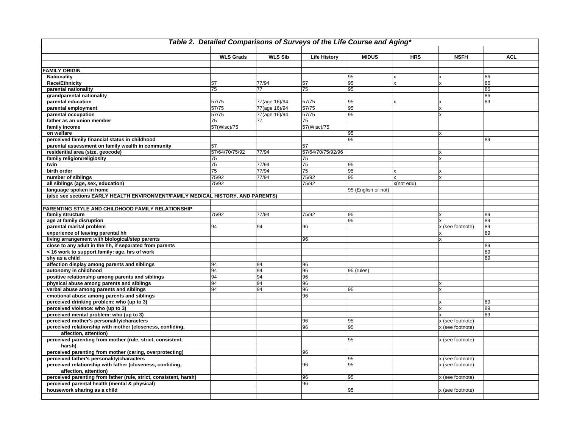| Table 2. Detailed Comparisons of Surveys of the Life Course and Aging*                                     |                  |                |                     |                     |                         |                       |            |
|------------------------------------------------------------------------------------------------------------|------------------|----------------|---------------------|---------------------|-------------------------|-----------------------|------------|
|                                                                                                            |                  |                |                     |                     |                         |                       |            |
|                                                                                                            | <b>WLS Grads</b> | <b>WLS Sib</b> | <b>Life History</b> | <b>MIDUS</b>        | <b>HRS</b>              | <b>NSFH</b>           | <b>ACL</b> |
|                                                                                                            |                  |                |                     |                     |                         |                       |            |
| <b>FAMILY ORIGIN</b>                                                                                       |                  |                |                     |                     |                         |                       |            |
| <b>Nationality</b>                                                                                         |                  |                |                     | 95                  |                         | x                     | 86         |
| Race/Ethnicity                                                                                             | 57               | 77/94          | 57                  | 95                  | $\mathbf{x}$            | x                     | 86         |
| parental nationality                                                                                       | 75               | 77             | 75                  | 95                  |                         |                       | 86         |
| grandparental nationality                                                                                  |                  |                |                     |                     |                         |                       | 86         |
| parental education                                                                                         | 57/75            | 77(age 16)/94  | 57/75               | 95                  | $\overline{\mathsf{x}}$ | x                     | 89         |
| parental employment                                                                                        | 57/75            | 77(age 16)/94  | 57/75               | 95                  |                         | $\mathbf{x}$          |            |
| parental occupation                                                                                        | 57/75            | 77(age 16)/94  | 57/75               | 95                  |                         | x                     |            |
| father as an union member                                                                                  | 75               | 77             | 75                  |                     |                         |                       |            |
| family income                                                                                              | 57(Wisc)/75      |                | 57(Wisc)/75         |                     |                         |                       |            |
| on welfare                                                                                                 |                  |                |                     | 95                  |                         | x                     |            |
| perceived family financial status in childhood                                                             |                  |                |                     | 95                  |                         |                       | 89         |
| parental assessment on family wealth in community                                                          | 57               |                | 57                  |                     |                         |                       |            |
| residential area (size, geocode)                                                                           | 57/64/70/75/92   | 77/94          | 57/64/70/75/92/96   |                     |                         | x                     |            |
| family religion/religiosity                                                                                | 75               |                | 75                  |                     |                         | x                     |            |
| twin                                                                                                       | 75               | 77/94          | 75                  | 95                  |                         |                       |            |
| birth order                                                                                                | 75               | 77/94          | 75                  | 95                  | $\mathbf{x}$            | x                     |            |
| number of siblings                                                                                         | 75/92            | 77/94          | 75/92               | 95                  | $\mathsf{x}$            | x                     |            |
| all siblings (age, sex, education)                                                                         | 75/92            |                | 75/92               |                     | x(not edu)              |                       |            |
| language spoken in home                                                                                    |                  |                |                     | 95 (English or not) |                         |                       |            |
| (also see sections EARLY HEALTH ENVIRONMENT/FAMILY MEDICAL HISTORY, AND PARENTS)                           |                  |                |                     |                     |                         |                       |            |
|                                                                                                            |                  |                |                     |                     |                         |                       |            |
| PARENTING STYLE AND CHILDHOOD FAMILY RELATIONSHIP                                                          |                  |                |                     |                     |                         |                       |            |
| family structure                                                                                           | 75/92            | 77/94          | 75/92               | 95                  |                         | x                     | 89         |
| age at family disruption                                                                                   | 94               | 94             | 96                  | 95                  |                         | x                     | 89         |
| parental marital problem                                                                                   |                  |                |                     |                     |                         | x (see footnote)<br>¥ | 89<br>89   |
| experience of leaving parental hh                                                                          |                  |                | 96                  |                     |                         |                       |            |
| living arrangement with biological/step parents<br>close to any adult in the hh, if separated from parents |                  |                |                     |                     |                         | x                     | 89         |
| < 16 work to support family: age, hrs of work                                                              |                  |                |                     |                     |                         |                       | 89         |
| shy as a child                                                                                             |                  |                |                     |                     |                         |                       | 89         |
| affection display among parents and siblings                                                               | 94               | 94             | 96                  |                     |                         |                       |            |
| autonomy in childhood                                                                                      | 94               | 94             | 96                  | 95 (rules)          |                         |                       |            |
| positive relationship among parents and siblings                                                           | 94               | 94             | 96                  |                     |                         |                       |            |
| physical abuse among parents and siblings                                                                  | 94               | 94             | 96                  |                     |                         | x                     |            |
| verbal abuse among parents and siblings                                                                    | 94               | 94             | 96                  | 95                  |                         | x                     |            |
| emotional abuse among parents and siblings                                                                 |                  |                | 96                  |                     |                         |                       |            |
| perceived drinking problem: who (up to 3)                                                                  |                  |                |                     |                     |                         | X                     | 89         |
| perceived violence: who (up to 3)                                                                          |                  |                |                     |                     |                         | x                     | 89         |
| perceived mental problem: who (up to 3)                                                                    |                  |                |                     |                     |                         | x                     | 89         |
| perceived mother's personality/characters                                                                  |                  |                | 96                  | 95                  |                         | x (see footnote)      |            |
| perceived relationship with mother (closeness, confiding,                                                  |                  |                | 96                  | 95                  |                         | x (see footnote)      |            |
| affection, attention)                                                                                      |                  |                |                     |                     |                         |                       |            |
| perceived parenting from mother (rule, strict, consistent,                                                 |                  |                |                     | 95                  |                         | x (see footnote)      |            |
| harsh)                                                                                                     |                  |                |                     |                     |                         |                       |            |
| perceived parenting from mother (caring, overprotecting)                                                   |                  |                | 96                  |                     |                         |                       |            |
| perceived father's personality/characters                                                                  |                  |                |                     | 95                  |                         | x (see footnote)      |            |
| perceived relationship with father (closeness, confiding,                                                  |                  |                | 96                  | 95                  |                         | x (see footnote)      |            |
| affection, attention)                                                                                      |                  |                |                     |                     |                         |                       |            |
| perceived parenting from father (rule, strict, consistent, harsh)                                          |                  |                | 96                  | 95                  |                         | x (see footnote)      |            |
| perceived parental health (mental & physical)                                                              |                  |                | 96                  |                     |                         |                       |            |
| housework sharing as a child                                                                               |                  |                |                     | 95                  |                         | x (see footnote)      |            |
|                                                                                                            |                  |                |                     |                     |                         |                       |            |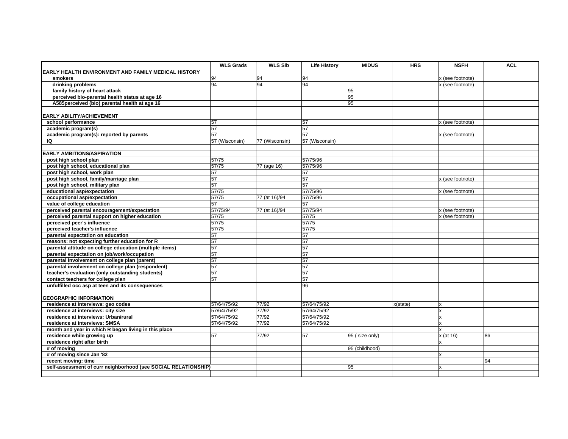|                                                                | <b>WLS Grads</b> | <b>WLS Sib</b> | <b>Life History</b> | <b>MIDUS</b>   | <b>HRS</b> | <b>NSFH</b>      | <b>ACL</b> |
|----------------------------------------------------------------|------------------|----------------|---------------------|----------------|------------|------------------|------------|
| EARLY HEALTH ENVIRONMENT AND FAMILY MEDICAL HISTORY            |                  |                |                     |                |            |                  |            |
| smokers                                                        | 94               | 94             | 94                  |                |            | x (see footnote) |            |
| drinking problems                                              | 94               | 94             | 94                  |                |            | x (see footnote) |            |
| family history of heart attack                                 |                  |                |                     | 95             |            |                  |            |
| perceived bio-parental health status at age 16                 |                  |                |                     | 95             |            |                  |            |
| A585perceived (bio) parental health at age 16                  |                  |                |                     | 95             |            |                  |            |
|                                                                |                  |                |                     |                |            |                  |            |
| <b>EARLY ABILITY/ACHIEVEMENT</b>                               |                  |                |                     |                |            |                  |            |
| school performance                                             | 57               |                | 57                  |                |            | x (see footnote) |            |
| academic program(s)                                            | 57               |                | 57                  |                |            |                  |            |
| academic program(s): reported by parents                       | 57               |                | 57                  |                |            | x (see footnote) |            |
| IQ                                                             | 57 (Wisconsin)   | 77 (Wisconsin) | 57 (Wisconsin)      |                |            |                  |            |
|                                                                |                  |                |                     |                |            |                  |            |
| <b>EARLY AMBITIONS/ASPIRATION</b>                              |                  |                |                     |                |            |                  |            |
| post high school plan                                          | 57/75            |                | 57/75/96            |                |            |                  |            |
| post high school, educational plan                             | 57/75            | 77 (age 16)    | 57/75/96            |                |            |                  |            |
| post high school, work plan                                    | 57               |                | 57                  |                |            |                  |            |
| post high school, family/marriage plan                         | 57               |                | 57                  |                |            | x (see footnote) |            |
| post high school, military plan                                | 57               |                | 57                  |                |            |                  |            |
| educational asp/expectation                                    | 57/75            |                | 57/75/96            |                |            | x (see footnote) |            |
| occupational asp/expectation                                   | 57/75            | 77 (at 16)/94  | 57/75/96            |                |            |                  |            |
| value of college education                                     | 57               |                | 57                  |                |            |                  |            |
| perceived parental encouragement/expectation                   | 57/75/94         | 77 (at 16)/94  | 57/75/94            |                |            | x (see footnote) |            |
| perceived parental support on higher education                 | 57/75            |                | 57/75               |                |            | x (see footnote) |            |
| perceived peer's influence                                     | 57/75            |                | 57/75               |                |            |                  |            |
| perceived teacher's influence                                  | 57/75            |                | 57/75               |                |            |                  |            |
| parental expectation on education                              | 57               |                | 57                  |                |            |                  |            |
| reasons: not expecting further education for R                 | 57               |                | 57                  |                |            |                  |            |
| parental attitude on college education (multiple items)        | 57               |                | 57                  |                |            |                  |            |
| parental expectation on job/work/occupation                    | 57               |                | 57                  |                |            |                  |            |
| parental involvement on college plan (parent)                  | 57               |                | 57                  |                |            |                  |            |
| parental involvement on college plan (respondent)              | 57               |                | 57                  |                |            |                  |            |
| teacher's evaluation (only outstanding students)               | 57               |                | 57                  |                |            |                  |            |
| contact teachers for college plan                              | 57               |                | 57                  |                |            |                  |            |
| unfulfilled occ asp at teen and its consequences               |                  |                | 96                  |                |            |                  |            |
|                                                                |                  |                |                     |                |            |                  |            |
| <b>GEOGRAPHIC INFORMATION</b>                                  |                  |                |                     |                |            |                  |            |
| residence at interviews: geo codes                             | 57/64/75/92      | 77/92          | 57/64/75/92         |                | x(state)   | x                |            |
| residence at interviews: city size                             | 57/64/75/92      | 77/92          | 57/64/75/92         |                |            | $\mathsf{x}$     |            |
| residence at interviews: Urban/rural                           | 57/64/75/92      | 77/92          | 57/64/75/92         |                |            | $\mathbf{x}$     |            |
| residence at interviews: SMSA                                  | 57/64/75/92      | 77/92          | 57/64/75/92         |                |            | x                |            |
| month and year in which R began living in this place           |                  |                |                     |                |            | $\mathbf{x}$     |            |
| residence while growing up                                     | 57               | 77/92          | 57                  | 95 (size only) |            | x (at 16)        | 86         |
| residence right after birth                                    |                  |                |                     |                |            | $\mathsf{x}$     |            |
| # of moving                                                    |                  |                |                     | 95 (childhood) |            |                  |            |
| # of moving since Jan '82                                      |                  |                |                     |                |            | x                |            |
| recent moving: time                                            |                  |                |                     |                |            |                  | 94         |
| self-assessment of curr neighborhood (see SOCIAL RELATIONSHIP) |                  |                |                     | 95             |            | x                |            |
|                                                                |                  |                |                     |                |            |                  |            |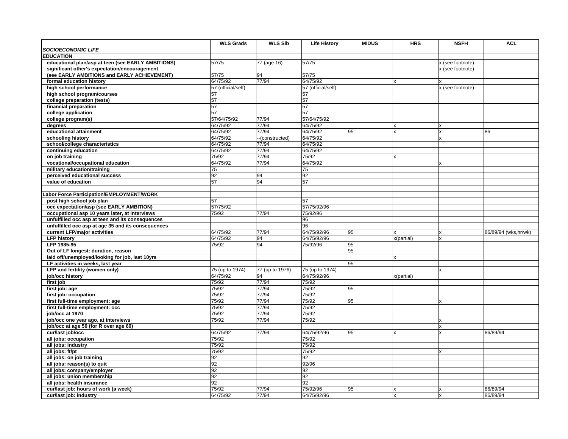|                                                    | <b>WLS Grads</b>   | <b>WLS Sib</b>        | <b>Life History</b>  | <b>MIDUS</b> | <b>HRS</b>   | <b>NSFH</b>               | <b>ACL</b>           |
|----------------------------------------------------|--------------------|-----------------------|----------------------|--------------|--------------|---------------------------|----------------------|
| <b>SOCIOECONOMIC LIFE</b>                          |                    |                       |                      |              |              |                           |                      |
| <b>EDUCATION</b>                                   |                    |                       |                      |              |              |                           |                      |
| educational plan/asp at teen (see EARLY AMBITIONS) | 57/75              | 77 (age 16)           | 57/75                |              |              | x (see footnote)          |                      |
| significant other's expectation/encouragement      |                    |                       |                      |              |              | x (see footnote)          |                      |
| (see EARLY AMBITIONS and EARLY ACHIEVEMENT)        | 57/75              | 94                    | 57/75                |              |              |                           |                      |
| formal education history                           | 64/75/92           | 77/94                 | 64/75/92             |              | x            |                           |                      |
| high school performance                            | 57 (official/self) |                       | 57 (official/self)   |              |              | x (see footnote)          |                      |
| high school program/courses                        | 57                 |                       | 57                   |              |              |                           |                      |
| college preparation (tests)                        | 57                 |                       | 57                   |              |              |                           |                      |
| financial preparation                              | 57                 |                       | 57                   |              |              |                           |                      |
| college application                                | 57                 |                       | 57                   |              |              |                           |                      |
| college program(s)                                 | 57/64/75/92        | 77/94                 | 57/64/75/92          |              |              |                           |                      |
| degrees                                            | 64/75/92           | 77/94                 | 64/75/92             |              | X            | Ιx                        |                      |
| educational attainment                             | 64/75/92           | 77/94                 | 64/75/92             | 95           | X            | x                         | 86                   |
| schooling history                                  | 64/75/92           | -(constructed)        | 64/75/92             |              |              | Ιx                        |                      |
| school/college characteristics                     | 64/75/92           | 77/94                 | 64/75/92             |              |              |                           |                      |
| continuing education                               | 64/75/92           | 77/94                 | 64/75/92             |              |              |                           |                      |
| on job training                                    | 75/92              | 77/94                 | 75/92                |              | X            |                           |                      |
| vocational/occupational education                  | 64/75/92           | 77/94                 | 64/75/92             |              |              | Ιx                        |                      |
| military education/training                        | 75                 |                       | 75                   |              |              |                           |                      |
| perceived educational success                      | 92                 | 94                    | 92                   |              |              |                           |                      |
| value of education                                 | 57                 | 94                    | 57                   |              |              |                           |                      |
|                                                    |                    |                       |                      |              |              |                           |                      |
| abor Force Participation/EMPLOYMENT/WORK           |                    |                       |                      |              |              |                           |                      |
| post high school job plan                          | 57                 |                       | 57                   |              |              |                           |                      |
| occ expectation/asp (see EARLY AMBITION)           | 57/75/92           |                       | 57/75/92/96          |              |              |                           |                      |
| occupational asp 10 years later, at interviews     | 75/92              | 77/94                 | 75/92/96             |              |              |                           |                      |
| unfulfilled occ asp at teen and its consequences   |                    |                       | 96                   |              |              |                           |                      |
| unfulfilled occ asp at age 35 and its consequences |                    |                       | 96                   |              |              |                           |                      |
| current LFP/major activities                       | 64/75/92           | 77/94                 | 64/75/92/96          | 95           | X            | $\boldsymbol{\mathsf{x}}$ | 86/89/94 (wks,hr/wk) |
| <b>LFP history</b>                                 | 64/75/92           | 94                    | 64/75/92/96          |              | x(partial)   | X                         |                      |
| LFP 1985-95                                        | 75/92              | 94                    | 75/92/96             | 95           |              |                           |                      |
| Out of LF longest: duration, reason                |                    |                       |                      | 95           |              |                           |                      |
| laid off/unemployed/looking for job, last 10yrs    |                    |                       |                      |              |              |                           |                      |
| LF activities in weeks, last year                  |                    |                       |                      | 95           |              |                           |                      |
| LFP and fertility (women only)                     | 75 (up to 1974)    | 77 (up to 1976)<br>94 | 75 (up to 1974)      |              |              | $\mathbf{x}$              |                      |
| job/occ history<br>first job                       | 64/75/92<br>75/92  | 77/94                 | 64/75/92/96<br>75/92 |              | x(partial)   |                           |                      |
| first job: age                                     | 75/92              | 77/94                 | 75/92                | 95           |              |                           |                      |
| first job: occupation                              | 75/92              | 77/94                 | 75/92                |              |              |                           |                      |
| first full-time employment: age                    | 75/92              | 77/94                 | 75/92                | 95           |              | $\mathbf{x}$              |                      |
| first full-time employment: occ                    | 75/92              | 77/94                 | 75/92                |              |              |                           |                      |
| job/occ at 1970                                    | 75/92              | 77/94                 | 75/92                |              |              |                           |                      |
| job/occ one year ago, at interviews                | 75/92              | 77/94                 | 75/92                |              |              | x                         |                      |
| job/occ at age 50 (for R over age 60)              |                    |                       |                      |              |              | lx.                       |                      |
| cur/last job/occ                                   | 64/75/92           | 77/94                 | 64/75/92/96          | 95           | $\mathbf{x}$ | x                         | 86/89/94             |
| all jobs: occupation                               | 75/92              |                       | 75/92                |              |              |                           |                      |
| all jobs: industry                                 | 75/92              |                       | 75/92                |              |              |                           |                      |
| all jobs: ft/pt                                    | 75/92              |                       | 75/92                |              |              | $\boldsymbol{\mathsf{x}}$ |                      |
| all jobs: on job training                          | 92                 |                       | 92                   |              |              |                           |                      |
| all jobs: reason(s) to quit                        | 92                 |                       | 92/96                |              |              |                           |                      |
| all jobs: company/employer                         | 92                 |                       | 92                   |              |              |                           |                      |
| all jobs: union membership                         | 92                 |                       | 92                   |              |              |                           |                      |
| all jobs: health insurance                         | 92                 |                       | 92                   |              |              |                           |                      |
| cur/last job: hours of work (a week)               | 75/92              | 77/94                 | 75/92/96             | 95           | $\mathbf x$  | Ιx                        | 86/89/94             |
| cur/last job: industry                             | 64/75/92           | 77/94                 | 64/75/92/96          |              | X            | Ιx                        | 86/89/94             |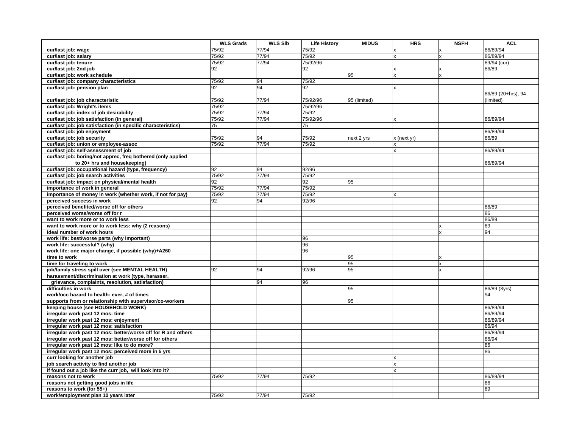|                                                                                                | <b>WLS Grads</b> | <b>WLS Sib</b> | <b>Life History</b> | <b>MIDUS</b> | <b>HRS</b>   | <b>NSFH</b>  | <b>ACL</b>         |
|------------------------------------------------------------------------------------------------|------------------|----------------|---------------------|--------------|--------------|--------------|--------------------|
| cur/last job: wage                                                                             | 75/92            | 77/94          | 75/92               |              | X            | X            | 86/89/94           |
| cur/last job: salary                                                                           | 75/92            | 77/94          | 75/92               |              | $\mathbf{x}$ | $\mathsf{x}$ | 86/89/94           |
| cur/last job: tenure                                                                           | 75/92            | 77/94          | 75/92/96            |              |              |              | 89/94 (cur)        |
| cur/last job: 2nd job                                                                          | 92               |                | 92                  |              | x            | x            | 86/89              |
| cur/last job: work schedule                                                                    |                  |                |                     | 95           | x            | Ιx           |                    |
| cur/last job: company characteristics                                                          | 75/92            | 94             | 75/92               |              |              |              |                    |
| cur/last job: pension plan                                                                     | 92               | 94             | 92                  |              | x            |              |                    |
|                                                                                                |                  |                |                     |              |              |              | 86/89 (20+hrs), 94 |
| cur/last job: job characteristic                                                               | 75/92            | 77/94          | 75/92/96            | 95 (limited) |              |              | (limited)          |
| cur/last job: Wright's items                                                                   | 75/92            |                | 75/92/96            |              |              |              |                    |
| cur/last job: index of job desirability                                                        | 75/92            | 77/94          | 75/92               |              |              |              |                    |
| cur/last job: job satisfaction (in general)                                                    | 75/92            | 77/94          | 75/92/96            |              | Y            |              | 86/89/94           |
| cur/last job: job satisfaction (in specific characteristics)                                   | 75               |                | 75                  |              |              |              |                    |
| cur/last job: job enjoyment                                                                    |                  |                |                     |              |              |              | 86/89/94           |
| cur/last job: job security                                                                     | 75/92            | 94             | 75/92               | next 2 yrs   | x (next yr)  |              | 86/89              |
| cur/last job: union or employee-assoc                                                          | 75/92            | 77/94          | 75/92               |              | x            |              |                    |
| cur/last job: self-assessment of job                                                           |                  |                |                     |              | Y            |              | 86/89/94           |
| cur/last job: boring/not apprec, freq bothered (only applied                                   |                  |                |                     |              |              |              |                    |
| to 20+ hrs and housekeeping)                                                                   |                  |                |                     |              |              |              | 86/89/94           |
| cur/last job: occupational hazard (type, frequency)                                            | 92               | 94             | 92/96               |              |              |              |                    |
| cur/last job: job search activities                                                            | 75/92            | 77/94          | 75/92               |              |              |              |                    |
| cur/last job: impact on physical/mental health                                                 | 92               |                | 92                  | 95           |              |              |                    |
| importance of work in general                                                                  | 75/92            | 77/94          | 75/92               |              |              |              |                    |
| importance of money in work (whether work, if not for pay)                                     | 75/92            | 77/94          | 75/92               |              | x            |              |                    |
| perceived success in work                                                                      | 92               | 94             | 92/96               |              |              |              |                    |
| perceived benefited/worse off for others                                                       |                  |                |                     |              |              |              | 86/89              |
| perceived worse/worse off for r                                                                |                  |                |                     |              |              |              | 86                 |
| want to work more or to work less                                                              |                  |                |                     |              |              |              | 86/89              |
| want to work more or to work less: why (2 reasons)                                             |                  |                |                     |              |              | x            | 89                 |
| ideal number of work hours                                                                     |                  |                |                     |              |              | X            | 94                 |
| work life: best/worse parts (why important)                                                    |                  |                | 96                  |              |              |              |                    |
| work life: successful? (why)                                                                   |                  |                | 96                  |              |              |              |                    |
| work life: one major change, if possible (why)+A260                                            |                  |                | 96                  |              |              |              |                    |
| time to work                                                                                   |                  |                |                     | 95           |              | X            |                    |
| time for traveling to work                                                                     |                  |                |                     | 95           |              | X            |                    |
| job/family stress spill over (see MENTAL HEALTH)                                               | 92               | 94             | 92/96               | 95           |              | X            |                    |
| harassment/discrimination at work (type, harasser,                                             |                  |                |                     |              |              |              |                    |
| grievance, complaints, resolution, satisfaction)                                               |                  | 94             | 96                  |              |              |              |                    |
| difficulties in work                                                                           |                  |                |                     | 95           |              |              | 86/89 (3yrs)       |
| work/occ hazard to health: ever, # of times                                                    |                  |                |                     |              |              |              | 94                 |
| supports from or relationship with supervisor/co-workers<br>keeping house (see HOUSEHOLD WORK) |                  |                |                     | 95           |              |              | 86/89/94           |
| irregular work past 12 mos: time                                                               |                  |                |                     |              |              |              | 86/89/94           |
| irregular work past 12 mos: enjoyment                                                          |                  |                |                     |              |              |              | 86/89/94           |
| irregular work past 12 mos: satisfaction                                                       |                  |                |                     |              |              |              | 86/94              |
| irregular work past 12 mos: better/worse off for R and others                                  |                  |                |                     |              |              |              | 86/89/94           |
| irregular work past 12 mos: better/worse off for others                                        |                  |                |                     |              |              |              | 86/94              |
| irregular work past 12 mos: like to do more?                                                   |                  |                |                     |              |              |              | 86                 |
| irregular work past 12 mos: perceived more in 5 yrs                                            |                  |                |                     |              |              |              | 86                 |
| curr looking for another job                                                                   |                  |                |                     |              | x            |              |                    |
| job search activity to find another job                                                        |                  |                |                     |              | X            |              |                    |
| if found out a job like the curr job, will look into it?                                       |                  |                |                     |              |              |              |                    |
| reasons not to work                                                                            | 75/92            | 77/94          | 75/92               |              |              |              | 86/89/94           |
| reasons not getting good jobs in life                                                          |                  |                |                     |              |              |              | 86                 |
| reasons to work (for 55+)                                                                      |                  |                |                     |              |              |              | 89                 |
| work/employment plan 10 years later                                                            | 75/92            | 77/94          | 75/92               |              |              |              |                    |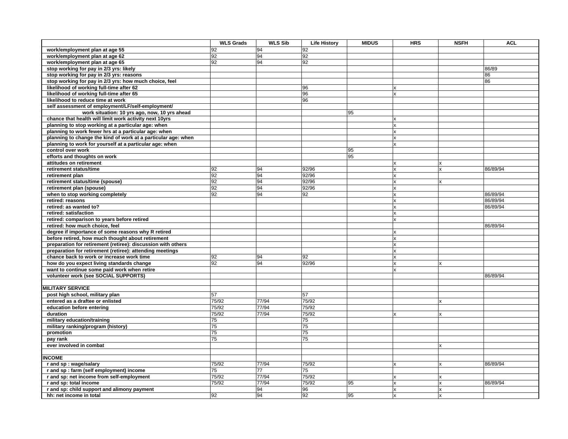|                                                               | <b>WLS Grads</b> | <b>WLS Sib</b> | <b>Life History</b> | <b>MIDUS</b> | <b>HRS</b> | <b>NSFH</b>  | <b>ACL</b> |
|---------------------------------------------------------------|------------------|----------------|---------------------|--------------|------------|--------------|------------|
| work/employment plan at age 55                                | 92               | 94             | 92                  |              |            |              |            |
| work/employment plan at age 62                                | 92               | 94             | 92                  |              |            |              |            |
| work/employment plan at age 65                                | 92               | 94             | 92                  |              |            |              |            |
| stop working for pay in 2/3 yrs: likely                       |                  |                |                     |              |            |              | 86/89      |
| stop working for pay in 2/3 yrs: reasons                      |                  |                |                     |              |            |              | 86         |
| stop working for pay in 2/3 yrs: how much choice, feel        |                  |                |                     |              |            |              | 86         |
| likelihood of working full-time after 62                      |                  |                | 96                  |              |            |              |            |
| likelihood of working full-time after 65                      |                  |                | 96                  |              | Ιx         |              |            |
| likelihood to reduce time at work                             |                  |                | 96                  |              |            |              |            |
| self assessment of employment/LF/self-employment/             |                  |                |                     |              |            |              |            |
| work situation: 10 yrs ago, now, 10 yrs ahead                 |                  |                |                     | 95           |            |              |            |
| chance that health will limit work activity next 10yrs        |                  |                |                     |              |            |              |            |
| planning to stop working at a particular age: when            |                  |                |                     |              | <b>x</b>   |              |            |
| planning to work fewer hrs at a particular age: when          |                  |                |                     |              | <b>x</b>   |              |            |
| planning to change the kind of work at a particular age: when |                  |                |                     |              | Ι¥         |              |            |
| planning to work for yourself at a particular age: when       |                  |                |                     |              | <b>x</b>   |              |            |
| control over work                                             |                  |                |                     | 95           |            |              |            |
| efforts and thoughts on work                                  |                  |                |                     | 95           |            |              |            |
| attitudes on retirement                                       |                  |                |                     |              |            | x            |            |
| retirement status/time                                        | 92               | 94             | 92/96               |              |            | $\mathsf{x}$ | 86/89/94   |
| retirement plan                                               | 92               | 94             | 92/96               |              | Ιx         |              |            |
| retirement status/time (spouse)                               | 92               | 94             | 92/96               |              |            | x            |            |
| retirement plan (spouse)                                      | 92               | 94             | 92/96               |              |            |              |            |
| when to stop working completely                               | 92               | 94             | 92                  |              | <b>x</b>   |              | 86/89/94   |
| retired: reasons                                              |                  |                |                     |              |            |              | 86/89/94   |
| retired: as wanted to?                                        |                  |                |                     |              | lx         |              | 86/89/94   |
| retired: satisfaction                                         |                  |                |                     |              |            |              |            |
| retired: comparison to years before retired                   |                  |                |                     |              |            |              |            |
| retired: how much choice, feel                                |                  |                |                     |              |            |              | 86/89/94   |
| degree if importance of some reasons why R retired            |                  |                |                     |              |            |              |            |
| before retired, how much thought about retirement             |                  |                |                     |              | lx         |              |            |
| preparation for retirement (retiree): discussion with others  |                  |                |                     |              | ΙX         |              |            |
| preparation for retirement (retiree): attending meetings      |                  |                |                     |              |            |              |            |
| chance back to work or increase work time                     | 92               | 94             | 92                  |              | Ιx         |              |            |
| how do you expect living standards change                     | 92               | 94             | 92/96               |              | <b>x</b>   | X            |            |
| want to continue some paid work when retire                   |                  |                |                     |              |            |              |            |
| volunteer work (see SOCIAL SUPPORTS)                          |                  |                |                     |              |            |              | 86/89/94   |
| <b>MILITARY SERVICE</b>                                       |                  |                |                     |              |            |              |            |
| post high school, military plan                               | 57               |                | 57                  |              |            |              |            |
| entered as a draftee or enlisted                              | 75/92            | 77/94          | 75/92               |              |            | $\mathbf{x}$ |            |
| education before entering                                     | 75/92            | 77/94          | 75/92               |              |            |              |            |
| duration                                                      | 75/92            | 77/94          | 75/92               |              | Ιx         | x            |            |
| military education/training                                   | 75               |                | 75                  |              |            |              |            |
| military ranking/program (history)                            | $\overline{75}$  |                | 75                  |              |            |              |            |
| promotion                                                     | 75               |                | 75                  |              |            |              |            |
| pay rank                                                      | 75               |                | 75                  |              |            |              |            |
| ever involved in combat                                       |                  |                |                     |              |            | x            |            |
|                                                               |                  |                |                     |              |            |              |            |
| <b>INCOME</b>                                                 |                  |                |                     |              |            |              |            |
| r and sp : wage/salary                                        | 75/92            | 77/94          | 75/92               |              | ΙX         | x            | 86/89/94   |
| r and sp : farm (self employment) income                      | 75               | 77             | 75                  |              |            |              |            |
| r and sp: net income from self-employment                     | 75/92            | 77/94          | 75/92               |              | Ιx         | x            |            |
| r and sp: total income                                        | 75/92            | 77/94          | 75/92               | 95           |            | X            | 86/89/94   |
| r and sp: child support and alimony payment                   |                  | 94             | 96                  |              | Ι¥         | x            |            |
| hh: net income in total                                       | 92               | 94             | 92                  | 95           | Ιx         | X            |            |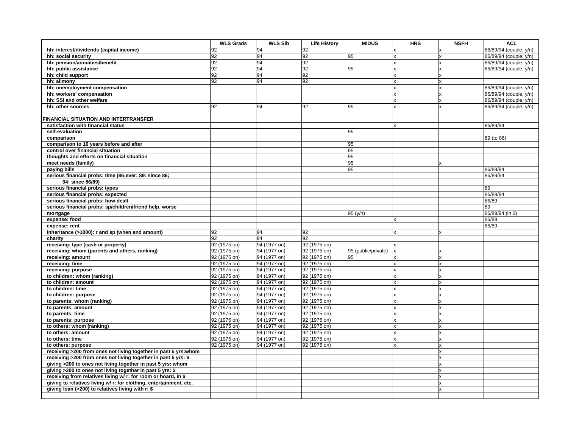|                                                                   | <b>WLS Grads</b>      | <b>WLS Sib</b> | <b>Life History</b>   | <b>MIDUS</b>        | <b>HRS</b>                | <b>NSFH</b>  | <b>ACL</b>             |
|-------------------------------------------------------------------|-----------------------|----------------|-----------------------|---------------------|---------------------------|--------------|------------------------|
| hh: interest/dividends (capital income)                           | 92                    | 94             | 92                    |                     | X                         | x            | 86/89/94 (couple, y/n) |
| hh: social security                                               | 92                    | 94             | 92                    | 95                  | x                         | x            | 86/89/94 (couple, y/n) |
| hh: pension/annuities/benefit                                     | 92                    | 94             | 92                    |                     | $\mathbf x$               | x            | 86/89/94 (couple, y/n) |
| hh: public assistance                                             | 92                    | 94             | 92                    | 95                  | $\mathbf x$               | x            | 86/89/94 (couple, y/n) |
| hh: child support                                                 | 92                    | 94             | 92                    |                     | $\mathbf{x}$              | x            |                        |
| hh: alimony                                                       | 92                    | 94             | 92                    |                     | X                         | X            |                        |
| hh: unemployment compensation                                     |                       |                |                       |                     | $\mathbf{x}$              | x            | 86/89/94 (couple, y/n) |
| hh: workers' compensation                                         |                       |                |                       |                     | $\mathbf{x}$              | x            | 86/89/94 (couple, y/n) |
| hh: SSI and other welfare                                         |                       |                |                       |                     | X                         | x            | 86/89/94 (couple, y/n) |
| hh: other sources                                                 | 92                    | 94             | 92                    | 95                  | x                         | x            | 86/89/94 (couple, y/n) |
|                                                                   |                       |                |                       |                     |                           |              |                        |
| FINANCIAL SITUATION AND INTERTRANSFER                             |                       |                |                       |                     |                           |              |                        |
| satisfaction with financial status                                |                       |                |                       |                     | $\mathbf{x}$              |              | 86/89/94               |
| self-evaluation                                                   |                       |                |                       | 95                  |                           |              |                        |
| comparison                                                        |                       |                |                       |                     |                           |              | 89 (to 86)             |
| comparison to 10 years before and after                           |                       |                |                       | 95                  |                           |              |                        |
| control over financial situation                                  |                       |                |                       | 95                  |                           |              |                        |
| thoughts and efforts on financial situation                       |                       |                |                       | 95                  |                           |              |                        |
| meet needs (family)                                               |                       |                |                       | 95                  |                           | x            |                        |
| paying bills                                                      |                       |                |                       | 95                  |                           |              | 86/89/94               |
| serious financial probs: time (86:ever; 89: since 86;             |                       |                |                       |                     |                           |              | 86/89/94               |
| 94: since 86/89)                                                  |                       |                |                       |                     |                           |              |                        |
| serious financial probs: types                                    |                       |                |                       |                     |                           |              | 89                     |
| serious financial probs: expected                                 |                       |                |                       |                     |                           |              | 86/89/94               |
| serious financial probs: how dealt                                |                       |                |                       |                     |                           |              | 86/89                  |
| serious financial probs: sp/children/friend help, worse           |                       |                |                       |                     |                           |              | 89                     |
| mortgage                                                          |                       |                |                       | 95 (y/n)            |                           |              | 86/89/94 (in \$)       |
| expense: food                                                     |                       |                |                       |                     | X                         |              | 86/89                  |
| expense: rent<br>inheritance (>1000): r and sp (when and amount)  | 92                    |                | 92                    |                     | $\boldsymbol{\mathsf{x}}$ |              | 86/89                  |
|                                                                   | 92                    | 94<br>94       | 92                    |                     |                           | X            |                        |
| charity<br>receiving: type (cash or property)                     | $\sqrt{92}$ (1975 on) | 94 (1977 on)   | 92 (1975 on)          |                     | $\mathbf{x}$              |              |                        |
| receiving: whom (parents and others, ranking)                     | 92 (1975 on)          | 94 (1977 on)   | 92 (1975 on)          | 95 (public/private) | x                         | x            |                        |
| receiving: amount                                                 | 92 (1975 on)          | 94 (1977 on)   | 92 (1975 on)          | 95                  | $\boldsymbol{\mathsf{x}}$ | x            |                        |
| receiving: time                                                   | 92 (1975 on)          | 94 (1977 on)   | $\sqrt{92}$ (1975 on) |                     | $\boldsymbol{\mathsf{x}}$ | x            |                        |
| receiving: purpose                                                | 92 (1975 on)          | 94 (1977 on)   | 92 (1975 on)          |                     | $\mathbf{x}$              | $\mathbf{x}$ |                        |
| to children: whom (ranking)                                       | 92 (1975 on)          | 94 (1977 on)   | 92 (1975 on)          |                     | $\mathbf{x}$              | x            |                        |
| to children: amount                                               | 92 (1975 on)          | 94 (1977 on)   | 92 (1975 on)          |                     | $\boldsymbol{\mathsf{x}}$ | x            |                        |
| to children: time                                                 | 92 (1975 on)          | 94 (1977 on)   | 92 (1975 on)          |                     | $\mathbf x$               | x            |                        |
| to children: purpose                                              | 92 (1975 on)          | 94 (1977 on)   | 92 (1975 on)          |                     | $\mathbf{x}$              | $\mathbf{x}$ |                        |
| to parents: whom (ranking)                                        | 92 (1975 on)          | 94 (1977 on)   | 92 (1975 on)          |                     | $\mathbf x$               | x            |                        |
| to parents: amount                                                | 92 (1975 on)          | 94 (1977 on)   | 92 (1975 on)          |                     | $\mathbf x$               | x            |                        |
| to parents: time                                                  | 92 (1975 on)          | 94 (1977 on)   | 92 (1975 on)          |                     | $\boldsymbol{\mathsf{x}}$ | x            |                        |
| to parents: purpose                                               | 92 (1975 on)          | 94 (1977 on)   | 92 (1975 on)          |                     | $\mathbf{x}$              | x            |                        |
| to others: whom (ranking)                                         | 92 (1975 on)          | 94 (1977 on)   | 92 (1975 on)          |                     | $\mathbf{x}$              | $\mathsf{x}$ |                        |
| to others: amount                                                 | 92 (1975 on)          | 94 (1977 on)   | 92 (1975 on)          |                     | $\boldsymbol{\mathsf{x}}$ | x            |                        |
| to others: time                                                   | 92 (1975 on)          | 94 (1977 on)   | 92 (1975 on)          |                     | $\mathbf{x}$              | X            |                        |
| to others: purpose                                                | 92 (1975 on)          | 94 (1977 on)   | 92 (1975 on)          |                     | $\mathbf{x}$              | x            |                        |
| receiving >200 from ones not living together in past 5 yrs:whom   |                       |                |                       |                     |                           | x            |                        |
| receiving >200 from ones not living together in past 5 yrs: \$    |                       |                |                       |                     |                           | X            |                        |
| giving >200 to ones not living together in past 5 yrs: whom       |                       |                |                       |                     |                           | x            |                        |
| giving >200 to ones not living together in past 5 yrs: \$         |                       |                |                       |                     |                           | x            |                        |
| receiving from relatives living w/ r: for room or board, in \$    |                       |                |                       |                     |                           | x            |                        |
| giving to relatives living w/r: for clothing, entertainment, etc. |                       |                |                       |                     |                           | x            |                        |
| giving loan (>200) to relatives living with r: \$                 |                       |                |                       |                     |                           | x            |                        |
|                                                                   |                       |                |                       |                     |                           |              |                        |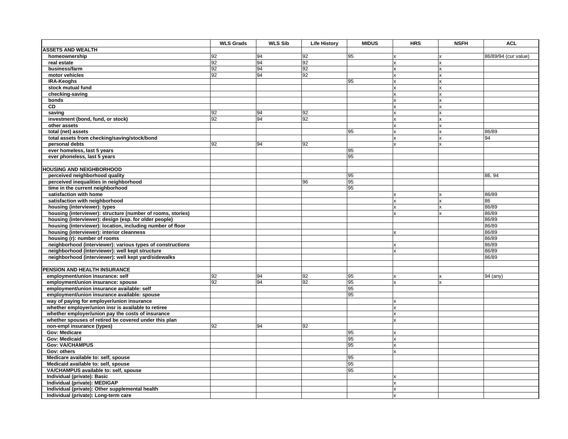|                                                             | <b>WLS Grads</b> | <b>WLS Sib</b> | <b>Life History</b> | <b>MIDUS</b> | <b>HRS</b>                   | <b>NSFH</b>  | <b>ACL</b>           |
|-------------------------------------------------------------|------------------|----------------|---------------------|--------------|------------------------------|--------------|----------------------|
| <b>ASSETS AND WEALTH</b>                                    |                  |                |                     |              |                              |              |                      |
| homeownership                                               | 92               | 94             | 92                  | 95           | $\boldsymbol{\mathsf{x}}$    | x            | 86/89/94 (cur value) |
| real estate                                                 | 92               | 94             | 92                  |              | x                            | $\mathsf{x}$ |                      |
| business/farm                                               | 92               | 94             | $\overline{92}$     |              | x                            | x            |                      |
| motor vehicles                                              | 92               | 94             | 92                  |              | lx.                          | $\mathsf{x}$ |                      |
| <b>IRA-Keoghs</b>                                           |                  |                |                     | 95           | x                            | x            |                      |
| stock mutual fund                                           |                  |                |                     |              | $\boldsymbol{\mathsf{x}}$    | x            |                      |
| checking-saving                                             |                  |                |                     |              | $\mathbf{x}$                 | $\mathsf{x}$ |                      |
| bonds                                                       |                  |                |                     |              | $\overline{\mathsf{x}}$      | x            |                      |
| CD                                                          |                  |                |                     |              | $\mathbf x$                  | $\mathsf{x}$ |                      |
| saving                                                      | 92               | 94             | 92                  |              | $\overline{\mathsf{x}}$      | $\mathsf{x}$ |                      |
| investment (bond, fund, or stock)                           | 92               | 94             | 92                  |              | $\mathbf x$                  | x            |                      |
| other assets                                                |                  |                |                     |              | $\mathsf{x}$                 | $\mathbf{x}$ |                      |
| total (net) assets                                          |                  |                |                     | 95           | x                            | $\mathsf{x}$ | 86/89                |
| total assets from checking/saving/stock/bond                |                  |                |                     |              | $\mathbf{x}$                 | x            | 94                   |
| personal debts                                              | 92               | 94             | 92                  |              | x                            | x            |                      |
| ever homeless, last 5 years                                 |                  |                |                     | 95           |                              |              |                      |
| ever phoneless, last 5 years                                |                  |                |                     | 95           |                              |              |                      |
|                                                             |                  |                |                     |              |                              |              |                      |
| <b>HOUSING AND NEIGHBORHOOD</b>                             |                  |                |                     |              |                              |              |                      |
| perceived neighborhood quality                              |                  |                |                     | 95           |                              |              | 86, 94               |
| perceived inequalities in neighborhood                      |                  |                | 96                  | 95           |                              |              |                      |
| time in the current neighborhood                            |                  |                |                     | 95           |                              |              |                      |
| satisfaction with home                                      |                  |                |                     |              | x                            | x            | 86/89                |
| satisfaction with neighborhood                              |                  |                |                     |              | lx.                          | $\mathsf{x}$ | 86                   |
| housing (interviewer): types                                |                  |                |                     |              | $\mathbf{x}$                 | x            | 86/89                |
| housing (interviewer): structure (number of rooms, stories) |                  |                |                     |              | X                            | x            | 86/89                |
| housing (interviewer): design (esp. for older people)       |                  |                |                     |              |                              |              | 86/89                |
| housing (interviewer): location, including number of floor  |                  |                |                     |              |                              |              | 86/89                |
| housing (interviewer): interior cleanness                   |                  |                |                     |              | X                            |              | 86/89                |
| housing (r): number of rooms                                |                  |                |                     |              |                              |              | 86/89                |
| neighborhood (interviewer): various types of constructions  |                  |                |                     |              | x                            |              | 86/89                |
| neighborhood (interviewer): well kept structure             |                  |                |                     |              | x                            |              | 86/89                |
| neighborhood (interviewer): well kept yard/sidewalks        |                  |                |                     |              |                              |              | 86/89                |
|                                                             |                  |                |                     |              |                              |              |                      |
| PENSION AND HEALTH INSURANCE                                |                  |                |                     |              |                              |              |                      |
| employment/union insurance: self                            | 92               | 94             | 92                  | 95           | $\mathbf{x}$                 | $\mathbf{x}$ | 94 (any)             |
| employment/union insurance: spouse                          | 92               | 94             | 92                  | 95           | x                            | x            |                      |
| employment/union insurance available: self                  |                  |                |                     | 95           |                              |              |                      |
| employment/union insurance available: spouse                |                  |                |                     | 95           |                              |              |                      |
| way of paying for employer/union insurance                  |                  |                |                     |              | X                            |              |                      |
| whether employer/union insr is available to retiree         |                  |                |                     |              | x                            |              |                      |
| whether employer/union pay the costs of insurance           |                  |                |                     |              | x                            |              |                      |
| whether spouses of retired be covered under this plan       |                  |                |                     |              | $\mathbf{x}$                 |              |                      |
| non-empl insurance (types)                                  | 92               | 94             | 92                  |              |                              |              |                      |
| <b>Gov: Medicare</b>                                        |                  |                |                     | 95           | X                            |              |                      |
| <b>Gov: Medicaid</b>                                        |                  |                |                     | 95           | x                            |              |                      |
| <b>Gov: VA/CHAMPUS</b><br>Gov: others                       |                  |                |                     | 95           | $\mathsf{x}$<br>$\mathbf{x}$ |              |                      |
| Medicare available to: self, spouse                         |                  |                |                     | 95           |                              |              |                      |
| Medicaid available to: self, spouse                         |                  |                |                     | 95           |                              |              |                      |
| VA/CHAMPUS available to: self, spouse                       |                  |                |                     | 95           |                              |              |                      |
| Individual (private): Basic                                 |                  |                |                     |              | $\mathbf{x}$                 |              |                      |
| Individual (private): MEDIGAP                               |                  |                |                     |              | x                            |              |                      |
| Individual (private): Other supplemental health             |                  |                |                     |              | x                            |              |                      |
| Individual (private): Long-term care                        |                  |                |                     |              | $\mathbf{x}$                 |              |                      |
|                                                             |                  |                |                     |              |                              |              |                      |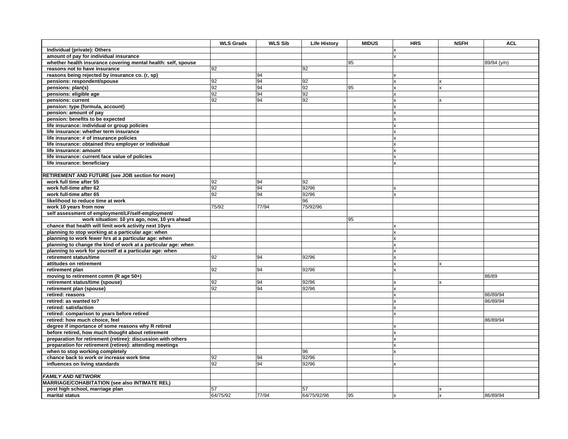|                                                               | <b>WLS Grads</b> | <b>WLS Sib</b> | <b>Life History</b> | <b>MIDUS</b> | <b>HRS</b>   | <b>NSFH</b>               | <b>ACL</b>  |
|---------------------------------------------------------------|------------------|----------------|---------------------|--------------|--------------|---------------------------|-------------|
| Individual (private): Others                                  |                  |                |                     |              |              |                           |             |
| amount of pay for individual insurance                        |                  |                |                     |              | x            |                           |             |
| whether health insurance covering mental health: self, spouse |                  |                |                     | 95           |              |                           | 89/94 (y/n) |
| reasons not to have insurance                                 | 92               |                | 92                  |              |              |                           |             |
| reasons being rejected by insurance co. (r, sp)               |                  | 94             |                     |              | Y            |                           |             |
| pensions: respondent/spouse                                   | 92               | 94             | 92                  |              | x            | X                         |             |
| pensions: plan(s)                                             | 92               | 94             | 92                  | 95           | $\mathbf{x}$ | $\mathbf{x}$              |             |
| pensions: eligible age                                        | 92               | 94             | 92                  |              | x            |                           |             |
| pensions: current                                             | 92               | 94             | 92                  |              |              | $\boldsymbol{\mathsf{x}}$ |             |
| pension: type (formula, account)                              |                  |                |                     |              |              |                           |             |
| pension: amount of pay                                        |                  |                |                     |              | x            |                           |             |
| pension: benefits to be expected                              |                  |                |                     |              |              |                           |             |
| life insurance: individual or group policies                  |                  |                |                     |              | x            |                           |             |
| life insurance: whether term insurance                        |                  |                |                     |              |              |                           |             |
| life insurance: # of insurance policies                       |                  |                |                     |              |              |                           |             |
| life insurance: obtained thru employer or individual          |                  |                |                     |              | x            |                           |             |
| life insurance: amount                                        |                  |                |                     |              | x            |                           |             |
| life insurance: current face value of policies                |                  |                |                     |              | x            |                           |             |
| life insurance: beneficiary                                   |                  |                |                     |              | x            |                           |             |
|                                                               |                  |                |                     |              |              |                           |             |
| RETIREMENT AND FUTURE (see JOB section for more)              |                  |                |                     |              |              |                           |             |
| work full time after 55                                       | 92               | 94             | 92                  |              |              |                           |             |
| work full-time after 62                                       | 92               | 94             | 92/96               |              |              |                           |             |
| work full-time after 65                                       | 92               | 94             | 92/96               |              | x            |                           |             |
| likelihood to reduce time at work                             |                  |                | 96                  |              |              |                           |             |
| work 10 years from now                                        | 75/92            | 77/94          | 75/92/96            |              |              |                           |             |
| self assessment of employment/LF/self-employment/             |                  |                |                     |              |              |                           |             |
| work situation: 10 yrs ago, now, 10 yrs ahead                 |                  |                |                     | 95           |              |                           |             |
| chance that health will limit work activity next 10yrs        |                  |                |                     |              | x            |                           |             |
| planning to stop working at a particular age: when            |                  |                |                     |              | x            |                           |             |
| planning to work fewer hrs at a particular age: when          |                  |                |                     |              |              |                           |             |
| planning to change the kind of work at a particular age: when |                  |                |                     |              | x            |                           |             |
| planning to work for yourself at a particular age: when       |                  |                |                     |              | x            |                           |             |
| retirement status/time                                        | 92               | 94             | 92/96               |              | $\mathbf{x}$ |                           |             |
| attitudes on retirement                                       |                  |                |                     |              | x            | X                         |             |
| retirement plan                                               | 92               | 94             | 92/96               |              | x            |                           |             |
| moving to retirement comm (R age 50+)                         |                  |                |                     |              |              |                           | 86/89       |
| retirement status/time (spouse)                               | 92               | 94             | 92/96               |              |              | X                         |             |
| retirement plan (spouse)                                      | 92               | 94             | 92/96               |              | $\mathbf{x}$ |                           |             |
| retired: reasons                                              |                  |                |                     |              |              |                           | 86/89/94    |
| retired: as wanted to?                                        |                  |                |                     |              |              |                           | 86/89/94    |
| retired: satisfaction                                         |                  |                |                     |              | x            |                           |             |
| retired: comparison to years before retired                   |                  |                |                     |              | Y            |                           |             |
| retired: how much choice, feel                                |                  |                |                     |              |              |                           | 86/89/94    |
| degree if importance of some reasons why R retired            |                  |                |                     |              | x            |                           |             |
| before retired, how much thought about retirement             |                  |                |                     |              | x            |                           |             |
| preparation for retirement (retiree): discussion with others  |                  |                |                     |              | $\mathbf{x}$ |                           |             |
| preparation for retirement (retiree): attending meetings      |                  |                |                     |              |              |                           |             |
| when to stop working completely                               |                  |                | 96                  |              |              |                           |             |
| chance back to work or increase work time                     | 92               | 94             | 92/96               |              |              |                           |             |
| influences on living standards                                | 92               | 94             | 92/96               |              |              |                           |             |
|                                                               |                  |                |                     |              |              |                           |             |
| <b>FAMILY AND NETWORK</b>                                     |                  |                |                     |              |              |                           |             |
| <b>MARRIAGE/COHABITATION (see also INTIMATE REL)</b>          |                  |                |                     |              |              |                           |             |
| post high school, marriage plan                               | 57               |                | 57                  |              |              | Ιx                        |             |
| marital status                                                | 64/75/92         | 77/94          | 64/75/92/96         | 95           |              | lx                        | 86/89/94    |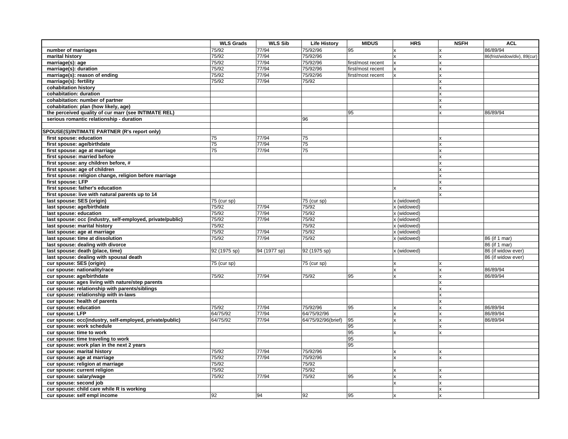|                                                            | <b>WLS Grads</b> | <b>WLS Sib</b> | <b>Life History</b> | <b>MIDUS</b>      | <b>HRS</b>   | <b>NSFH</b>               | <b>ACL</b>                   |
|------------------------------------------------------------|------------------|----------------|---------------------|-------------------|--------------|---------------------------|------------------------------|
| number of marriages                                        | 75/92            | 77/94          | 75/92/96            | 95                | X            | x                         | 86/89/94                     |
| marital history                                            | 75/92            | 77/94          | 75/92/96            |                   | X            | $\pmb{\times}$            | 86(frist/widow/div), 89(cur) |
| marriage(s): age                                           | 75/92            | 77/94          | 75/92/96            | first/most recent | x            | x                         |                              |
| marriage(s): duration                                      | 75/92            | 77/94          | 75/92/96            | first/most recent | x            | $\mathbf{x}$              |                              |
| marriage(s): reason of ending                              | 75/92            | 77/94          | 75/92/96            | first/most recent | $\mathbf{x}$ | X                         |                              |
| marriage(s): fertility                                     | 75/92            | 77/94          | 75/92               |                   |              | x                         |                              |
| cohabitation history                                       |                  |                |                     |                   |              | Ιx                        |                              |
| cohabitation: duration                                     |                  |                |                     |                   |              | Ιx                        |                              |
| cohabitation: number of partner                            |                  |                |                     |                   |              | Ιx                        |                              |
| cohabitation: plan (how likely, age)                       |                  |                |                     |                   |              | Ιx                        |                              |
| the perceived quality of cur marr (see INTIMATE REL)       |                  |                |                     | 95                |              | x                         | 86/89/94                     |
| serious romantic relationship - duration                   |                  |                | 96                  |                   |              |                           |                              |
|                                                            |                  |                |                     |                   |              |                           |                              |
| SPOUSE(S)/INTIMATE PARTNER (R's report only)               |                  |                |                     |                   |              |                           |                              |
| first spouse: education                                    | 75               | 77/94          | 75                  |                   |              | Ιx                        |                              |
| first spouse: age/birthdate                                | 75               | 77/94          | 75                  |                   |              | x                         |                              |
| first spouse: age at marriage                              | $\overline{75}$  | 77/94          | 75                  |                   |              | x                         |                              |
| first spouse: married before                               |                  |                |                     |                   |              | Ιx                        |                              |
| first spouse: any children before, #                       |                  |                |                     |                   |              | x                         |                              |
| first spouse: age of children                              |                  |                |                     |                   |              | Ιx                        |                              |
| first spouse: religion change, religion before marriage    |                  |                |                     |                   |              | Ιx                        |                              |
| first spouse: LFP                                          |                  |                |                     |                   |              | x                         |                              |
| first spouse: father's education                           |                  |                |                     |                   | $\mathbf x$  | Ιx                        |                              |
| first spouse: live with natural parents up to 14           |                  |                |                     |                   |              | $\mathbf{x}$              |                              |
| last spouse: SES (origin)                                  | 75 (cur sp)      |                | 75 (cur sp)         |                   | x (widowed)  |                           |                              |
| last spouse: age/birthdate                                 | 75/92            | 77/94          | 75/92               |                   | x (widowed)  |                           |                              |
| last spouse: education                                     | 75/92            | 77/94          | 75/92               |                   | x (widowed)  |                           |                              |
| last spouse: occ (industry, self-employed, private/public) | 75/92            | 77/94          | 75/92               |                   | x (widowed)  |                           |                              |
| last spouse: marital history                               | 75/92            |                | 75/92               |                   | x (widowed)  |                           |                              |
| last spouse: age at marriage                               | 75/92            | 77/94          | 75/92               |                   | x (widowed)  |                           |                              |
| last spouse: time at dissolution                           | 75/92            | 77/94          | 75/92               |                   | x (widowed)  |                           | 86 (if 1 mar)                |
| last spouse: dealing with divorce                          |                  |                |                     |                   |              |                           | 86 (if 1 mar)                |
| last spouse: death (place, time)                           | 92 (1975 sp)     | 94 (1977 sp)   | 92 (1975 sp)        |                   | x (widowed)  |                           | 86 (if widow ever)           |
| last spouse: dealing with spousal death                    |                  |                |                     |                   |              |                           | 86 (if widow ever)           |
| cur spouse: SES (origin)                                   | 75 (cur sp)      |                | 75 (cur sp)         |                   | x            | X                         |                              |
| cur spouse: nationality/race                               |                  |                |                     |                   | X            | $\mathbf{x}$              | 86/89/94                     |
| cur spouse: age/birthdate                                  | 75/92            | 77/94          | 75/92               | 95                | $\mathbf{x}$ | Ιx                        | 86/89/94                     |
| cur spouse: ages living with nature/step parents           |                  |                |                     |                   |              | Ιx                        |                              |
| cur spouse: relationship with parents/siblings             |                  |                |                     |                   |              | Ιx                        |                              |
| cur spouse: relationship with in-laws                      |                  |                |                     |                   |              | Ιx                        |                              |
| cur spouse: health of parents                              |                  |                |                     |                   |              | x                         |                              |
| cur spouse: education                                      | 75/92            | 77/94          | 75/92/96            | 95                | x            | x                         | 86/89/94                     |
| cur spouse: LFP                                            | 64/75/92         | 77/94          | 64/75/92/96         |                   | X            | Ιx                        | 86/89/94                     |
| cur spouse: occ(industry, self-employed, private/public)   | 64/75/92         | 77/94          | 64/75/92/96(brief)  | 95                | $\mathbf x$  | Ιx                        | 86/89/94                     |
| cur spouse: work schedule                                  |                  |                |                     | 95                |              | x                         |                              |
| cur spouse: time to work                                   |                  |                |                     | 95                | $\mathbf x$  | Ιx                        |                              |
| cur spouse: time traveling to work                         |                  |                |                     | 95                |              |                           |                              |
| cur spouse: work plan in the next 2 years                  | 75/92            | 77/94          | 75/92/96            | 95                |              |                           |                              |
| cur spouse: marital history                                |                  |                |                     |                   | X            | $\overline{\mathsf{x}}$   |                              |
| cur spouse: age at marriage                                | 75/92<br>75/92   | 77/94          | 75/92/96<br>75/92   |                   | $\mathbf{x}$ | x                         |                              |
| cur spouse: religion at marriage                           | 75/92            |                | 75/92               |                   |              |                           |                              |
| cur spouse: current religion                               | 75/92            | 77/94          | 75/92               | 95                | X            | $\boldsymbol{\mathsf{x}}$ |                              |
| cur spouse: salary/wage<br>cur spouse: second job          |                  |                |                     |                   | x<br>X       | x<br>Ιx                   |                              |
| cur spouse: child care while R is working                  |                  |                |                     |                   |              | Ιx                        |                              |
| cur spouse: self empl income                               | 92               | 94             | 92                  | 95                | X            | Ιx                        |                              |
|                                                            |                  |                |                     |                   |              |                           |                              |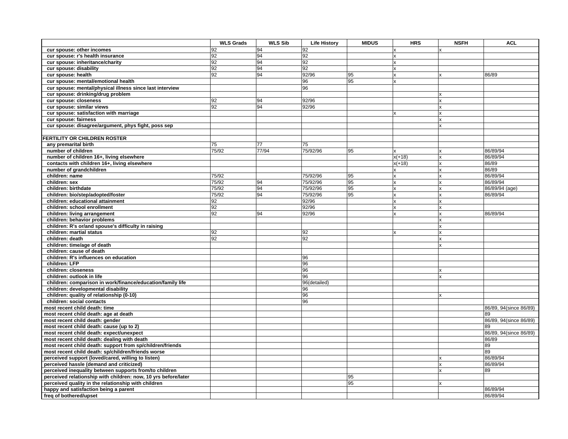|                                                                | <b>WLS Grads</b> | <b>WLS Sib</b> | <b>Life History</b> | <b>MIDUS</b> | <b>HRS</b> | <b>NSFH</b>  | <b>ACL</b>             |
|----------------------------------------------------------------|------------------|----------------|---------------------|--------------|------------|--------------|------------------------|
| cur spouse: other incomes                                      | 92               | 94             | 92                  |              |            | x            |                        |
| cur spouse: r's health insurance                               | 92               | 94             | 92                  |              |            |              |                        |
| cur spouse: inheritance/charity                                | 92               | 94             | 92                  |              | Ιx         |              |                        |
| cur spouse: disability                                         | 92               | 94             | 92                  |              |            |              |                        |
| cur spouse: health                                             | 92               | 94             | 92/96               | 95           | Ι¥         | x            | 86/89                  |
| cur spouse: mental/emotional health                            |                  |                | 96                  | 95           | Ι¥         |              |                        |
| cur spouse: mental/physical illness since last interview       |                  |                | 96                  |              |            |              |                        |
| cur spouse: drinking/drug problem                              |                  |                |                     |              |            | x            |                        |
| cur spouse: closeness                                          | 92               | 94             | 92/96               |              |            | x            |                        |
| cur spouse: similar views                                      | 92               | 94             | 92/96               |              |            | x            |                        |
| cur spouse: satisfaction with marriage                         |                  |                |                     |              | Ιx         | x            |                        |
| cur spouse: fairness                                           |                  |                |                     |              |            | x            |                        |
| cur spouse: disagree/argument, phys fight, poss sep            |                  |                |                     |              |            | $\mathsf{x}$ |                        |
|                                                                |                  |                |                     |              |            |              |                        |
| <b>FERTILITY OR CHILDREN ROSTER</b>                            |                  |                |                     |              |            |              |                        |
| any premarital birth                                           | 75               | 77             | 75                  |              |            |              |                        |
| number of children                                             | 75/92            | 77/94          | 75/92/96            | 95           | lx         | X            | 86/89/94               |
| number of children 16+, living elsewhere                       |                  |                |                     |              | $x(+18)$   | x            | 86/89/94               |
| contacts with children 16+, living elsewhere                   |                  |                |                     |              | $x(+18)$   | x            | 86/89                  |
| number of grandchildren                                        |                  |                |                     |              | Ιx         | X            | 86/89                  |
| children: name                                                 | 75/92            |                | 75/92/96            | 95           | Ιx         | x            | 86/89/94               |
| children: sex                                                  | 75/92            | 94             | 75/92/96            | 95           | Ιx         | $\mathsf{x}$ | 86/89/94               |
| children: birthdate                                            | 75/92            | 94             | 75/92/96            | 95           | x          | x            | 86/89/94 (age)         |
| children: bio/step/adopted/foster                              | 75/92            | 94             | 75/92/96            | 95           | Ιx         | $\mathsf{x}$ | 86/89/94               |
| children: educational attainment                               | 92               |                | 92/96               |              |            | $\mathsf{x}$ |                        |
| children: school enrollment                                    | 92               |                | 92/96               |              |            | $\mathsf{x}$ |                        |
| children: living arrangement                                   | 92               | 94             | 92/96               |              | Ιx         | x            | 86/89/94               |
| children: behavior problems                                    |                  |                |                     |              |            | x            |                        |
| children: R's or/and spouse's difficulty in raising            |                  |                |                     |              |            | x            |                        |
| children: martial status                                       | 92               |                | 92                  |              | Ιx         | X            |                        |
| children: death                                                | 92               |                | 92                  |              |            | x            |                        |
| children: time/age of death                                    |                  |                |                     |              |            | x            |                        |
| children: cause of death                                       |                  |                |                     |              |            |              |                        |
| children: R's influences on education                          |                  |                | 96                  |              |            |              |                        |
| children: LFP                                                  |                  |                | 96                  |              |            |              |                        |
| children: closeness                                            |                  |                | 96                  |              |            | x            |                        |
| children: outlook in life                                      |                  |                | 96                  |              |            | x            |                        |
| children: comparison in work/finance/education/family life     |                  |                | 96(detailed)        |              |            |              |                        |
| children: developmental disability                             |                  |                | 96                  |              |            |              |                        |
| children: quality of relationship (0-10)                       |                  |                | 96                  |              |            | x            |                        |
| children: social contacts                                      |                  |                | 96                  |              |            |              |                        |
| most recent child death: time                                  |                  |                |                     |              |            |              | 86/89, 94(since 86/89) |
| most recent child death: age at death                          |                  |                |                     |              |            |              | 89                     |
| most recent child death: gender                                |                  |                |                     |              |            |              | 86/89, 94(since 86/89) |
| most recent child death: cause (up to 2)                       |                  |                |                     |              |            |              | 89                     |
| most recent child death: expect/unexpect                       |                  |                |                     |              |            |              | 86/89, 94(since 86/89) |
| most recent child death: dealing with death                    |                  |                |                     |              |            |              | 86/89                  |
| most recent child death: support from sp/children/friends      |                  |                |                     |              |            |              | 89                     |
| most recent child death: sp/children/friends worse             |                  |                |                     |              |            |              | 89                     |
| perceived support (loved/cared, willing to listen)             |                  |                |                     |              |            | $\mathsf{x}$ | 86/89/94               |
| perceived hassle (demand and criticized)                       |                  |                |                     |              |            | x            | 86/89/94               |
| perceived inequality between supports from/to children         |                  |                |                     |              |            | x            | 89                     |
| perceived relationship with children: now, 10 yrs before/later |                  |                |                     | 95           |            |              |                        |
| perceived quality in the relationship with children            |                  |                |                     | 95           |            | x            |                        |
| happy and satisfaction being a parent                          |                  |                |                     |              |            |              | 86/89/94               |
| freq of bothered/upset                                         |                  |                |                     |              |            |              | 86/89/94               |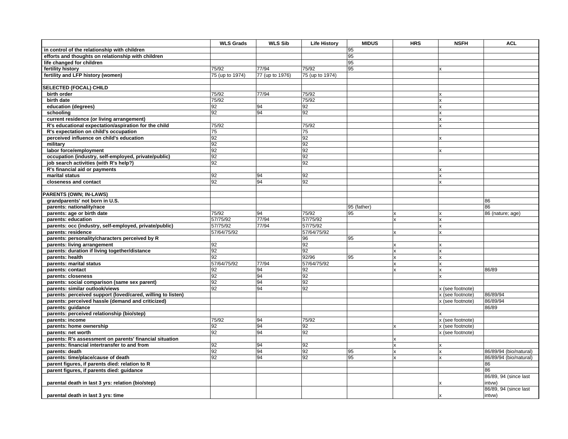|                                                             | <b>WLS Grads</b> | <b>WLS Sib</b>  | <b>Life History</b> | <b>MIDUS</b>      | <b>HRS</b>  | <b>NSFH</b>               | <b>ACL</b>                      |
|-------------------------------------------------------------|------------------|-----------------|---------------------|-------------------|-------------|---------------------------|---------------------------------|
| in control of the relationship with children                |                  |                 |                     | 95                |             |                           |                                 |
| efforts and thoughts on relationship with children          |                  |                 |                     | 95                |             |                           |                                 |
| life changed for children                                   |                  |                 |                     | 95                |             |                           |                                 |
| fertility history                                           | 75/92            | 77/94           | 75/92               | 95                |             |                           |                                 |
| fertility and LFP history (women)                           | 75 (up to 1974)  | 77 (up to 1976) | 75 (up to 1974)     |                   |             |                           |                                 |
|                                                             |                  |                 |                     |                   |             |                           |                                 |
| SELECTED (FOCAL) CHILD                                      |                  |                 |                     |                   |             |                           |                                 |
| birth order                                                 | 75/92            | 77/94           | 75/92               |                   |             | x                         |                                 |
| birth date                                                  | 75/92            |                 | 75/92               |                   |             | $\mathbf{x}$              |                                 |
| education (degrees)                                         | 92               | 94              | 92                  |                   |             |                           |                                 |
| schooling                                                   | 92               | 94              | 92                  |                   |             | $\boldsymbol{\mathsf{x}}$ |                                 |
| current residence (or living arrangement)                   |                  |                 |                     |                   |             | $\mathsf{x}$              |                                 |
| R's educational expectation/aspiration for the child        | 75/92            |                 | 75/92               |                   |             | $\mathbf x$               |                                 |
| R's expectation on child's occupation                       | 75               |                 | 75                  |                   |             |                           |                                 |
| perceived influence on child's education                    | 92               |                 | 92                  |                   |             |                           |                                 |
| military                                                    | 92               |                 | 92                  |                   |             |                           |                                 |
| labor force/employment                                      | 92               |                 | 92                  |                   |             |                           |                                 |
| occupation (industry, self-employed, private/public)        | 92               |                 | 92                  |                   |             |                           |                                 |
| job search activities (with R's help?)                      | 92               |                 | 92                  |                   |             |                           |                                 |
| R's financial aid or payments                               |                  |                 |                     |                   |             | X                         |                                 |
| marital status                                              | 92               | 94              | 92                  |                   |             | $\mathsf{x}$              |                                 |
| closeness and contact                                       | 92               | 94              | 92                  |                   |             | $\mathsf{x}$              |                                 |
|                                                             |                  |                 |                     |                   |             |                           |                                 |
| PARENTS (OWN; IN-LAWS)                                      |                  |                 |                     |                   |             |                           |                                 |
| grandparents' not born in U.S.                              |                  |                 |                     |                   |             |                           | 86                              |
| parents: nationality/race                                   |                  |                 |                     |                   |             |                           | 86                              |
| parents: age or birth date                                  | 75/92            | 94              | 75/92               | 95 (father)<br>95 |             | x                         |                                 |
|                                                             |                  | 77/94           |                     |                   | X           |                           | 86 (nature; age)                |
| parents: education                                          | 57/75/92         |                 | 57/75/92            |                   | x           | X                         |                                 |
| parents: occ (industry, self-employed, private/public)      | 57/75/92         | 77/94           | 57/75/92            |                   |             | $\mathsf{x}$              |                                 |
| parents: residence                                          | 57/64/75/92      |                 | 57/64/75/92         |                   | x           | $\boldsymbol{\mathsf{x}}$ |                                 |
| parents: personality/characters perceived by R              |                  |                 | 96                  | 95                |             |                           |                                 |
| parents: living arrangement                                 | 92               |                 | 92                  |                   | X           | x                         |                                 |
| parents: duration if living together/distance               | 92               |                 | 92                  |                   | x           | X                         |                                 |
| parents: health                                             | 92               | 77/94           | 92/96               | 95                | x           | $\overline{\mathbf{x}}$   |                                 |
| parents: marital status                                     | 57/64/75/92      |                 | 57/64/75/92         |                   | X           | $\boldsymbol{\mathsf{x}}$ |                                 |
| parents: contact                                            | 92               | 94              | 92                  |                   | x           | ×                         | 86/89                           |
| parents: closeness                                          | 92               | 94              | 92                  |                   |             | x                         |                                 |
| parents: social comparison (same sex parent)                | 92               | 94              | 92                  |                   |             |                           |                                 |
| parents: similar outlook/views                              | 92               | 94              | 92                  |                   |             | x (see footnote)          |                                 |
| parents: perceived support (loved/cared, willing to listen) |                  |                 |                     |                   |             | x (see footnote)          | 86/89/94                        |
| parents: perceived hassle (demand and criticized)           |                  |                 |                     |                   |             | x (see footnote)          | 86/89/94                        |
| parents: guidance                                           |                  |                 |                     |                   |             |                           | 86/89                           |
| parents: perceived relationship (bio/step)                  |                  |                 |                     |                   |             |                           |                                 |
| parents: income                                             | 75/92            | 94              | 75/92               |                   |             | x (see footnote)          |                                 |
| parents: home ownership                                     | 92               | 94              | 92                  |                   | $\mathbf x$ | x (see footnote)          |                                 |
| parents: net worth                                          | 92               | 94              | 92                  |                   |             | x (see footnote)          |                                 |
| parents: R's assessment on parents' financial situation     |                  |                 |                     |                   | X           |                           |                                 |
| parents: financial intertransfer to and from                | 92               | 94              | 92                  |                   | x           | x                         |                                 |
| parents: death                                              | 92               | 94              | 92                  | 95                | x           | x                         | 86/89/94 (bio/natural)          |
| parents: time/place/cause of death                          | 92               | 94              | 92                  | 95                | x           | X                         | 86/89/94 (bio/natural)          |
| parent figures, if parents died: relation to R              |                  |                 |                     |                   |             |                           | 86                              |
| parent figures, if parents died: guidance                   |                  |                 |                     |                   |             |                           | 86                              |
| parental death in last 3 yrs: relation (bio/step)           |                  |                 |                     |                   |             |                           | 86/89, 94 (since last<br>intvw) |
|                                                             |                  |                 |                     |                   |             |                           | 86/89, 94 (since last           |
| parental death in last 3 yrs: time                          |                  |                 |                     |                   |             |                           | intvw)                          |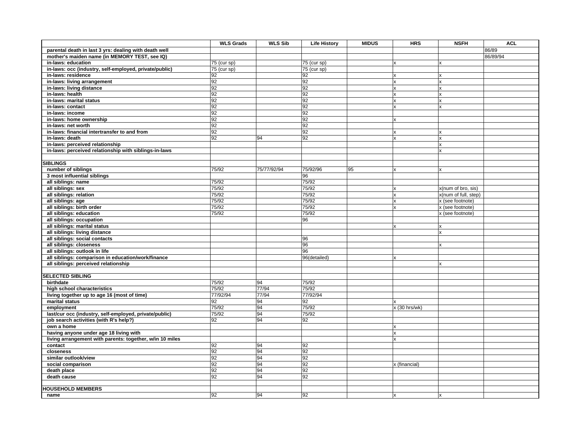|                                                          | <b>WLS Grads</b> | <b>WLS Sib</b> | <b>Life History</b> | <b>MIDUS</b> | <b>HRS</b>                | <b>NSFH</b>             | <b>ACL</b> |
|----------------------------------------------------------|------------------|----------------|---------------------|--------------|---------------------------|-------------------------|------------|
| parental death in last 3 yrs: dealing with death well    |                  |                |                     |              |                           |                         | 86/89      |
| mother's maiden name (in MEMORY TEST, see IQ)            |                  |                |                     |              |                           |                         | 86/89/94   |
| in-laws: education                                       | 75 (cur sp)      |                | 75 (cur sp)         |              | x                         | X                       |            |
| in-laws: occ (industry, self-employed, private/public)   | 75 (cur sp)      |                | 75 (cur sp)         |              |                           |                         |            |
| in-laws: residence                                       | 92               |                | 92                  |              | $\boldsymbol{\mathsf{x}}$ | x                       |            |
| in-laws: living arrangement                              | 92               |                | 92                  |              | x                         | x                       |            |
| in-laws: living distance                                 | 92               |                | 92                  |              | x                         | x                       |            |
| in-laws: health                                          | 92               |                | 92                  |              | $\mathsf{x}$              | x                       |            |
| in-laws: marital status                                  | 92               |                | 92                  |              | x                         | x                       |            |
| in-laws: contact                                         | 92               |                | 92                  |              | $\mathbf{x}$              | x                       |            |
| in-laws: income                                          | 92               |                | 92                  |              |                           |                         |            |
| in-laws: home ownership                                  | 92               |                | 92                  |              | $\boldsymbol{\mathsf{x}}$ |                         |            |
| in-laws: net worth                                       | 92               |                | 92                  |              |                           |                         |            |
| in-laws: financial intertransfer to and from             | 92               |                | 92                  |              | X                         | x                       |            |
| in-laws: death                                           | 92               | 94             | 92                  |              | $\mathbf x$               | $\overline{\mathbf{x}}$ |            |
| in-laws: perceived relationship                          |                  |                |                     |              |                           | x                       |            |
| in-laws: perceived relationship with siblings-in-laws    |                  |                |                     |              |                           | x                       |            |
|                                                          |                  |                |                     |              |                           |                         |            |
| <b>SIBLINGS</b>                                          |                  |                |                     |              |                           |                         |            |
| number of siblings                                       | 75/92            | 75/77/92/94    | 75/92/96            | 95           | x                         | x                       |            |
| 3 most influential siblings                              |                  |                | 96                  |              |                           |                         |            |
| all siblings: name                                       | 75/92            |                | 75/92               |              |                           |                         |            |
| all siblings: sex                                        | 75/92            |                | 75/92               |              | X                         | x(num of bro, sis)      |            |
| all siblings: relation                                   | 75/92            |                | 75/92               |              | $\mathsf{x}$              | x(num of full, step)    |            |
| all siblings: age                                        | 75/92            |                | 75/92               |              | x                         | x (see footnote)        |            |
| all siblings: birth order                                | 75/92            |                | 75/92               |              | $\mathsf{x}$              | x (see footnote)        |            |
| all siblings: education                                  | 75/92            |                | 75/92               |              |                           | x (see footnote)        |            |
| all siblings: occupation                                 |                  |                | 96                  |              |                           |                         |            |
| all siblings: marital status                             |                  |                |                     |              | $\mathbf x$               | x                       |            |
| all siblings: living distance                            |                  |                |                     |              |                           | x                       |            |
| all siblings: social contacts                            |                  |                | 96                  |              |                           |                         |            |
| all siblings: closeness                                  |                  |                | 96                  |              |                           | x                       |            |
| all siblings: outlook in life                            |                  |                | 96                  |              |                           |                         |            |
| all siblings: comparison in education/work/finance       |                  |                | 96(detailed)        |              | x                         |                         |            |
| all siblings: perceived relationship                     |                  |                |                     |              |                           | x                       |            |
|                                                          |                  |                |                     |              |                           |                         |            |
| <b>SELECTED SIBLING</b>                                  |                  |                |                     |              |                           |                         |            |
| birthdate                                                | 75/92            | 94             | 75/92               |              |                           |                         |            |
| high school characteristics                              | 75/92            | 77/94          | 75/92               |              |                           |                         |            |
| living together up to age 16 (most of time)              | 77/92/94         | 77/94          | 77/92/94            |              |                           |                         |            |
| marital status                                           | 92               | 94             | 92                  |              | $\boldsymbol{\mathsf{x}}$ |                         |            |
| employment                                               | 75/92            | 94             | 75/92               |              | x (30 hrs/wk)             |                         |            |
| last/cur occ (industry, self-employed, private/public)   | 75/92            | 94             | 75/92               |              |                           |                         |            |
| job search activities (with R's help?)                   | 92               | 94             | 92                  |              |                           |                         |            |
| own a home                                               |                  |                |                     |              | $\overline{\mathsf{x}}$   |                         |            |
| having anyone under age 18 living with                   |                  |                |                     |              | x                         |                         |            |
| living arrangement with parents: together, w/in 10 miles |                  |                |                     |              | x                         |                         |            |
| contact                                                  | 92               | 94             | 92                  |              |                           |                         |            |
| closeness                                                | 92               | 94             | 92                  |              |                           |                         |            |
| similar outlook/view                                     | 92               | 94<br>94       | 92                  |              |                           |                         |            |
| social comparison                                        | $\overline{92}$  |                | 92                  |              | x (financial)             |                         |            |
| death place                                              | 92               | 94             | 92                  |              |                           |                         |            |
| death cause                                              | 92               | 94             | 92                  |              |                           |                         |            |
| <b>HOUSEHOLD MEMBERS</b>                                 |                  |                |                     |              |                           |                         |            |
| name                                                     | 92               | 94             | 92                  |              | x                         | x                       |            |
|                                                          |                  |                |                     |              |                           |                         |            |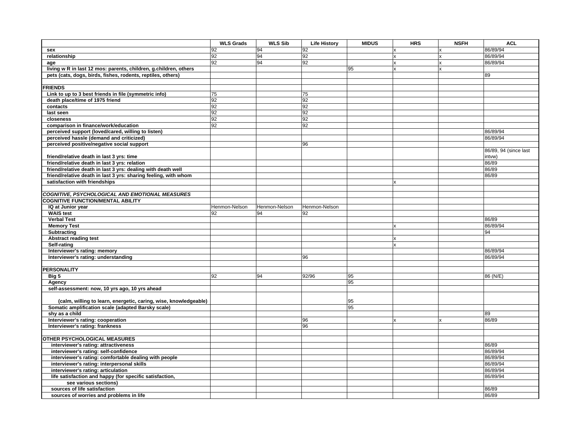|                                                                  | <b>WLS Grads</b> | <b>WLS Sib</b> | <b>Life History</b> | <b>MIDUS</b> | <b>HRS</b>   | <b>NSFH</b>               | <b>ACL</b>            |
|------------------------------------------------------------------|------------------|----------------|---------------------|--------------|--------------|---------------------------|-----------------------|
| sex                                                              | 92               | 94             | 92                  |              | X            | Ιx                        | 86/89/94              |
| relationship                                                     | 92               | 94             | 92                  |              | $\mathsf{x}$ | $\boldsymbol{\mathsf{x}}$ | 86/89/94              |
| age                                                              | 92               | 94             | 92                  |              | $\mathsf{x}$ | Ιx                        | 86/89/94              |
| living w R in last 12 mos: parents, children, g.children, others |                  |                |                     | 95           | $\mathbf{x}$ | Ιx                        |                       |
| pets (cats, dogs, birds, fishes, rodents, reptiles, others)      |                  |                |                     |              |              |                           | 89                    |
|                                                                  |                  |                |                     |              |              |                           |                       |
| <b>RIENDS</b>                                                    |                  |                |                     |              |              |                           |                       |
| Link to up to 3 best friends in file (symmetric info)            | 75               |                | 75                  |              |              |                           |                       |
| death place/time of 1975 friend                                  | 92               |                | 92                  |              |              |                           |                       |
| contacts                                                         | 92               |                | 92                  |              |              |                           |                       |
| last seen                                                        | 92               |                | 92                  |              |              |                           |                       |
| closeness                                                        | 92               |                | 92                  |              |              |                           |                       |
| comparison in finance/work/education                             | 92               |                | 92                  |              |              |                           |                       |
| perceived support (loved/cared, willing to listen)               |                  |                |                     |              |              |                           | 86/89/94              |
| perceived hassle (demand and criticized)                         |                  |                |                     |              |              |                           | 86/89/94              |
| perceived positive/negative social support                       |                  |                | 96                  |              |              |                           |                       |
|                                                                  |                  |                |                     |              |              |                           | 86/89, 94 (since last |
| friend/relative death in last 3 yrs: time                        |                  |                |                     |              |              |                           | intvw)                |
| friend/relative death in last 3 yrs: relation                    |                  |                |                     |              |              |                           | 86/89                 |
| friend/relative death in last 3 yrs: dealing with death well     |                  |                |                     |              |              |                           | 86/89                 |
| friend/relative death in last 3 yrs: sharing feeling, with whom  |                  |                |                     |              |              |                           | 86/89                 |
| satisfaction with friendships                                    |                  |                |                     |              | X            |                           |                       |
|                                                                  |                  |                |                     |              |              |                           |                       |
| <b>COGNITIVE, PSYCHOLOGICAL AND EMOTIONAL MEASURES</b>           |                  |                |                     |              |              |                           |                       |
| <b>COGNITIVE FUNCTION/MENTAL ABILITY</b>                         |                  |                |                     |              |              |                           |                       |
| IQ at Junior year                                                | Henmon-Nelson    | Henmon-Nelson  | Henmon-Nelson       |              |              |                           |                       |
| <b>WAIS test</b>                                                 | 92               | 94             | 92                  |              |              |                           |                       |
| <b>Verbal Test</b>                                               |                  |                |                     |              |              |                           |                       |
|                                                                  |                  |                |                     |              |              |                           | 86/89<br>86/89/94     |
| <b>Memory Test</b>                                               |                  |                |                     |              | x            |                           |                       |
| Subtracting                                                      |                  |                |                     |              |              |                           | 94                    |
| Abstract reading test                                            |                  |                |                     |              | X            |                           |                       |
| Self-rating                                                      |                  |                |                     |              | $\mathbf x$  |                           |                       |
| Interviewer's rating: memory                                     |                  |                |                     |              |              |                           | 86/89/94              |
| Interviewer's rating: understanding                              |                  |                | 96                  |              |              |                           | 86/89/94              |
|                                                                  |                  |                |                     |              |              |                           |                       |
| <b>ERSONALITY</b>                                                |                  |                |                     |              |              |                           |                       |
| Big 5                                                            | 92               | 94             | 92/96               | 95           |              |                           | 86 (N/E)              |
| Agency                                                           |                  |                |                     | 95           |              |                           |                       |
| self-assessment: now, 10 yrs ago, 10 yrs ahead                   |                  |                |                     |              |              |                           |                       |
|                                                                  |                  |                |                     |              |              |                           |                       |
| (calm, willing to learn, energetic, caring, wise, knowledgeable) |                  |                |                     | 95           |              |                           |                       |
| Somatic amplification scale (adapted Barsky scale)               |                  |                |                     | 95           |              |                           |                       |
| shy as a child                                                   |                  |                |                     |              |              |                           | 89                    |
| Interviewer's rating: cooperation                                |                  |                | 96                  |              | $\mathbf x$  | Ιx                        | 86/89                 |
| Interviewer's rating: frankness                                  |                  |                | 96                  |              |              |                           |                       |
|                                                                  |                  |                |                     |              |              |                           |                       |
| OTHER PSYCHOLOGICAL MEASURES                                     |                  |                |                     |              |              |                           |                       |
| interviewer's rating: attractiveness                             |                  |                |                     |              |              |                           | 86/89                 |
| interviewer's rating: self-confidence                            |                  |                |                     |              |              |                           | 86/89/94              |
| interviewer's rating: comfortable dealing with people            |                  |                |                     |              |              |                           | 86/89/94              |
| interviewer's rating: interpersonal skills                       |                  |                |                     |              |              |                           | 86/89/94              |
| interviewer's rating: articulation                               |                  |                |                     |              |              |                           | 86/89/94              |
| life satisfaction and happy (for specific satisfaction,          |                  |                |                     |              |              |                           | 86/89/94              |
| see various sections)                                            |                  |                |                     |              |              |                           |                       |
| sources of life satisfaction                                     |                  |                |                     |              |              |                           | 86/89                 |
| sources of worries and problems in life                          |                  |                |                     |              |              |                           | 86/89                 |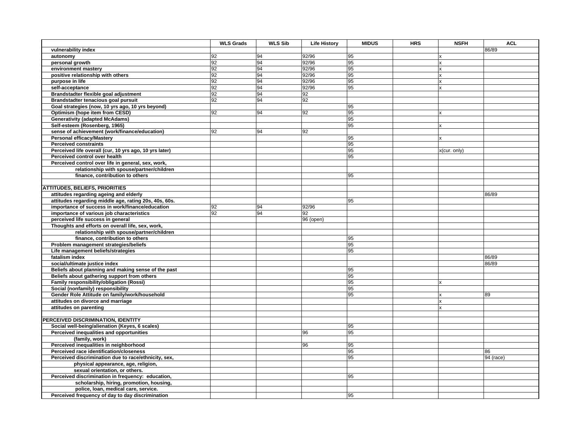|                                                                       | <b>WLS Grads</b> | <b>WLS Sib</b> | <b>Life History</b> | <b>MIDUS</b> | <b>HRS</b> | <b>NSFH</b>  | <b>ACL</b> |
|-----------------------------------------------------------------------|------------------|----------------|---------------------|--------------|------------|--------------|------------|
| vulnerability index                                                   |                  |                |                     |              |            |              | 86/89      |
| autonomy                                                              | 92               | 94             | 92/96               | 95           |            | X            |            |
| personal growth                                                       | 92               | 94             | 92/96               | 95           |            | x            |            |
| environment mastery                                                   | 92               | 94             | 92/96               | 95           |            | x            |            |
| positive relationship with others                                     | 92               | 94             | 92/96               | 95           |            | x            |            |
| purpose in life                                                       | 92               | 94             | 92/96               | 95           |            | x            |            |
| self-acceptance                                                       | 92               | 94             | 92/96               | 95           |            | x            |            |
| Brandstadter flexible goal adjustment                                 | 92               | 94             | $\overline{92}$     |              |            |              |            |
| Brandstadter tenacious goal pursuit                                   | 92               | 94             | 92                  |              |            |              |            |
| Goal strategies (now, 10 yrs ago, 10 yrs beyond)                      |                  |                |                     | 95           |            |              |            |
| Optimism (hope item from CESD)                                        | 92               | 94             | 92                  | 95           |            | x            |            |
| <b>Generativity (adapted McAdams)</b>                                 |                  |                |                     | 95           |            |              |            |
| Self-esteem (Rosenberg, 1965)                                         |                  |                |                     | 95           |            | x            |            |
| sense of achievement (work/finance/education)                         | 92               | 94             | 92                  |              |            |              |            |
| <b>Personal efficacy/Mastery</b>                                      |                  |                |                     | 95           |            | x            |            |
| <b>Perceived constraints</b>                                          |                  |                |                     | 95           |            |              |            |
| Perceived life overall (cur, 10 yrs ago, 10 yrs later)                |                  |                |                     | 95           |            | x(cur. only) |            |
| Perceived control over health                                         |                  |                |                     | 95           |            |              |            |
| Perceived control over life in general, sex, work,                    |                  |                |                     |              |            |              |            |
| relationship with spouse/partner/children                             |                  |                |                     |              |            |              |            |
| finance, contribution to others                                       |                  |                |                     | 95           |            |              |            |
|                                                                       |                  |                |                     |              |            |              |            |
| <b>ATTITUDES, BELIEFS, PRIORITIES</b>                                 |                  |                |                     |              |            |              |            |
| attitudes regarding ageing and elderly                                |                  |                |                     |              |            |              | 86/89      |
| attitudes regarding middle age, rating 20s, 40s, 60s.                 |                  |                |                     | 95           |            |              |            |
| importance of success in work/finance/education                       | 92               | 94             | 92/96               |              |            |              |            |
| importance of various job characteristics                             | 92               | 94             | 92                  |              |            |              |            |
| perceived life success in general                                     |                  |                | 96 (open)           |              |            |              |            |
| Thoughts and efforts on overall life, sex, work,                      |                  |                |                     |              |            |              |            |
| relationship with spouse/partner/children                             |                  |                |                     |              |            |              |            |
| finance, contribution to others                                       |                  |                |                     | 95           |            |              |            |
| Problem management strategies/beliefs                                 |                  |                |                     | 95           |            |              |            |
| Life management beliefs/strategies                                    |                  |                |                     | 95           |            |              |            |
| fatalism index                                                        |                  |                |                     |              |            |              | 86/89      |
| social/ultimate justice index                                         |                  |                |                     |              |            |              | 86/89      |
| Beliefs about planning and making sense of the past                   |                  |                |                     | 95           |            |              |            |
| Beliefs about gathering support from others                           |                  |                |                     | 95           |            |              |            |
| Family responsibility/obligation (Rossi)                              |                  |                |                     | 95           |            | x            |            |
| Social (nonfamily) responsibility                                     |                  |                |                     | 95           |            |              |            |
| Gender Role Attitude on family/work/household                         |                  |                |                     | 95           |            | x            | 89         |
| attitudes on divorce and marriage                                     |                  |                |                     |              |            | x            |            |
| attitudes on parenting                                                |                  |                |                     |              |            | x            |            |
|                                                                       |                  |                |                     |              |            |              |            |
| PERCEIVED DISCRIMINATION, IDENTITY                                    |                  |                |                     |              |            |              |            |
| Social well-being/alienation (Keyes, 6 scales)                        |                  |                |                     | 95           |            |              |            |
| Perceived inequalities and opportunities                              |                  |                | 96                  | 95           |            |              |            |
| (family, work)<br>Perceived inequalities in neighborhood              |                  |                |                     | 95           |            |              |            |
| Perceived race identification/closeness                               |                  |                | 96                  | 95           |            |              | 86         |
| Perceived discrimination due to race/ethnicity, sex,                  |                  |                |                     | 95           |            |              | 94 (race)  |
|                                                                       |                  |                |                     |              |            |              |            |
| physical appearance, age, religion,<br>sexual orientation, or others. |                  |                |                     |              |            |              |            |
| Perceived discrimination in frequency: education,                     |                  |                |                     | 95           |            |              |            |
| scholarship, hiring, promotion, housing,                              |                  |                |                     |              |            |              |            |
| police, loan, medical care, service.                                  |                  |                |                     |              |            |              |            |
| Perceived frequency of day to day discrimination                      |                  |                |                     | 95           |            |              |            |
|                                                                       |                  |                |                     |              |            |              |            |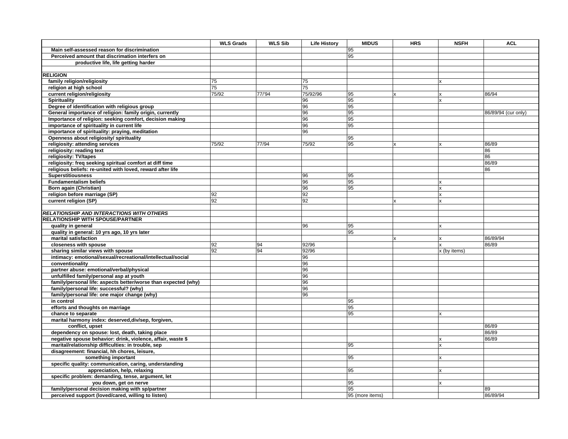|                                                                    | <b>WLS Grads</b> | <b>WLS Sib</b> | <b>Life History</b> | <b>MIDUS</b>    | <b>HRS</b>   | <b>NSFH</b>  | <b>ACL</b>          |
|--------------------------------------------------------------------|------------------|----------------|---------------------|-----------------|--------------|--------------|---------------------|
| Main self-assessed reason for discrimination                       |                  |                |                     | 95              |              |              |                     |
| Perceived amount that discrimation interfers on                    |                  |                |                     | 95              |              |              |                     |
| productive life, life getting harder                               |                  |                |                     |                 |              |              |                     |
|                                                                    |                  |                |                     |                 |              |              |                     |
| <b>RELIGION</b>                                                    |                  |                |                     |                 |              |              |                     |
| family religion/religiosity                                        | 75               |                | 75                  |                 |              | x            |                     |
| religion at high school                                            | 75               |                | 75                  |                 |              |              |                     |
| current religion/religiosity                                       | 75/92            | 77/'94         | 75/92/96            | 95              | $\mathsf{x}$ | x            | 86/94               |
| Spirituality                                                       |                  |                | 96                  | 95              |              | x            |                     |
| Degree of identification with religious group                      |                  |                | 96                  | 95              |              |              |                     |
| General importance of religion: family origin, currently           |                  |                | 96                  | 95              |              |              | 86/89/94 (cur only) |
| Importance of religion: seeking comfort, decision making           |                  |                | 96                  | 95              |              |              |                     |
| importance of spirituality in current life                         |                  |                | 96                  | 95              |              |              |                     |
| importance of spirituality: praying, meditation                    |                  |                | 96                  |                 |              |              |                     |
| Openness about religiosity/ spirituality                           |                  |                |                     | 95              |              |              |                     |
| religiosity: attending services                                    | 75/92            | 77/94          | 75/92               | 95              | $\mathsf{x}$ | x            | 86/89               |
| religiosity: reading text                                          |                  |                |                     |                 |              |              | 86                  |
| religiosity: TV/tapes                                              |                  |                |                     |                 |              |              | 86                  |
| religiosity: freq seeking spiritual comfort at diff time           |                  |                |                     |                 |              |              | 86/89               |
| religious beliefs: re-united with loved, reward after life         |                  |                |                     |                 |              |              | 86                  |
| <b>Superstitiousness</b>                                           |                  |                | 96                  | 95              |              |              |                     |
| <b>Fundamentalism beliefs</b>                                      |                  |                | 96                  | 95              |              | x            |                     |
| Born again (Christian)                                             |                  |                | 96                  | 95              |              | x            |                     |
| religion before marriage (SP)                                      | 92               |                | 92                  |                 |              | x            |                     |
| current religion (SP)                                              | 92               |                | 92                  |                 | $\mathbf{x}$ | x            |                     |
|                                                                    |                  |                |                     |                 |              |              |                     |
| <b>RELATIONSHIP AND INTERACTIONS WITH OTHERS</b>                   |                  |                |                     |                 |              |              |                     |
| <b>RELATIONSHIP WITH SPOUSE/PARTNER</b>                            |                  |                |                     |                 |              |              |                     |
| quality in general                                                 |                  |                | 96                  | 95              |              | x            |                     |
| quality in general: 10 yrs ago, 10 yrs later                       |                  |                |                     | 95              |              |              |                     |
| marital satisfaction                                               |                  |                |                     |                 |              | x            | 86/89/94            |
| closeness with spouse                                              | 92               | 94             | 92/96               |                 |              | x            | 86/89               |
| sharing similar views with spouse                                  | 92               | 94             | 92/96               |                 |              | x (by items) |                     |
| intimacy: emotional/sexual/recreational/intellectual/social        |                  |                | 96                  |                 |              |              |                     |
| conventionality                                                    |                  |                | 96                  |                 |              |              |                     |
| partner abuse: emotional/verbal/physical                           |                  |                | 96                  |                 |              |              |                     |
| unfulfilled family/personal asp at youth                           |                  |                | 96                  |                 |              |              |                     |
| family/personal life: aspects better/worse than expected (why)     |                  |                | 96                  |                 |              |              |                     |
| family/personal life: successful? (why)                            |                  |                | 96                  |                 |              |              |                     |
| family/personal life: one major change (why)<br>in control         |                  |                | 96                  | 95              |              |              |                     |
|                                                                    |                  |                |                     |                 |              |              |                     |
| efforts and thoughts on marriage<br>chance to separate             |                  |                |                     | 95<br>95        |              | x            |                     |
| marital harmony index: deserved, div/sep, forgiven,                |                  |                |                     |                 |              |              |                     |
|                                                                    |                  |                |                     |                 |              |              | 86/89               |
| conflict, upset<br>dependency on spouse: lost, death, taking place |                  |                |                     |                 |              |              | 86/89               |
| negative spouse behavior: drink, violence, affair, waste \$        |                  |                |                     |                 |              | x            | 86/89               |
| marital/relationship difficulties: in trouble, sep                 |                  |                |                     | 95              |              | x            |                     |
| disagreement: financial, hh chores, leisure,                       |                  |                |                     |                 |              |              |                     |
| something important                                                |                  |                |                     | 95              |              | x            |                     |
| specific quality: communication, caring, understanding             |                  |                |                     |                 |              |              |                     |
| appreciation, help, relaxing                                       |                  |                |                     | 95              |              | x            |                     |
| specific problem: demanding, tense, argument, let                  |                  |                |                     |                 |              |              |                     |
| you down, get on nerve                                             |                  |                |                     | 95              |              | x            |                     |
| family/personal decision making with sp/partner                    |                  |                |                     | 95              |              |              | 89                  |
| perceived support (loved/cared, willing to listen)                 |                  |                |                     | 95 (more items) |              |              | 86/89/94            |
|                                                                    |                  |                |                     |                 |              |              |                     |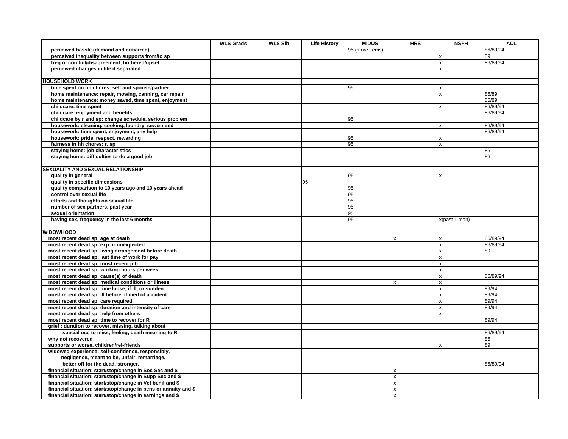|                                                                                                | <b>WLS Grads</b> | <b>WLS Sib</b> | <b>Life History</b> | <b>MIDUS</b>    | <b>HRS</b>                | <b>NSFH</b>   | <b>ACL</b>           |
|------------------------------------------------------------------------------------------------|------------------|----------------|---------------------|-----------------|---------------------------|---------------|----------------------|
| perceived hassle (demand and criticized)                                                       |                  |                |                     | 95 (more items) |                           |               | 86/89/94             |
| perceived inequality between supports from/to sp                                               |                  |                |                     |                 |                           | x             | 89                   |
| freq of conflict/disagreement, bothered/upset                                                  |                  |                |                     |                 |                           | x             | 86/89/94             |
| perceived changes in life if separated                                                         |                  |                |                     |                 |                           | x             |                      |
|                                                                                                |                  |                |                     |                 |                           |               |                      |
| <b>HOUSEHOLD WORK</b>                                                                          |                  |                |                     |                 |                           |               |                      |
| time spent on hh chores: self and spouse/partner                                               |                  |                |                     | 95              |                           | x             |                      |
| home maintenance: repair, mowing, canning, car repair                                          |                  |                |                     |                 |                           | x             | 86/89                |
| home maintenance: money saved, time spent, enjoyment                                           |                  |                |                     |                 |                           |               | 86/89                |
| childcare: time spent                                                                          |                  |                |                     |                 |                           | x             | 86/89/94             |
| childcare: enjoyment and benefits                                                              |                  |                |                     |                 |                           |               | 86/89/94             |
| childcare by r and sp: change schedule, serious problem                                        |                  |                |                     | 95              |                           |               |                      |
| housework: cleaning, cooking, laundry, sew&mend                                                |                  |                |                     |                 |                           | x             | 86/89/94             |
| housework: time spent, enjoyment, any help                                                     |                  |                |                     |                 |                           |               | 86/89/94             |
| housework: pride, respect, rewarding                                                           |                  |                |                     | 95              |                           | x             |                      |
| fairness in hh chores: r, sp                                                                   |                  |                |                     | 95              |                           | x             |                      |
| staying home: job characteristics                                                              |                  |                |                     |                 |                           |               | 86                   |
| staying home: difficulties to do a good job                                                    |                  |                |                     |                 |                           |               | 86                   |
|                                                                                                |                  |                |                     |                 |                           |               |                      |
| <b>SEXUALITY AND SEXUAL RELATIONSHIP</b>                                                       |                  |                |                     |                 |                           |               |                      |
| quality in general                                                                             |                  |                |                     | 95              |                           | x             |                      |
| quality in specific dimensions                                                                 |                  |                | 96                  |                 |                           |               |                      |
| quality comparison to 10 years ago and 10 years ahead                                          |                  |                |                     | 95              |                           |               |                      |
| control over sexual life                                                                       |                  |                |                     | 95              |                           |               |                      |
| efforts and thoughts on sexual life                                                            |                  |                |                     | 95              |                           |               |                      |
| number of sex partners, past year                                                              |                  |                |                     | 95              |                           |               |                      |
| sexual orientation                                                                             |                  |                |                     | 95              |                           |               |                      |
| having sex, frequency in the last 6 months                                                     |                  |                |                     | 95              |                           | x(past 1 mon) |                      |
|                                                                                                |                  |                |                     |                 |                           |               |                      |
| <b>WIDOWHOOD</b>                                                                               |                  |                |                     |                 |                           |               |                      |
| most recent dead sp: age at death                                                              |                  |                |                     |                 |                           | x<br>x        | 86/89/94<br>86/89/94 |
| most recent dead sp: exp or unexpected<br>most recent dead sp: living arrangement before death |                  |                |                     |                 |                           | x             | 89                   |
| most recent dead sp: last time of work for pay                                                 |                  |                |                     |                 |                           | x             |                      |
| most recent dead sp: most recent job                                                           |                  |                |                     |                 |                           | x             |                      |
| most recent dead sp: working hours per week                                                    |                  |                |                     |                 |                           | x             |                      |
| most recent dead sp: cause(s) of death                                                         |                  |                |                     |                 |                           | x             | 86/89/94             |
| most recent dead sp: medical conditions or illness                                             |                  |                |                     |                 | X                         | x             |                      |
| most recent dead sp: time lapse, if ill, or sudden                                             |                  |                |                     |                 |                           | x             | 89/94                |
| most recent dead sp: ill before, if died of accident                                           |                  |                |                     |                 |                           | X             | 89/94                |
| most recent dead sp: care required                                                             |                  |                |                     |                 |                           | x             | 89/94                |
| most recent dead sp: duration and intensity of care                                            |                  |                |                     |                 |                           | X             | 89/94                |
| most recent dead sp: help from others                                                          |                  |                |                     |                 |                           | x             |                      |
| most recent dead sp: time to recover for R                                                     |                  |                |                     |                 |                           |               | 89/94                |
| grief: duration to recover, missing, talking about                                             |                  |                |                     |                 |                           |               |                      |
| special occ to miss, feeling, death meaning to R,                                              |                  |                |                     |                 |                           |               | 86/89/94             |
| why not recovered                                                                              |                  |                |                     |                 |                           |               | 86                   |
| supports or worse, children/rel-friends                                                        |                  |                |                     |                 |                           |               | 89                   |
| widowed experience: self-confidence, responsibly,                                              |                  |                |                     |                 |                           |               |                      |
| negligence, meant to be, unfair, remarriage,                                                   |                  |                |                     |                 |                           |               |                      |
| better off for the dead, stronger.                                                             |                  |                |                     |                 |                           |               | 86/89/94             |
| financial situation: start/stop/change in Soc Sec and \$                                       |                  |                |                     |                 |                           |               |                      |
| financial situation: start/stop/change in Supp Sec and \$                                      |                  |                |                     |                 | $\boldsymbol{\mathsf{x}}$ |               |                      |
| financial situation: start/stop/change in Vet benif and \$                                     |                  |                |                     |                 |                           |               |                      |
| financial situation: start/stop/change in pens or annuity and \$                               |                  |                |                     |                 | $\mathbf{x}$              |               |                      |
| financial situation: start/stop/change in earnings and \$                                      |                  |                |                     |                 | $\mathbf x$               |               |                      |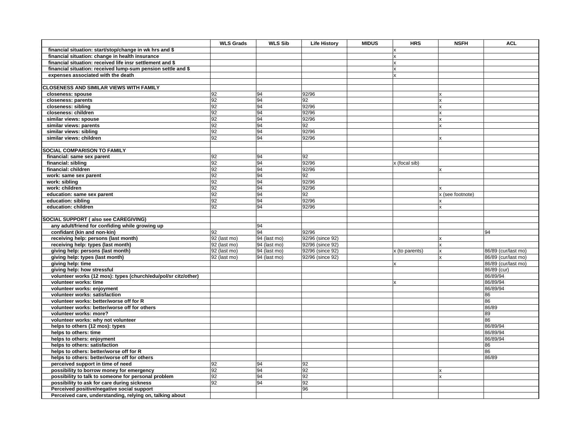|                                                                          | <b>WLS Grads</b> | <b>WLS Sib</b> | <b>Life History</b> | <b>MIDUS</b> | <b>HRS</b>     | <b>NSFH</b>               | <b>ACL</b>           |
|--------------------------------------------------------------------------|------------------|----------------|---------------------|--------------|----------------|---------------------------|----------------------|
| financial situation: start/stop/change in wk hrs and \$                  |                  |                |                     |              |                |                           |                      |
| financial situation: change in health insurance                          |                  |                |                     |              | $\mathsf{x}$   |                           |                      |
| financial situation: received life insr settlement and \$                |                  |                |                     |              | X              |                           |                      |
| financial situation: received lump-sum pension settle and \$             |                  |                |                     |              | $\mathbf x$    |                           |                      |
| expenses associated with the death                                       |                  |                |                     |              | $\mathbf{x}$   |                           |                      |
|                                                                          |                  |                |                     |              |                |                           |                      |
| CLOSENESS AND SIMILAR VIEWS WITH FAMILY                                  |                  |                |                     |              |                |                           |                      |
| closeness: spouse                                                        | 92               | 94             | 92/96               |              |                | $\boldsymbol{\mathsf{x}}$ |                      |
| closeness: parents                                                       | 92               | 94             | 92                  |              |                | X                         |                      |
| closeness: sibling                                                       | 92               | 94             | 92/96               |              |                | Ιx                        |                      |
| closeness: children                                                      | 92               | 94             | 92/96               |              |                | x                         |                      |
| similar views: spouse                                                    | 92               | 94             | 92/96               |              |                | Ιx                        |                      |
| similar views: parents                                                   | 92               | 94             | 92                  |              |                | x                         |                      |
| similar views: sibling                                                   | 92               | 94             | 92/96               |              |                |                           |                      |
| similar views: children                                                  | 92               | 94             | 92/96               |              |                | $\mathbf{x}$              |                      |
|                                                                          |                  |                |                     |              |                |                           |                      |
| SOCIAL COMPARISON TO FAMILY                                              |                  |                |                     |              |                |                           |                      |
| financial: same sex parent                                               | 92               | 94             | 92                  |              |                |                           |                      |
| financial: sibling                                                       | 92               | 94             | 92/96               |              | x (focal sib)  |                           |                      |
| financial: children                                                      | 92               | 94             | 92/96               |              |                | $\mathbf{x}$              |                      |
| work: same sex parent                                                    | 92               | 94             | 92                  |              |                |                           |                      |
| work: sibling                                                            | 92               | 94             | 92/96               |              |                |                           |                      |
| work: children                                                           | 92               | 94             | 92/96               |              |                |                           |                      |
| education: same sex parent                                               | 92               | 94             | 92                  |              |                | x (see footnote)          |                      |
| education: sibling                                                       | 92               | 94             | 92/96               |              |                | x                         |                      |
| education: children                                                      | 92               | 94             | 92/96               |              |                | Ιx                        |                      |
|                                                                          |                  |                |                     |              |                |                           |                      |
| SOCIAL SUPPORT (also see CAREGIVING)                                     |                  |                |                     |              |                |                           |                      |
| any adult/friend for confiding while growing up                          |                  | 94             |                     |              |                |                           |                      |
| confidant (kin and non-kin)                                              | 92               | 94             | 92/96               |              |                |                           | 94                   |
| receiving help: persons (last month)                                     | 92 (last mo)     | 94 (last mo)   | 92/96 (since 92)    |              |                | $\mathbf{x}$              |                      |
| receiving help: types (last month)                                       | 92 (last mo)     | 94 (last mo)   | 92/96 (since 92)    |              |                | Ιx                        |                      |
| giving help: persons (last month)                                        | 92 (last mo)     | 94 (last mo)   | 92/96 (since 92)    |              | x (to parents) | x                         | 86/89 (cur/last mo)  |
| giving help: types (last month)                                          | 92 (last mo)     | 94 (last mo)   | 92/96 (since 92)    |              |                | $\boldsymbol{\mathsf{x}}$ | 86/89 (cur/last mo)  |
| giving help: time                                                        |                  |                |                     |              | X              |                           | 86/89 (cur/last mo)  |
| giving help: how stressful                                               |                  |                |                     |              |                |                           | 86/89 (cur)          |
| volunteer works (12 mos): types (church/edu/pol/sr citz/other)           |                  |                |                     |              |                |                           | 86/89/94             |
| volunteer works: time                                                    |                  |                |                     |              | x              |                           | 86/89/94             |
| volunteer works: enjoyment                                               |                  |                |                     |              |                |                           | 86/89/94             |
| volunteer works: satisfaction                                            |                  |                |                     |              |                |                           | 86                   |
| volunteer works: better/worse off for R                                  |                  |                |                     |              |                |                           | 86                   |
| volunteer works: better/worse off for others                             |                  |                |                     |              |                |                           | 86/89                |
| volunteer works: more?                                                   |                  |                |                     |              |                |                           | 89                   |
| volunteer works: why not volunteer                                       |                  |                |                     |              |                |                           | 86                   |
| helps to others (12 mos): types                                          |                  |                |                     |              |                |                           | 86/89/94             |
| helps to others: time                                                    |                  |                |                     |              |                |                           | 86/89/94<br>86/89/94 |
| helps to others: enjoyment                                               |                  |                |                     |              |                |                           |                      |
| helps to others: satisfaction<br>helps to others: better/worse off for R |                  |                |                     |              |                |                           | 86<br>86             |
| helps to others: better/worse off for others                             |                  |                |                     |              |                |                           | 86/89                |
| perceived support in time of need                                        | 92               | 94             | 92                  |              |                |                           |                      |
| possibility to borrow money for emergency                                | 92               | 94             | 92                  |              |                | x                         |                      |
| possibility to talk to someone for personal problem                      | 92               | 94             | 92                  |              |                | Ιx                        |                      |
| possibility to ask for care during sickness                              | 92               | 94             | 92                  |              |                |                           |                      |
| Perceived positive/negative social support                               |                  |                | 96                  |              |                |                           |                      |
| Perceived care, understanding, relying on, talking about                 |                  |                |                     |              |                |                           |                      |
|                                                                          |                  |                |                     |              |                |                           |                      |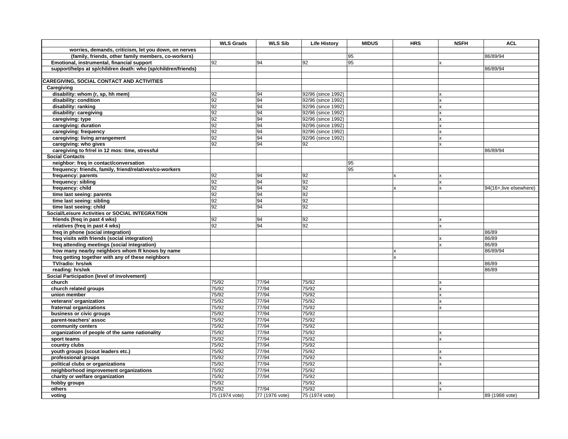|                                                                            | <b>WLS Grads</b> | <b>WLS Sib</b> | <b>Life History</b> | <b>MIDUS</b> | <b>HRS</b>                | <b>NSFH</b> | <b>ACL</b>              |
|----------------------------------------------------------------------------|------------------|----------------|---------------------|--------------|---------------------------|-------------|-------------------------|
| worries, demands, criticism, let you down, on nerves                       |                  |                |                     |              |                           |             |                         |
| (family, friends, other family members, co-workers)                        |                  |                |                     | 95           |                           |             | 86/89/94                |
| Emotional, instrumental, financial support                                 | 92               | 94             | 92                  | 95           |                           | x           |                         |
| support/helps at sp/children death: who (sp/children/friends)              |                  |                |                     |              |                           |             | 86/89/94                |
|                                                                            |                  |                |                     |              |                           |             |                         |
| <b>CAREGIVING, SOCIAL CONTACT AND ACTIVITIES</b>                           |                  |                |                     |              |                           |             |                         |
| Caregiving                                                                 |                  |                |                     |              |                           |             |                         |
| disability: whom (r, sp, hh mem)                                           | 92               | 94             | 92/96 (since 1992)  |              |                           | x           |                         |
| disability: condition                                                      | 92               | 94             | 92/96 (since 1992)  |              |                           | X           |                         |
| disability: ranking                                                        | 92               | 94             | 92/96 (since 1992)  |              |                           | x           |                         |
| disability: caregiving                                                     | 92               | 94             | 92/96 (since 1992)  |              |                           | x           |                         |
| caregiving: type                                                           | 92               | 94             | 92/96 (since 1992)  |              |                           | X           |                         |
| caregiving: duration                                                       | 92               | 94             | 92/96 (since 1992)  |              |                           | x           |                         |
| caregiving: frequency                                                      | 92               | 94             | 92/96 (since 1992)  |              |                           | x           |                         |
| caregiving: living arrangement                                             | 92               | 94             | 92/96 (since 1992)  |              |                           | x           |                         |
| caregiving: who gives                                                      | 92               | 94             | 92                  |              |                           | x           |                         |
| caregiving to fr/rel in 12 mos: time, stressful                            |                  |                |                     |              |                           |             | 86/89/94                |
| <b>Social Contacts</b>                                                     |                  |                |                     |              |                           |             |                         |
| neighbor: freq in contact/conversation                                     |                  |                |                     | 95           |                           |             |                         |
| frequency: friends, family, friend/relatives/co-workers                    |                  |                |                     | 95           |                           |             |                         |
| frequency: parents                                                         | 92               | 94             | 92                  |              | $\boldsymbol{\mathsf{x}}$ | x           |                         |
| frequency: sibling                                                         | 92               | 94             | 92                  |              |                           | x           |                         |
| frequency: child                                                           | 92               | 94             | 92                  |              | x                         | x           | 94(16+, live elsewhere) |
| time last seeing: parents                                                  | 92               | 94             | 92                  |              |                           |             |                         |
| time last seeing: sibling                                                  | 92               | 94             | 92                  |              |                           |             |                         |
| time last seeing: child                                                    | 92               | 94             | 92                  |              |                           |             |                         |
| Social/Leisure Activities or SOCIAL INTEGRATION                            |                  |                |                     |              |                           |             |                         |
| friends (freq in past 4 wks)                                               | 92               | 94             | 92                  |              |                           | x           |                         |
| relatives (freq in past 4 wks)                                             | 92               | 94             | 92                  |              |                           | x           |                         |
| freq in phone (social integration)                                         |                  |                |                     |              |                           |             | 86/89                   |
| freq visits with friends (social integration)                              |                  |                |                     |              |                           | x           | 86/89                   |
| freq attending meetings (social integration)                               |                  |                |                     |              |                           | x           | 86/89                   |
| how many nearby neighbors whom R knows by name                             |                  |                |                     |              | X                         |             | 86/89/94                |
| freq getting together with any of these neighbors                          |                  |                |                     |              | $\mathbf{x}$              |             |                         |
| TV/radio: hrs/wk                                                           |                  |                |                     |              |                           |             | 86/89                   |
| reading: hrs/wk                                                            |                  |                |                     |              |                           |             | 86/89                   |
| Social Participation (level of involvement)                                |                  |                |                     |              |                           |             |                         |
| church                                                                     | 75/92            | 77/94          | 75/92               |              |                           | x           |                         |
| church related groups                                                      | 75/92            | 77/94          | 75/92               |              |                           | x           |                         |
| union member                                                               | 75/92            | 77/94          | 75/92               |              |                           | x           |                         |
| veterans' organization                                                     | 75/92            | 77/94          | 75/92               |              |                           | x           |                         |
| fraternal organizations                                                    | 75/92            | 77/94          | 75/92               |              |                           | X           |                         |
| business or civic groups                                                   | 75/92            | 77/94          | 75/92               |              |                           |             |                         |
| parent-teachers' assoc                                                     | 75/92            | 77/94          | 75/92               |              |                           |             |                         |
| community centers                                                          | 75/92            | 77/94          | 75/92               |              |                           |             |                         |
| organization of people of the same nationality                             | 75/92            | 77/94          | 75/92               |              |                           | x           |                         |
| sport teams                                                                | 75/92            | 77/94          | 75/92               |              |                           | X           |                         |
| country clubs                                                              | 75/92            | 77/94          | 75/92               |              |                           |             |                         |
| youth groups (scout leaders etc.)                                          | 75/92<br>75/92   | 77/94<br>77/94 | 75/92<br>75/92      |              |                           | x           |                         |
| professional groups                                                        |                  |                |                     |              |                           | X           |                         |
| political clubs or organizations<br>neighborhood improvement organizations | 75/92<br>75/92   | 77/94<br>77/94 | 75/92<br>75/92      |              |                           | X           |                         |
|                                                                            | 75/92            | 77/94          | 75/92               |              |                           |             |                         |
| charity or welfare organization<br>hobby groups                            | 75/92            |                | 75/92               |              |                           | x           |                         |
| others                                                                     | 75/92            | 77/94          | 75/92               |              |                           | x           |                         |
| voting                                                                     | 75 (1974 vote)   | 77 (1976 vote) | 75 (1974 vote)      |              |                           |             | 89 (1988 vote)          |
|                                                                            |                  |                |                     |              |                           |             |                         |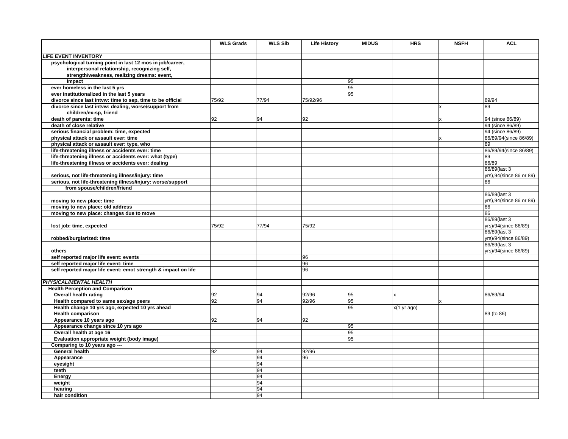|                                                                | <b>WLS Grads</b> | <b>WLS Sib</b> | <b>Life History</b> | <b>MIDUS</b> | <b>HRS</b>            | <b>NSFH</b> | <b>ACL</b>              |
|----------------------------------------------------------------|------------------|----------------|---------------------|--------------|-----------------------|-------------|-------------------------|
|                                                                |                  |                |                     |              |                       |             |                         |
| <b>LIFE EVENT INVENTORY</b>                                    |                  |                |                     |              |                       |             |                         |
| psychological turning point in last 12 mos in job/career,      |                  |                |                     |              |                       |             |                         |
| interpersonal relationship, recognizing self,                  |                  |                |                     |              |                       |             |                         |
| strength/weakness, realizing dreams: event,                    |                  |                |                     |              |                       |             |                         |
| impact                                                         |                  |                |                     | 95           |                       |             |                         |
| ever homeless in the last 5 yrs                                |                  |                |                     | 95           |                       |             |                         |
| ever institutionalized in the last 5 years                     |                  |                |                     | 95           |                       |             |                         |
| divorce since last intvw: time to sep, time to be official     | 75/92            | 77/94          | 75/92/96            |              |                       |             | 89/94                   |
| divorce since last intvw: dealing, worse/support from          |                  |                |                     |              |                       | x           | 89                      |
| children/ex-sp, friend                                         |                  |                |                     |              |                       |             |                         |
| death of parents: time                                         | 92               | 94             | 92                  |              |                       | x           | 94 (since 86/89)        |
| death of close relative                                        |                  |                |                     |              |                       |             | 94 (since 86/89)        |
| serious financial problem: time, expected                      |                  |                |                     |              |                       |             | 94 (since 86/89)        |
| physical attack or assault ever: time                          |                  |                |                     |              |                       | x           | 86/89/94(since 86/89)   |
| physical attack or assault ever: type, who                     |                  |                |                     |              |                       |             | 89                      |
| life-threatening illness or accidents ever: time               |                  |                |                     |              |                       |             | 86/89/94(since 86/89)   |
| life-threatening illness or accidents ever: what (type)        |                  |                |                     |              |                       |             | 89                      |
| life-threatening illness or accidents ever: dealing            |                  |                |                     |              |                       |             | 86/89                   |
|                                                                |                  |                |                     |              |                       |             | 86/89(last 3            |
| serious, not life-threatening illness/injury: time             |                  |                |                     |              |                       |             | yrs),94(since 86 or 89) |
| serious, not life-threatening illness/injury: worse/support    |                  |                |                     |              |                       |             | 86                      |
| from spouse/children/friend                                    |                  |                |                     |              |                       |             |                         |
|                                                                |                  |                |                     |              |                       |             | 86/89(last 3            |
| moving to new place: time                                      |                  |                |                     |              |                       |             | yrs),94(since 86 or 89) |
| moving to new place: old address                               |                  |                |                     |              |                       |             | 86                      |
| moving to new place: changes due to move                       |                  |                |                     |              |                       |             | 86                      |
|                                                                |                  |                |                     |              |                       |             | 86/89(last 3            |
| lost job: time, expected                                       | 75/92            | 77/94          | 75/92               |              |                       |             | yrs)/94(since 86/89)    |
|                                                                |                  |                |                     |              |                       |             | 86/89(last 3            |
| robbed/burglarized: time                                       |                  |                |                     |              |                       |             | yrs)/94(since 86/89)    |
|                                                                |                  |                |                     |              |                       |             | 86/89(last 3            |
| others                                                         |                  |                |                     |              |                       |             | yrs)/94(since 86/89)    |
| self reported major life event: events                         |                  |                | 96                  |              |                       |             |                         |
| self reported major life event: time                           |                  |                | 96                  |              |                       |             |                         |
| self reported major life event: emot strength & impact on life |                  |                | 96                  |              |                       |             |                         |
|                                                                |                  |                |                     |              |                       |             |                         |
| PHYSICAL/MENTAL HEALTH                                         |                  |                |                     |              |                       |             |                         |
| <b>Health Perception and Comparison</b>                        |                  |                |                     |              |                       |             |                         |
| <b>Overall health rating</b>                                   | 92               | 94             | 92/96               | 95           | $\mathbf{x}$          |             | 86/89/94                |
| Health compared to same sex/age peers                          | 92               | 94             | 92/96               | 95           |                       | x           |                         |
| Health change 10 yrs ago, expected 10 yrs ahead                |                  |                |                     | 95           | $x(1 \text{ yr ago})$ |             |                         |
| <b>Health comparison</b>                                       |                  |                |                     |              |                       |             | 89 (to 86)              |
| Appearance 10 years ago                                        | 92               | 94             | 92                  |              |                       |             |                         |
| Appearance change since 10 yrs ago                             |                  |                |                     | 95           |                       |             |                         |
| Overall health at age 16                                       |                  |                |                     | 95           |                       |             |                         |
| Evaluation appropriate weight (body image)                     |                  |                |                     | 95           |                       |             |                         |
| Comparing to 10 years ago ---                                  |                  |                |                     |              |                       |             |                         |
| General health                                                 | 92               | 94             | 92/96               |              |                       |             |                         |
| Appearance                                                     |                  | 94             | 96                  |              |                       |             |                         |
| eyesight                                                       |                  | 94             |                     |              |                       |             |                         |
| teeth                                                          |                  | 94             |                     |              |                       |             |                         |
| Energy                                                         |                  | 94             |                     |              |                       |             |                         |
| weight                                                         |                  | 94             |                     |              |                       |             |                         |
| hearing                                                        |                  | 94             |                     |              |                       |             |                         |
| hair condition                                                 |                  | 94             |                     |              |                       |             |                         |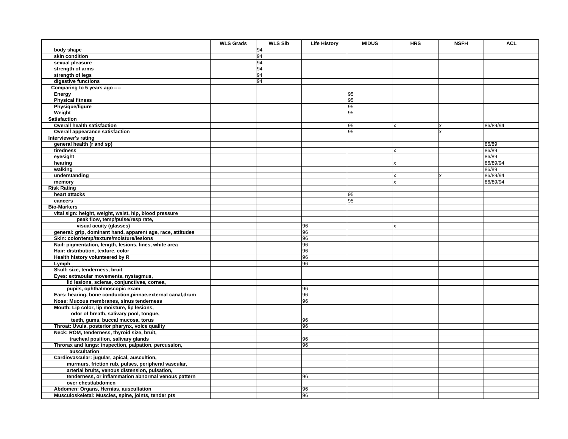|                                                              | <b>WLS Grads</b> | <b>WLS Sib</b> | <b>Life History</b> | <b>MIDUS</b> | <b>HRS</b>                | <b>NSFH</b> | <b>ACL</b> |
|--------------------------------------------------------------|------------------|----------------|---------------------|--------------|---------------------------|-------------|------------|
| body shape                                                   |                  | 94             |                     |              |                           |             |            |
| skin condition                                               |                  | 94             |                     |              |                           |             |            |
| sexual pleasure                                              |                  | 94             |                     |              |                           |             |            |
| strength of arms                                             |                  | 94             |                     |              |                           |             |            |
| strength of legs                                             |                  | 94             |                     |              |                           |             |            |
| digestive functions                                          |                  | 94             |                     |              |                           |             |            |
| Comparing to 5 years ago ----                                |                  |                |                     |              |                           |             |            |
| Energy                                                       |                  |                |                     | 95           |                           |             |            |
| <b>Physical fitness</b>                                      |                  |                |                     | 95           |                           |             |            |
| Physique/figure                                              |                  |                |                     | 95           |                           |             |            |
| Weight                                                       |                  |                |                     | 95           |                           |             |            |
| <b>Satisfaction</b>                                          |                  |                |                     |              |                           |             |            |
| Overall health satisfaction                                  |                  |                |                     | 95           | $\mathbf{x}$              | x           | 86/89/94   |
| Overall appearance satisfaction                              |                  |                |                     | 95           |                           | x           |            |
| Interviewer's rating                                         |                  |                |                     |              |                           |             |            |
| general health (r and sp)                                    |                  |                |                     |              |                           |             | 86/89      |
| tiredness                                                    |                  |                |                     |              | X                         |             | 86/89      |
| eyesight                                                     |                  |                |                     |              |                           |             | 86/89      |
| hearing                                                      |                  |                |                     |              | X                         |             | 86/89/94   |
| walking                                                      |                  |                |                     |              |                           |             | 86/89      |
| understanding                                                |                  |                |                     |              | X                         | x           | 86/89/94   |
| memory                                                       |                  |                |                     |              | X                         |             | 86/89/94   |
| <b>Risk Rating</b>                                           |                  |                |                     |              |                           |             |            |
| heart attacks                                                |                  |                |                     | 95           |                           |             |            |
| cancers                                                      |                  |                |                     | 95           |                           |             |            |
| <b>Bio-Markers</b>                                           |                  |                |                     |              |                           |             |            |
| vital sign: height, weight, waist, hip, blood pressure       |                  |                |                     |              |                           |             |            |
| peak flow, temp/pulse/resp rate,                             |                  |                |                     |              |                           |             |            |
| visual acuity (glasses)                                      |                  |                | 96                  |              | $\boldsymbol{\mathsf{x}}$ |             |            |
| general: grip, dominant hand, apparent age, race, attitudes  |                  |                | 96                  |              |                           |             |            |
| Skin: color/temp/texture/moisture/lesions                    |                  |                | 96                  |              |                           |             |            |
| Nail: pigmentation, length, lesions, lines, white area       |                  |                | 96                  |              |                           |             |            |
| Hair: distribution, texture, color                           |                  |                | 96                  |              |                           |             |            |
| Health history volunteered by R                              |                  |                | 96                  |              |                           |             |            |
| Lymph                                                        |                  |                | 96                  |              |                           |             |            |
| Skull: size, tenderness, bruit                               |                  |                |                     |              |                           |             |            |
| Eyes: extraoular movements, nystagmus,                       |                  |                |                     |              |                           |             |            |
| lid lesions, sclerae, conjunctivae, cornea,                  |                  |                |                     |              |                           |             |            |
| pupils, ophthalmoscopic exam                                 |                  |                | 96                  |              |                           |             |            |
| Ears: hearing, bone conduction, pinnae, external canal, drum |                  |                | 96                  |              |                           |             |            |
| Nose: Mucous membranes, sinus tenderness                     |                  |                | 96                  |              |                           |             |            |
| Mouth: Lip color, lip moisture, lip lesions,                 |                  |                |                     |              |                           |             |            |
| odor of breath, salivary pool, tongue,                       |                  |                |                     |              |                           |             |            |
| teeth, gums, buccal mucosa, torus                            |                  |                | 96                  |              |                           |             |            |
| Throat: Uvula, posterior pharynx, voice quality              |                  |                | 96                  |              |                           |             |            |
| Neck: ROM, tenderness, thyroid size, bruit,                  |                  |                |                     |              |                           |             |            |
| tracheal position, salivary glands                           |                  |                | 96                  |              |                           |             |            |
| Throrax and lungs: inspection, palpation, percussion,        |                  |                | 96                  |              |                           |             |            |
| auscultation                                                 |                  |                |                     |              |                           |             |            |
| Cardiovascular: jugular, apical, auscultion,                 |                  |                |                     |              |                           |             |            |
| murmurs, friction rub, pulses, peripheral vascular,          |                  |                |                     |              |                           |             |            |
| arterial bruits, venous distension, pulsation,               |                  |                |                     |              |                           |             |            |
| tenderness, or inflammation abnormal venous pattern          |                  |                | 96                  |              |                           |             |            |
| over chest/abdomen                                           |                  |                |                     |              |                           |             |            |
| Abdomen: Organs, Hernias, auscultation                       |                  |                | 96                  |              |                           |             |            |
| Musculoskeletal: Muscles, spine, joints, tender pts          |                  |                | 96                  |              |                           |             |            |
|                                                              |                  |                |                     |              |                           |             |            |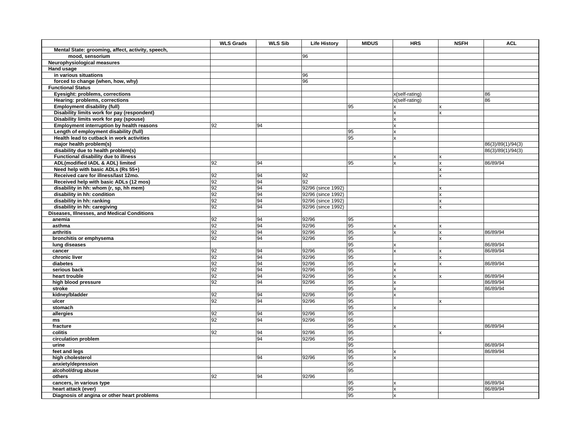|                                                   | <b>WLS Grads</b> | <b>WLS Sib</b> | <b>Life History</b> | <b>MIDUS</b> | <b>HRS</b>     | <b>NSFH</b> | <b>ACL</b>        |
|---------------------------------------------------|------------------|----------------|---------------------|--------------|----------------|-------------|-------------------|
| Mental State: grooming, affect, activity, speech, |                  |                |                     |              |                |             |                   |
| mood, sensorium                                   |                  |                | 96                  |              |                |             |                   |
| Neurophysiological measures                       |                  |                |                     |              |                |             |                   |
| Hand usage                                        |                  |                |                     |              |                |             |                   |
| in various situations                             |                  |                | 96                  |              |                |             |                   |
| forced to change (when, how, why)                 |                  |                | 96                  |              |                |             |                   |
| <b>Functional Status</b>                          |                  |                |                     |              |                |             |                   |
| Eyesight: problems, corrections                   |                  |                |                     |              | x(self-rating) |             | 86                |
| Hearing: problems, corrections                    |                  |                |                     |              | x(self-rating) |             | 86                |
| Employment disability (full)                      |                  |                |                     | 95           | $\mathbf{x}$   |             |                   |
| Disability limits work for pay (respondent)       |                  |                |                     |              | lx             | x           |                   |
| Disability limits work for pay (spouse)           |                  |                |                     |              | $\mathbf{x}$   |             |                   |
| Employment interruption by health reasons         | 92               | 94             |                     |              | lx             |             |                   |
| Length of employment disability (full)            |                  |                |                     | 95           | lx             |             |                   |
| Health lead to cutback in work activities         |                  |                |                     | 95           | lx             |             |                   |
| major health problem(s)                           |                  |                |                     |              |                |             | 86(3)/89(1)/94(3) |
| disability due to health problem(s)               |                  |                |                     |              |                |             | 86(3)/89(1)/94(3) |
| Functional disability due to illness              |                  |                |                     |              | lx             |             |                   |
| ADL(modified IADL & ADL) limited                  | 92               | 94             |                     | 95           | lx             | x           | 86/89/94          |
| Need help with basic ADLs (Rs 55+)                |                  |                |                     |              |                |             |                   |
| Received care for illness/last 12mo.              | 92               | 94             | 92                  |              |                | X           |                   |
| Received help with basic ADLs (12 mos)            | 92               | 94             | 92                  |              |                |             |                   |
| disability in hh: whom (r, sp, hh mem)            | 92               | 94             | 92/96 (since 1992)  |              |                |             |                   |
| disability in hh: condition                       | 92               | 94             | 92/96 (since 1992)  |              |                | x           |                   |
| disability in hh: ranking                         | 92               | 94             | 92/96 (since 1992)  |              |                | x           |                   |
| disability in hh: caregiving                      | 92               | 94             | 92/96 (since 1992)  |              |                | Ý           |                   |
| Diseases, Illnesses, and Medical Conditions       |                  |                |                     |              |                |             |                   |
| anemia                                            | 92               | 94             | 92/96               | 95           |                |             |                   |
| asthma                                            | 92               | 94             | 92/96               | 95           | lx             | x           |                   |
| arthritis                                         | 92               | 94             | 92/96               | 95           | lx             | x           | 86/89/94          |
| bronchitis or emphysema                           | 92               | 94             | 92/96               | 95           |                |             |                   |
| lung diseases                                     |                  |                |                     | 95           | lx             |             | 86/89/94          |
| cancer                                            | 92               | 94             | 92/96               | 95           | lx             |             | 86/89/94          |
| chronic liver                                     | 92               | 94             | 92/96               | 95           |                | Ý           |                   |
| diabetes                                          | 92               | 94             | 92/96               | 95           | lx             | x           | 86/89/94          |
| serious back                                      | $\overline{92}$  | 94             | 92/96               | 95           | lx             |             |                   |
| heart trouble                                     | 92               | 94             | 92/96               | 95           | lx             |             | 86/89/94          |
| high blood pressure                               | 92               | 94             | 92/96               | 95           | x              |             | 86/89/94          |
| stroke                                            |                  |                |                     | 95           | lx             |             | 86/89/94          |
| kidney/bladder                                    | 92               | 94             | 92/96               | 95           | lx             |             |                   |
| ulcer                                             | 92               | 94             | 92/96               | 95           |                |             |                   |
| stomach                                           |                  |                |                     | 95           | lx             |             |                   |
| allergies                                         | 92               | 94             | 92/96               | 95           |                |             |                   |
| ms                                                | 92               | 94             | 92/96               | 95           |                |             |                   |
| fracture                                          |                  |                |                     | 95           | lx             |             | 86/89/94          |
| colitis                                           | 92               | 94             | 92/96               | 95           |                |             |                   |
| circulation problem                               |                  | 94             | 92/96               | 95           |                |             |                   |
| urine                                             |                  |                |                     | 95           |                |             | 86/89/94          |
| feet and legs                                     |                  |                |                     | 95           | lx             |             | 86/89/94          |
| high cholesterol                                  |                  | 94             | 92/96               | 95           | lx             |             |                   |
| anxiety/depression                                |                  |                |                     | 95           |                |             |                   |
| alcohol/drug abuse                                |                  |                |                     | 95           |                |             |                   |
| others                                            | 92               | 94             | 92/96               |              |                |             |                   |
| cancers, in various type                          |                  |                |                     | 95           | X              |             | 86/89/94          |
| heart attack (ever)                               |                  |                |                     | 95           | lx             |             | 86/89/94          |
| Diagnosis of angina or other heart problems       |                  |                |                     | 95           | lx             |             |                   |
|                                                   |                  |                |                     |              |                |             |                   |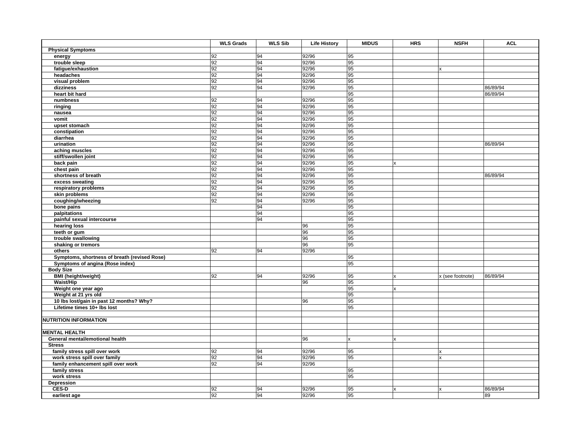|                                                        | <b>WLS Grads</b> | <b>WLS Sib</b> | <b>Life History</b> | <b>MIDUS</b>              | <b>HRS</b> | <b>NSFH</b>      | <b>ACL</b> |
|--------------------------------------------------------|------------------|----------------|---------------------|---------------------------|------------|------------------|------------|
| <b>Physical Symptoms</b>                               |                  |                |                     |                           |            |                  |            |
| energy                                                 | 92               | 94             | 92/96               | 95                        |            |                  |            |
| trouble sleep                                          | 92               | 94             | 92/96               | 95                        |            |                  |            |
| fatigue/exhaustion                                     | 92               | 94             | 92/96               | 95                        |            | x                |            |
| headaches                                              | 92               | 94             | 92/96               | 95                        |            |                  |            |
| visual problem                                         | $\overline{92}$  | 94             | 92/96               | 95                        |            |                  |            |
| dizziness                                              | 92               | 94             | 92/96               | 95                        |            |                  | 86/89/94   |
| heart bit hard                                         |                  |                |                     | 95                        |            |                  | 86/89/94   |
| numbness                                               | 92               | 94             | 92/96               | 95                        |            |                  |            |
| ringing                                                | 92               | 94             | 92/96               | 95                        |            |                  |            |
| nausea                                                 | 92               | 94             | 92/96               | 95                        |            |                  |            |
| vomit                                                  | 92               | 94             | 92/96               | 95                        |            |                  |            |
| upset stomach                                          | 92               | 94             | 92/96               | 95                        |            |                  |            |
| constipation                                           | 92               | 94             | 92/96               | 95                        |            |                  |            |
| diarrhea                                               | 92               | 94             | 92/96               | 95                        |            |                  |            |
| urination                                              | $\overline{92}$  | 94             | 92/96               | 95                        |            |                  | 86/89/94   |
| aching muscles                                         | 92               | 94             | 92/96               | 95                        |            |                  |            |
| stiff/swollen joint                                    | 92               | 94             | 92/96               | 95                        |            |                  |            |
| back pain                                              | 92               | 94             | 92/96               | 95                        | Ιx         |                  |            |
| chest pain                                             | 92               | 94             | 92/96               | 95                        |            |                  |            |
| shortness of breath                                    | 92               | 94             | 92/96               | 95                        |            |                  | 86/89/94   |
| excess sweating                                        | 92               | 94             | 92/96               | 95                        |            |                  |            |
| respiratory problems                                   | 92               | 94             | 92/96               | 95                        |            |                  |            |
| skin problems                                          | 92               | 94             | 92/96               | 95                        |            |                  |            |
| coughing/wheezing                                      | 92               | 94             | 92/96               | 95                        |            |                  |            |
| bone pains                                             |                  | 94             |                     | 95                        |            |                  |            |
| palpitations                                           |                  | 94             |                     | 95                        |            |                  |            |
| painful sexual intercourse                             |                  | 94             |                     | 95                        |            |                  |            |
| hearing loss                                           |                  |                | 96                  | 95                        |            |                  |            |
| teeth or gum                                           |                  |                | 96                  | 95                        |            |                  |            |
| trouble swallowing                                     |                  |                | 96                  | 95                        |            |                  |            |
| shaking or tremors                                     | 92               | 94             | 96                  | 95                        |            |                  |            |
| others<br>Symptoms, shortness of breath (revised Rose) |                  |                | 92/96               | 95                        |            |                  |            |
| Symptoms of angina (Rose index)                        |                  |                |                     | 95                        |            |                  |            |
| <b>Body Size</b>                                       |                  |                |                     |                           |            |                  |            |
| <b>BMI</b> (height/weight)                             | 92               | 94             | 92/96               | 95                        | Ιx         | x (see footnote) | 86/89/94   |
| <b>Waist/Hip</b>                                       |                  |                | 96                  | 95                        |            |                  |            |
| Weight one year ago                                    |                  |                |                     | 95                        | Ιx         |                  |            |
| Weight at 21 yrs old                                   |                  |                |                     | 95                        |            |                  |            |
| 10 lbs lost/gain in past 12 months? Why?               |                  |                | 96                  | 95                        |            |                  |            |
| Lifetime times 10+ lbs lost                            |                  |                |                     | 95                        |            |                  |            |
|                                                        |                  |                |                     |                           |            |                  |            |
| <b>NUTRITION INFORMATION</b>                           |                  |                |                     |                           |            |                  |            |
|                                                        |                  |                |                     |                           |            |                  |            |
| <b>MENTAL HEALTH</b>                                   |                  |                |                     |                           |            |                  |            |
| General mental/emotional health                        |                  |                | 96                  | $\boldsymbol{\mathsf{x}}$ | Ιx         |                  |            |
| <b>Stress</b>                                          |                  |                |                     |                           |            |                  |            |
| family stress spill over work                          | 92               | 94             | 92/96               | 95                        |            | x                |            |
| work stress spill over family                          | 92               | 94             | 92/96               | 95                        |            | x                |            |
| family enhancement spill over work                     | 92               | 94             | 92/96               |                           |            |                  |            |
| family stress                                          |                  |                |                     | 95                        |            |                  |            |
| work stress                                            |                  |                |                     | 95                        |            |                  |            |
| Depression                                             |                  |                |                     |                           |            |                  |            |
| <b>CES-D</b>                                           | 92               | 94             | 92/96               | 95                        | Ιx         | x                | 86/89/94   |
| earliest age                                           | 92               | 94             | 92/96               | 95                        |            |                  | 89         |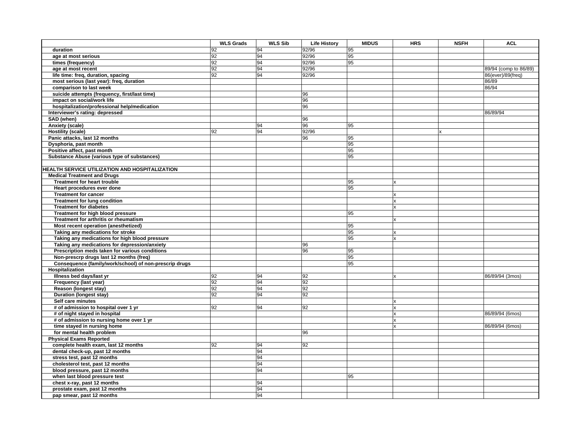|                                                        | <b>WLS Grads</b> | <b>WLS Sib</b> | <b>Life History</b> | <b>MIDUS</b> | <b>HRS</b>   | <b>NSFH</b> | <b>ACL</b>            |
|--------------------------------------------------------|------------------|----------------|---------------------|--------------|--------------|-------------|-----------------------|
| duration                                               | 92               | 94             | 92/96               | 95           |              |             |                       |
| age at most serious                                    | 92               | 94             | 92/96               | 95           |              |             |                       |
| times (frequency)                                      | 92               | 94             | 92/96               | 95           |              |             |                       |
| age at most recent                                     | 92               | 94             | 92/96               |              |              |             | 89/94 (comp to 86/89) |
| life time: freq, duration, spacing                     | 92               | 94             | 92/96               |              |              |             | 86(ever)/89(freq)     |
| most serious (last year): freq, duration               |                  |                |                     |              |              |             | 86/89                 |
| comparison to last week                                |                  |                |                     |              |              |             | 86/94                 |
| suicide attempts (frequency, first/last time)          |                  |                | 96                  |              |              |             |                       |
| impact on social/work life                             |                  |                | 96                  |              |              |             |                       |
| hospitalization/professional help/medication           |                  |                | 96                  |              |              |             |                       |
| Interviewer's rating: depressed                        |                  |                |                     |              |              |             | 86/89/94              |
| SAD (when)                                             |                  |                | 96                  |              |              |             |                       |
| Anxiety (scale)                                        |                  | 94             | 96                  | 95           |              |             |                       |
| <b>Hostility (scale)</b>                               | 92               | 94             | 92/96               |              |              | x           |                       |
| Panic attacks, last 12 months                          |                  |                | 96                  | 95           |              |             |                       |
| Dysphoria, past month                                  |                  |                |                     | 95           |              |             |                       |
| Positive affect, past month                            |                  |                |                     | 95           |              |             |                       |
| Substance Abuse (various type of substances)           |                  |                |                     | 95           |              |             |                       |
|                                                        |                  |                |                     |              |              |             |                       |
| HEALTH SERVICE UTILIZATION AND HOSPITALIZATION         |                  |                |                     |              |              |             |                       |
| <b>Medical Treatment and Drugs</b>                     |                  |                |                     |              |              |             |                       |
| <b>Treatment for heart trouble</b>                     |                  |                |                     | 95           | x            |             |                       |
| Heart procedures ever done                             |                  |                |                     | 95           |              |             |                       |
| <b>Treatment for cancer</b>                            |                  |                |                     |              | $\mathbf{x}$ |             |                       |
| <b>Treatment for lung condition</b>                    |                  |                |                     |              | X            |             |                       |
| <b>Treatment for diabetes</b>                          |                  |                |                     |              | $\mathbf{x}$ |             |                       |
| Treatment for high blood pressure                      |                  |                |                     | 95           |              |             |                       |
| Treatment for arthritis or rheumatism                  |                  |                |                     |              | X            |             |                       |
| Most recent operation (anesthetized)                   |                  |                |                     | 95           |              |             |                       |
| Taking any medications for stroke                      |                  |                |                     | 95           | x            |             |                       |
| Taking any medications for high blood pressure         |                  |                |                     | 95           |              |             |                       |
| Taking any medications for depression/anxiety          |                  |                | 96                  |              |              |             |                       |
| Prescription meds taken for various conditions         |                  |                | 96                  | 95           |              |             |                       |
| Non-prescrp drugs last 12 months (freq)                |                  |                |                     | 95           |              |             |                       |
| Consequence (family/work/school) of non-prescrip drugs |                  |                |                     | 95           |              |             |                       |
| Hospitalization                                        |                  |                |                     |              |              |             |                       |
| Illness bed days/last yr                               | 92               | 94             | 92                  |              | $\mathbf{x}$ |             | 86/89/94 (3mos)       |
| Frequency (last year)                                  | 92               | 94             | 92                  |              |              |             |                       |
| Reason (longest stay)                                  | 92               | 94             | 92                  |              |              |             |                       |
| <b>Duration (longest stay)</b>                         | 92               | 94             | 92                  |              |              |             |                       |
| Self care minutes                                      |                  |                |                     |              | X            |             |                       |
| # of admission to hospital over 1 yr                   | 92               | 94             | 92                  |              | x            |             |                       |
| # of night stayed in hospital                          |                  |                |                     |              | $\mathsf{x}$ |             | 86/89/94 (6mos)       |
| # of admission to nursing home over 1 yr               |                  |                |                     |              | X            |             |                       |
| time stayed in nursing home                            |                  |                |                     |              | $\mathbf{x}$ |             | 86/89/94 (6mos)       |
| for mental health problem                              |                  |                | 96                  |              |              |             |                       |
| <b>Physical Exams Reported</b>                         |                  |                |                     |              |              |             |                       |
| complete health exam, last 12 months                   | 92               | 94             | 92                  |              |              |             |                       |
| dental check-up, past 12 months                        |                  | 94             |                     |              |              |             |                       |
| stress test, past 12 months                            |                  | 94             |                     |              |              |             |                       |
| cholesterol test, past 12 months                       |                  | 94             |                     |              |              |             |                       |
| blood pressure, past 12 months                         |                  | 94             |                     |              |              |             |                       |
| when last blood pressure test                          |                  |                |                     | 95           |              |             |                       |
| chest x-ray, past 12 months                            |                  | 94             |                     |              |              |             |                       |
| prostate exam, past 12 months                          |                  | 94             |                     |              |              |             |                       |
| pap smear, past 12 months                              |                  | 94             |                     |              |              |             |                       |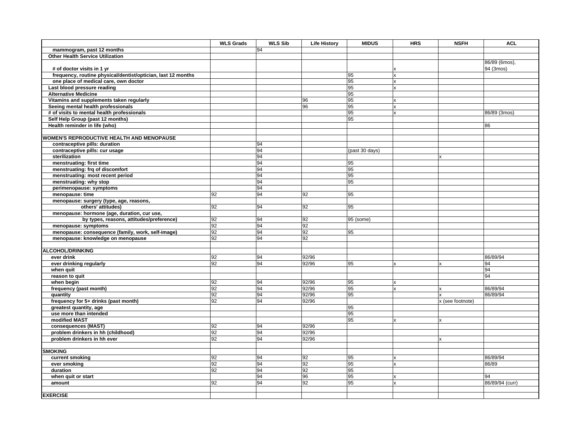|                                                              | <b>WLS Grads</b> | <b>WLS Sib</b> | <b>Life History</b> | <b>MIDUS</b>   | <b>HRS</b>                | <b>NSFH</b>      | <b>ACL</b>      |
|--------------------------------------------------------------|------------------|----------------|---------------------|----------------|---------------------------|------------------|-----------------|
| mammogram, past 12 months                                    |                  | 94             |                     |                |                           |                  |                 |
| Other Health Service Utilization                             |                  |                |                     |                |                           |                  |                 |
|                                                              |                  |                |                     |                |                           |                  | 86/89 (6mos),   |
| # of doctor visits in 1 yr                                   |                  |                |                     |                |                           |                  | 94 (3mos)       |
| frequency, routine physical/dentist/optician, last 12 months |                  |                |                     | 95             | $\mathbf{x}$              |                  |                 |
| one place of medical care, own doctor                        |                  |                |                     | 95             | $\mathbf{x}$              |                  |                 |
| Last blood pressure reading                                  |                  |                |                     | 95             | $\mathsf{x}$              |                  |                 |
| <b>Alternative Medicine</b>                                  |                  |                |                     | 95             |                           |                  |                 |
| Vitamins and supplements taken regularly                     |                  |                | 96                  | 95             | $\mathbf x$               |                  |                 |
| Seeing mental health professionals                           |                  |                | 96                  | 95             | $\boldsymbol{\mathsf{x}}$ |                  |                 |
| # of visits to mental health professionals                   |                  |                |                     | 95             | x                         |                  | 86/89 (3mos)    |
| Self Help Group (past 12 months)                             |                  |                |                     | 95             |                           |                  |                 |
| Health reminder in life (who)                                |                  |                |                     |                |                           |                  | 86              |
|                                                              |                  |                |                     |                |                           |                  |                 |
| <b>WOMEN'S REPRODUCTIVE HEALTH AND MENOPAUSE</b>             |                  |                |                     |                |                           |                  |                 |
| contraceptive pills: duration                                |                  | 94             |                     |                |                           |                  |                 |
| contraceptive pills: cur usage                               |                  | 94             |                     | (past 30 days) |                           |                  |                 |
| sterilization                                                |                  | 94             |                     |                |                           | x                |                 |
| menstruating: first time                                     |                  | 94             |                     | 95             |                           |                  |                 |
| menstruating: frq of discomfort                              |                  | 94             |                     | 95             |                           |                  |                 |
| menstruating: most recent period                             |                  | 94             |                     | 95             |                           |                  |                 |
| menstruating: why stop                                       |                  | 94             |                     | 95             |                           |                  |                 |
| perimenopause: symptoms                                      |                  | 94             |                     |                |                           |                  |                 |
| menopause: time                                              | 92               | 94             | 92                  | 95             |                           |                  |                 |
| menopause: surgery (type, age, reasons,                      |                  |                |                     |                |                           |                  |                 |
| others' attitudes)                                           | 92               | 94             | 92                  | 95             |                           |                  |                 |
| menopause: hormone (age, duration, cur use,                  |                  |                |                     |                |                           |                  |                 |
| by types, reasons, attitudes/preference)                     | 92               | 94             | 92                  | 95 (some)      |                           |                  |                 |
| menopause: symptoms                                          | 92               | 94             | 92                  |                |                           |                  |                 |
| menopause: consequence (family, work, self-image)            | 92               | 94             | 92                  | 95             |                           |                  |                 |
| menopause: knowledge on menopause                            | 92               | 94             | 92                  |                |                           |                  |                 |
|                                                              |                  |                |                     |                |                           |                  |                 |
| <b>ALCOHOL/DRINKING</b>                                      |                  |                |                     |                |                           |                  |                 |
| ever drink                                                   | 92               | 94             | 92/96               |                |                           |                  | 86/89/94        |
| ever drinking regularly                                      | 92               | 94             | 92/96               | 95             | X                         | x                | 94              |
| when quit                                                    |                  |                |                     |                |                           |                  | 94              |
| reason to quit                                               |                  |                |                     |                |                           |                  | 94              |
| when begin                                                   | 92               | 94             | 92/96               | 95             | X                         |                  |                 |
| frequency (past month)                                       | 92               | 94             | 92/96               | 95             | $\mathbf{x}$              | x                | 86/89/94        |
| quantity                                                     | 92               | 94             | 92/96               | 95             |                           | ¥                | 86/89/94        |
| frequency for 5+ drinks (past month)                         | 92               | 94             | 92/96               |                |                           | x (see footnote) |                 |
| greatest quantity, age                                       |                  |                |                     | 95             |                           |                  |                 |
| use more than intended                                       |                  |                |                     | 95             |                           |                  |                 |
| modified MAST                                                |                  |                |                     | 95             |                           | x                |                 |
| consequences (MAST)                                          | 92               | 94             | 92/96               |                |                           |                  |                 |
| problem drinkers in hh (childhood)                           | 92               | 94             | 92/96               |                |                           |                  |                 |
| problem drinkers in hh ever                                  | 92               | 94             | 92/96               |                |                           | X                |                 |
|                                                              |                  |                |                     |                |                           |                  |                 |
| <b>SMOKING</b>                                               |                  |                |                     |                |                           |                  |                 |
| current smoking                                              | 92               | 94             | 92                  | 95             | x                         |                  | 86/89/94        |
| ever smoking                                                 | 92               | 94             | 92                  | 95             | $\boldsymbol{\mathsf{x}}$ |                  | 86/89           |
| duration                                                     | 92               | 94             | 92                  | 95             |                           |                  |                 |
| when quit or start                                           |                  | 94             | 96                  | 95             | $\mathbf{x}$              |                  | 94              |
| amount                                                       | 92               | 94             | 92                  | 95             | x                         |                  | 86/89/94 (curr) |
|                                                              |                  |                |                     |                |                           |                  |                 |
| <b>EXERCISE</b>                                              |                  |                |                     |                |                           |                  |                 |
|                                                              |                  |                |                     |                |                           |                  |                 |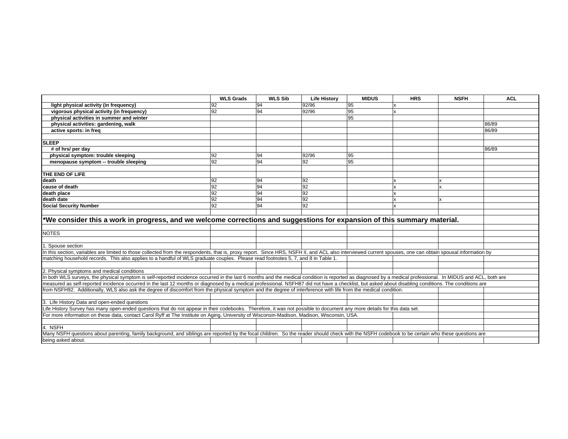|                                                                                                                                                                                                             | <b>WLS Grads</b> | <b>WLS Sib</b> | <b>Life History</b> | <b>MIDUS</b> | <b>HRS</b> | <b>NSFH</b> | <b>ACL</b> |  |  |
|-------------------------------------------------------------------------------------------------------------------------------------------------------------------------------------------------------------|------------------|----------------|---------------------|--------------|------------|-------------|------------|--|--|
| light physical activity (in frequency)                                                                                                                                                                      | 92               | 94             | 92/96               | 95           |            |             |            |  |  |
| vigorous physical activity (in frequency)                                                                                                                                                                   | 92               | 94             | 92/96               | 95           |            |             |            |  |  |
| physical activities in summer and winter                                                                                                                                                                    |                  |                |                     | 95           |            |             |            |  |  |
| physical activities: gardening, walk                                                                                                                                                                        |                  |                |                     |              |            |             | 86/89      |  |  |
| active sports: in freq                                                                                                                                                                                      |                  |                |                     |              |            |             | 86/89      |  |  |
|                                                                                                                                                                                                             |                  |                |                     |              |            |             |            |  |  |
| <b>SLEEP</b>                                                                                                                                                                                                |                  |                |                     |              |            |             |            |  |  |
| # of hrs/ per day                                                                                                                                                                                           |                  |                |                     |              |            |             | 86/89      |  |  |
| physical symptom: trouble sleeping                                                                                                                                                                          | 92               | 94             | 92/96               | 95           |            |             |            |  |  |
| menopause symptom -- trouble sleeping                                                                                                                                                                       | $\overline{92}$  | 94             | 92                  | 95           |            |             |            |  |  |
|                                                                                                                                                                                                             |                  |                |                     |              |            |             |            |  |  |
| THE END OF LIFE                                                                                                                                                                                             |                  |                |                     |              |            |             |            |  |  |
| death                                                                                                                                                                                                       | 92               | 94             | 92                  |              |            |             |            |  |  |
| cause of death                                                                                                                                                                                              | 92               | 94             | 92                  |              |            | x           |            |  |  |
| death place                                                                                                                                                                                                 | 92               | 94             | 92                  |              |            |             |            |  |  |
| death date                                                                                                                                                                                                  | 92               | 94             | 92                  |              |            |             |            |  |  |
| <b>Social Security Number</b>                                                                                                                                                                               | 92               | 94             | 92                  |              |            |             |            |  |  |
| *We consider this a work in progress, and we welcome corrections and suggestions for expansion of this summary material.                                                                                    |                  |                |                     |              |            |             |            |  |  |
|                                                                                                                                                                                                             |                  |                |                     |              |            |             |            |  |  |
| <b>NOTES</b>                                                                                                                                                                                                |                  |                |                     |              |            |             |            |  |  |
|                                                                                                                                                                                                             |                  |                |                     |              |            |             |            |  |  |
| 1. Spouse section                                                                                                                                                                                           |                  |                |                     |              |            |             |            |  |  |
| In this section, variables are limited to those collected from the respondents, that is, proxy report. Since HRS, NSFH II, and ACL also interviewed current spouses, one can obtain spousal information by  |                  |                |                     |              |            |             |            |  |  |
| matching household records. This also applies to a handful of WLS graduate couples. Please read footnotes 5, 7, and 8 in Table 1.                                                                           |                  |                |                     |              |            |             |            |  |  |
|                                                                                                                                                                                                             |                  |                |                     |              |            |             |            |  |  |
| 2. Physical symptoms and medical conditions                                                                                                                                                                 |                  |                |                     |              |            |             |            |  |  |
| In both WLS surveys, the physical symptom is self-reported incidence occurred in the last 6 months and the medical condition is reported as diagnosed by a medical professional. In MIDUS and ACL, both are |                  |                |                     |              |            |             |            |  |  |
| measured as self-reported incidence occurred in the last 12 months or diagnosed by a medical professional. NSFH87 did not have a checklist, but asked about disabling conditions. The conditions are        |                  |                |                     |              |            |             |            |  |  |
| from NSFH92. Additionally, WLS also ask the degree of discomfort from the physical symptom and the degree of interference with life from the medical condition.                                             |                  |                |                     |              |            |             |            |  |  |
|                                                                                                                                                                                                             |                  |                |                     |              |            |             |            |  |  |
| 3. Life History Data and open-ended questions                                                                                                                                                               |                  |                |                     |              |            |             |            |  |  |
| Life History Survey has many open-ended questions that do not appear in their codebooks. Therefore, it was not possible to document any more details for this data set.                                     |                  |                |                     |              |            |             |            |  |  |
| For more information on these data, contact Carol Ryff at The Institute on Aging, University of Wisconsin-Madison, Madison, Wisconsin, USA.                                                                 |                  |                |                     |              |            |             |            |  |  |
|                                                                                                                                                                                                             |                  |                |                     |              |            |             |            |  |  |
| 4. NSFH                                                                                                                                                                                                     |                  |                |                     |              |            |             |            |  |  |
| Many NSFH questions about parenting, family background, and siblings are reported by the focal children. So the reader should check with the NSFH codebook to be certain who these questions are            |                  |                |                     |              |            |             |            |  |  |
| being asked about.                                                                                                                                                                                          |                  |                |                     |              |            |             |            |  |  |